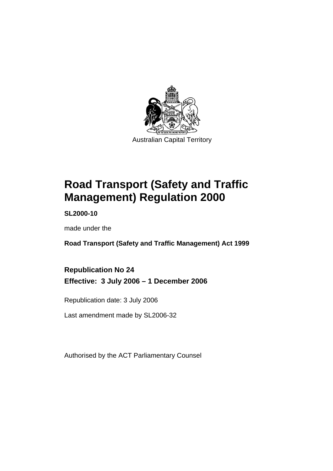

**Road Transport (Safety and Traffic Management) Regulation 2000** 

**SL2000-10** 

made under the

**Road Transport (Safety and Traffic Management) Act 1999** 

**Republication No 24 Effective: 3 July 2006 – 1 December 2006** 

Republication date: 3 July 2006

Last amendment made by SL2006-32

Authorised by the ACT Parliamentary Counsel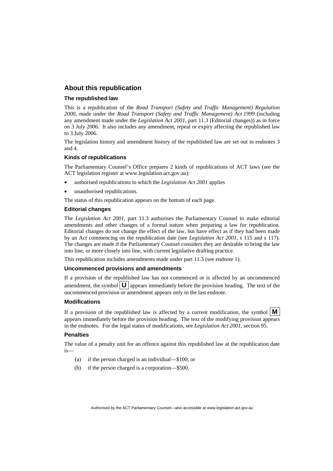#### **About this republication**

#### **The republished law**

This is a republication of the *Road Transport (Safety and Traffic Management) Regulation 2000*, made under the *Road Transport (Safety and Traffic Management) Act 1999* (including any amendment made under the *Legislation Act 2001*, part 11.3 (Editorial changes)) as in force on 3 July 2006*.* It also includes any amendment, repeal or expiry affecting the republished law to 3 July 2006.

The legislation history and amendment history of the republished law are set out in endnotes 3 and 4.

#### **Kinds of republications**

The Parliamentary Counsel's Office prepares 2 kinds of republications of ACT laws (see the ACT legislation register at www.legislation.act.gov.au):

- authorised republications to which the *Legislation Act 2001* applies
- unauthorised republications.

The status of this republication appears on the bottom of each page.

#### **Editorial changes**

The *Legislation Act 2001*, part 11.3 authorises the Parliamentary Counsel to make editorial amendments and other changes of a formal nature when preparing a law for republication. Editorial changes do not change the effect of the law, but have effect as if they had been made by an Act commencing on the republication date (see *Legislation Act 2001*, s 115 and s 117). The changes are made if the Parliamentary Counsel considers they are desirable to bring the law into line, or more closely into line, with current legislative drafting practice.

This republication includes amendments made under part 11.3 (see endnote 1).

#### **Uncommenced provisions and amendments**

If a provision of the republished law has not commenced or is affected by an uncommenced amendment, the symbol  $\mathbf{U}$  appears immediately before the provision heading. The text of the uncommenced provision or amendment appears only in the last endnote.

#### **Modifications**

If a provision of the republished law is affected by a current modification, the symbol  $\vert \mathbf{M} \vert$ appears immediately before the provision heading. The text of the modifying provision appears in the endnotes. For the legal status of modifications, see *Legislation Act 2001*, section 95.

#### **Penalties**

The value of a penalty unit for an offence against this republished law at the republication date is—

- (a) if the person charged is an individual—\$100; or
- (b) if the person charged is a corporation—\$500.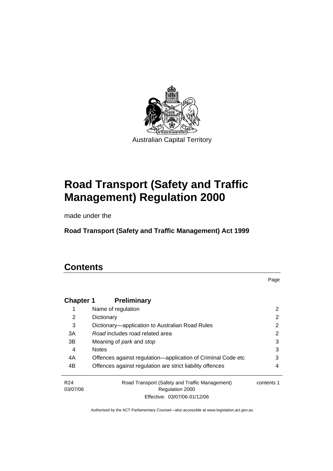

Australian Capital Territory

# **Road Transport (Safety and Traffic Management) Regulation 2000**

made under the

**Road Transport (Safety and Traffic Management) Act 1999** 

# **Contents**

Page

| <b>Chapter 1</b>            | <b>Preliminary</b>                                                |            |
|-----------------------------|-------------------------------------------------------------------|------------|
|                             | Name of regulation                                                | 2          |
| 2                           | Dictionary                                                        | 2          |
| 3                           | Dictionary—application to Australian Road Rules                   | 2          |
| 3A                          | Road includes road related area                                   | 2          |
| 3B                          | Meaning of <i>park</i> and <i>stop</i>                            | 3          |
| 4                           | <b>Notes</b>                                                      | 3          |
| 4A                          | Offences against regulation-application of Criminal Code etc      | 3          |
| 4B                          | Offences against regulation are strict liability offences         | 4          |
| R <sub>24</sub><br>03/07/06 | Road Transport (Safety and Traffic Management)<br>Regulation 2000 | contents 1 |
|                             | Effective: 03/07/06-01/12/06                                      |            |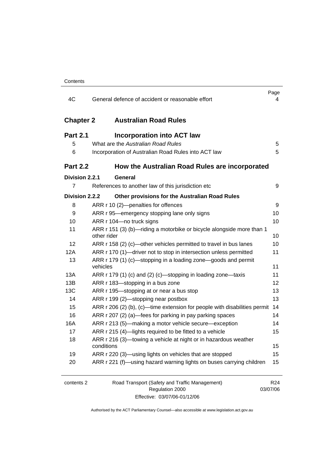| 4C               | General defence of accident or reasonable effort                                     | Page<br>4       |
|------------------|--------------------------------------------------------------------------------------|-----------------|
|                  |                                                                                      |                 |
| <b>Chapter 2</b> | <b>Australian Road Rules</b>                                                         |                 |
| <b>Part 2.1</b>  | <b>Incorporation into ACT law</b>                                                    |                 |
| 5                | What are the Australian Road Rules                                                   | 5               |
| 6                | Incorporation of Australian Road Rules into ACT law                                  | 5               |
| <b>Part 2.2</b>  | How the Australian Road Rules are incorporated                                       |                 |
| Division 2.2.1   | General                                                                              |                 |
| $\overline{7}$   | References to another law of this jurisdiction etc                                   | 9               |
| Division 2.2.2   | Other provisions for the Australian Road Rules                                       |                 |
| 8                | ARR r 10 (2)-penalties for offences                                                  | 9               |
| 9                | ARR r 95—emergency stopping lane only signs                                          | 10              |
| 10               | ARR r 104-no truck signs                                                             | 10              |
| 11               | ARR r 151 (3) (b)-riding a motorbike or bicycle alongside more than 1<br>other rider | 10              |
| 12               | ARR r 158 (2) (c)-other vehicles permitted to travel in bus lanes                    | 10              |
| 12A              | ARR r 170 (1)—driver not to stop in intersection unless permitted                    | 11              |
| 13               | ARR r 179 (1) (c)—stopping in a loading zone—goods and permit<br>vehicles            | 11              |
| 13A              | ARR r 179 (1) (c) and (2) (c)—stopping in loading zone—taxis                         | 11              |
| 13B              | ARR r 183-stopping in a bus zone                                                     | 12              |
| 13C              | ARR r 195-stopping at or near a bus stop                                             | 13              |
| 14               | ARR r 199 (2)-stopping near postbox                                                  | 13              |
| 15               | ARR r 206 (2) (b), (c)—time extension for people with disabilities permit            | 14              |
| 16               | ARR r 207 (2) (a)—fees for parking in pay parking spaces                             | 14              |
| 16A              | ARR r 213 (5)—making a motor vehicle secure—exception                                | 14              |
| 17               | ARR r 215 (4)-lights required to be fitted to a vehicle                              | 15              |
| 18               | ARR r 216 (3)-towing a vehicle at night or in hazardous weather<br>conditions        | 15              |
| 19               | ARR r 220 (3)-using lights on vehicles that are stopped                              | 15              |
| 20               | ARR r 221 (f)—using hazard warning lights on buses carrying children                 | 15              |
| contents 2       | Road Transport (Safety and Traffic Management)                                       | R <sub>24</sub> |
|                  | Regulation 2000                                                                      | 03/07/06        |

Effective: 03/07/06-01/12/06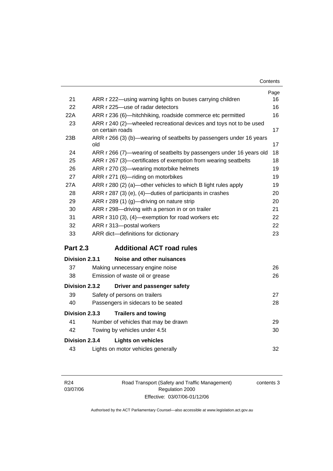| Contents |
|----------|
|----------|

|                 |                                                                                        | Page |  |
|-----------------|----------------------------------------------------------------------------------------|------|--|
| 21              | ARR r 222-using warning lights on buses carrying children                              | 16   |  |
| 22              | ARR r 225-use of radar detectors                                                       | 16   |  |
| 22A             | ARR r 236 (6)—hitchhiking, roadside commerce etc permitted                             | 16   |  |
| 23              | ARR r 240 (2)-wheeled recreational devices and toys not to be used<br>on certain roads | 17   |  |
| 23B             | ARR r 266 (3) (b)—wearing of seatbelts by passengers under 16 years<br>old             | 17   |  |
| 24              | ARR r 266 (7)—wearing of seatbelts by passengers under 16 years old                    | 18   |  |
| 25              | ARR r 267 (3)-certificates of exemption from wearing seatbelts                         | 18   |  |
| 26              | ARR r 270 (3)-wearing motorbike helmets                                                | 19   |  |
| 27              | ARR r 271 (6)-riding on motorbikes                                                     | 19   |  |
| 27A             | ARR r 280 (2) (a)—other vehicles to which B light rules apply                          | 19   |  |
| 28              | ARR r 287 (3) (e), (4)—duties of participants in crashes                               | 20   |  |
| 29              | ARR r 289 (1) (g)-driving on nature strip                                              | 20   |  |
| 30              | ARR r 298-driving with a person in or on trailer<br>21                                 |      |  |
| 31              | ARR r 310 (3), (4)-exemption for road workers etc<br>22                                |      |  |
| 32              | ARR r 313-postal workers                                                               | 22   |  |
| 33              | ARR dict-definitions for dictionary                                                    | 23   |  |
| <b>Part 2.3</b> | <b>Additional ACT road rules</b>                                                       |      |  |
| Division 2.3.1  | Noise and other nuisances                                                              |      |  |
| 37              | Making unnecessary engine noise                                                        | 26   |  |
| 38              | Emission of waste oil or grease                                                        | 26   |  |
| Division 2.3.2  | Driver and passenger safety                                                            |      |  |
| 39              | Safety of persons on trailers                                                          | 27   |  |
| 40              | Passengers in sidecars to be seated                                                    | 28   |  |
| Division 2.3.3  | <b>Trailers and towing</b>                                                             |      |  |
| 41              | Number of vehicles that may be drawn                                                   | 29   |  |
| 42              | Towing by vehicles under 4.5t                                                          | 30   |  |
| Division 2.3.4  | <b>Lights on vehicles</b>                                                              |      |  |
| 43              | Lights on motor vehicles generally                                                     | 32   |  |
|                 |                                                                                        |      |  |

Road Transport (Safety and Traffic Management) Regulation 2000 Effective: 03/07/06-01/12/06

contents 3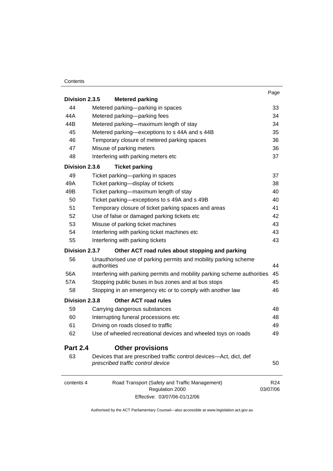#### **Contents**

| Division 2.3.5       | <b>Metered parking</b>                                                                                                                                                                                                       | Page                        |
|----------------------|------------------------------------------------------------------------------------------------------------------------------------------------------------------------------------------------------------------------------|-----------------------------|
| 44                   | Metered parking-parking in spaces                                                                                                                                                                                            | 33                          |
| 44A                  | Metered parking-parking fees                                                                                                                                                                                                 | 34                          |
| 44B                  | Metered parking—maximum length of stay                                                                                                                                                                                       |                             |
| 45                   | Metered parking-exceptions to s 44A and s 44B                                                                                                                                                                                | 34<br>35                    |
| 46                   | Temporary closure of metered parking spaces                                                                                                                                                                                  | 36                          |
| 47                   | Misuse of parking meters                                                                                                                                                                                                     | 36                          |
| 48                   | Interfering with parking meters etc                                                                                                                                                                                          | 37                          |
| Division 2.3.6       | <b>Ticket parking</b>                                                                                                                                                                                                        |                             |
| 49                   | Ticket parking-parking in spaces                                                                                                                                                                                             | 37                          |
| 49A                  | Ticket parking-display of tickets                                                                                                                                                                                            | 38                          |
| 49B                  | Ticket parking-maximum length of stay                                                                                                                                                                                        | 40                          |
| 50                   | Ticket parking-exceptions to s 49A and s 49B                                                                                                                                                                                 | 40                          |
| 51<br>52<br>53<br>54 | Temporary closure of ticket parking spaces and areas<br>Use of false or damaged parking tickets etc<br>Misuse of parking ticket machines<br>Interfering with parking ticket machines etc<br>Interfering with parking tickets | 41                          |
|                      |                                                                                                                                                                                                                              | 42                          |
|                      |                                                                                                                                                                                                                              | 43                          |
|                      |                                                                                                                                                                                                                              | 43                          |
| 55                   |                                                                                                                                                                                                                              | 43                          |
| Division 2.3.7       | Other ACT road rules about stopping and parking                                                                                                                                                                              |                             |
| 56                   | Unauthorised use of parking permits and mobility parking scheme<br>authorities                                                                                                                                               | 44                          |
| 56A                  | Interfering with parking permits and mobility parking scheme authorities                                                                                                                                                     |                             |
| 57A                  | Stopping public buses in bus zones and at bus stops                                                                                                                                                                          | 45                          |
| 58                   | Stopping in an emergency etc or to comply with another law                                                                                                                                                                   | 46                          |
| Division 2.3.8       | <b>Other ACT road rules</b>                                                                                                                                                                                                  |                             |
| 59                   | Carrying dangerous substances                                                                                                                                                                                                | 48                          |
| 60                   | Interrupting funeral processions etc<br>Driving on roads closed to traffic                                                                                                                                                   | 48                          |
| 61                   |                                                                                                                                                                                                                              | 49                          |
| 62                   | Use of wheeled recreational devices and wheeled toys on roads                                                                                                                                                                |                             |
| <b>Part 2.4</b>      | <b>Other provisions</b>                                                                                                                                                                                                      |                             |
| 63                   | Devices that are prescribed traffic control devices—Act, dict, def<br>prescribed traffic control device                                                                                                                      | 50                          |
| contents 4           | Road Transport (Safety and Traffic Management)<br>Regulation 2000                                                                                                                                                            | R <sub>24</sub><br>03/07/06 |

Effective: 03/07/06-01/12/06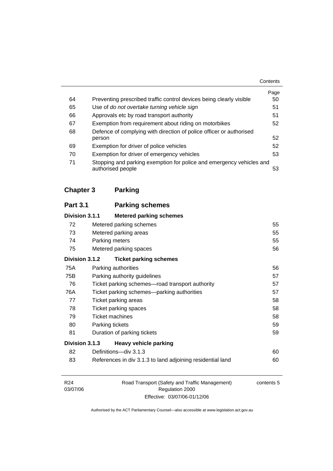|    |                                                                                           | Contents |
|----|-------------------------------------------------------------------------------------------|----------|
|    |                                                                                           | Page     |
| 64 | Preventing prescribed traffic control devices being clearly visible                       | 50       |
| 65 | Use of do not overtake turning vehicle sign                                               | 51       |
| 66 | Approvals etc by road transport authority                                                 | 51       |
| 67 | Exemption from requirement about riding on motorbikes                                     | 52       |
| 68 | Defence of complying with direction of police officer or authorised                       |          |
|    | person                                                                                    | 52       |
| 69 | Exemption for driver of police vehicles                                                   | 52       |
| 70 | Exemption for driver of emergency vehicles                                                | 53       |
| 71 | Stopping and parking exemption for police and emergency vehicles and<br>authorised people | 53       |

# **Chapter 3 Parking**

| <b>Part 3.1</b>                                |                                                 | <b>Parking schemes</b>                                     |    |  |
|------------------------------------------------|-------------------------------------------------|------------------------------------------------------------|----|--|
| Division 3.1.1                                 |                                                 | <b>Metered parking schemes</b>                             |    |  |
| 72                                             |                                                 | Metered parking schemes                                    | 55 |  |
| 73                                             | Metered parking areas                           |                                                            | 55 |  |
| 74                                             | Parking meters                                  |                                                            | 55 |  |
| 75                                             |                                                 | Metered parking spaces<br>56                               |    |  |
| Division 3.1.2                                 |                                                 | <b>Ticket parking schemes</b>                              |    |  |
| 75A                                            |                                                 | Parking authorities                                        | 56 |  |
| 75B                                            | 57<br>Parking authority guidelines              |                                                            |    |  |
| 76                                             | Ticket parking schemes—road transport authority |                                                            | 57 |  |
| 76A                                            | Ticket parking schemes—parking authorities      |                                                            | 57 |  |
| 77                                             | Ticket parking areas                            |                                                            | 58 |  |
| 78                                             | Ticket parking spaces                           |                                                            | 58 |  |
| 79                                             | <b>Ticket machines</b>                          |                                                            | 58 |  |
| 80                                             | Parking tickets                                 |                                                            | 59 |  |
| 81                                             | 59<br>Duration of parking tickets               |                                                            |    |  |
| Division 3.1.3<br><b>Heavy vehicle parking</b> |                                                 |                                                            |    |  |
| 82                                             |                                                 | Definitions-div 3.1.3                                      | 60 |  |
| 83                                             |                                                 | References in div 3.1.3 to land adjoining residential land | 60 |  |

| R <sub>24</sub> | Road Transport (Safety and Traffic Management) | contents 5 |
|-----------------|------------------------------------------------|------------|
| 03/07/06        | Regulation 2000                                |            |
|                 | Effective: 03/07/06-01/12/06                   |            |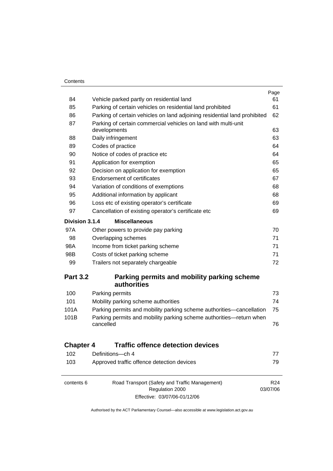$\equiv$ 

|                  |                                                                                  | Page            |
|------------------|----------------------------------------------------------------------------------|-----------------|
| 84               | Vehicle parked partly on residential land                                        | 61              |
| 85               | Parking of certain vehicles on residential land prohibited                       | 61              |
| 86               | Parking of certain vehicles on land adjoining residential land prohibited        |                 |
| 87               | Parking of certain commercial vehicles on land with multi-unit                   |                 |
|                  | developments                                                                     | 63              |
| 88               | Daily infringement                                                               | 63              |
| 89               | Codes of practice                                                                | 64              |
| 90               | Notice of codes of practice etc                                                  | 64              |
| 91               | Application for exemption                                                        | 65              |
| 92               | Decision on application for exemption                                            | 65              |
| 93               | <b>Endorsement of certificates</b>                                               | 67              |
| 94               | Variation of conditions of exemptions                                            | 68              |
| 95               | Additional information by applicant                                              | 68              |
| 96               | Loss etc of existing operator's certificate                                      | 69              |
| 97               | Cancellation of existing operator's certificate etc                              | 69              |
| Division 3.1.4   | <b>Miscellaneous</b>                                                             |                 |
| 97A              | Other powers to provide pay parking                                              | 70              |
| 98               | Overlapping schemes                                                              | 71              |
| 98A              | Income from ticket parking scheme                                                | 71              |
| 98B              | Costs of ticket parking scheme                                                   | 71              |
| 99               | Trailers not separately chargeable                                               | 72              |
| <b>Part 3.2</b>  | Parking permits and mobility parking scheme<br>authorities                       |                 |
| 100              | Parking permits                                                                  | 73              |
| 101              | Mobility parking scheme authorities                                              | 74              |
| 101A             | Parking permits and mobility parking scheme authorities—cancellation             | 75              |
| 101B             | Parking permits and mobility parking scheme authorities-return when<br>cancelled | 76              |
| <b>Chapter 4</b> | <b>Traffic offence detection devices</b>                                         |                 |
| 102              | Definitions-ch 4                                                                 | 77              |
| 103              | Approved traffic offence detection devices                                       | 79              |
| contents 6       | Road Transport (Safety and Traffic Management)                                   | R <sub>24</sub> |
|                  | Regulation 2000                                                                  | 03/07/06        |
|                  | Effective: 03/07/06-01/12/06                                                     |                 |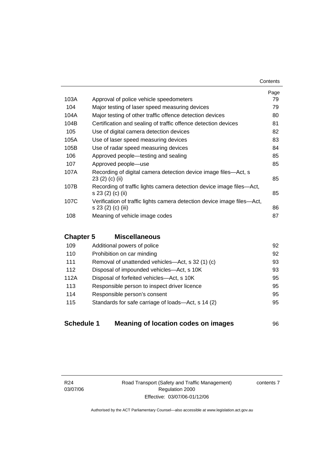|      |                                                                                               | Page |
|------|-----------------------------------------------------------------------------------------------|------|
| 103A | Approval of police vehicle speedometers                                                       | 79   |
| 104  | Major testing of laser speed measuring devices                                                | 79   |
| 104A | Major testing of other traffic offence detection devices                                      | 80   |
| 104B | Certification and sealing of traffic offence detection devices                                | 81   |
| 105  | Use of digital camera detection devices                                                       | 82   |
| 105A | Use of laser speed measuring devices                                                          | 83   |
| 105B | Use of radar speed measuring devices                                                          | 84   |
| 106  | Approved people—testing and sealing                                                           | 85   |
| 107  | Approved people-use                                                                           | 85   |
| 107A | Recording of digital camera detection device image files—Act, s<br>23(2)(c)(ii)               | 85   |
| 107B | Recording of traffic lights camera detection device image files—Act,<br>s 23 (2) (c) (ii)     | 85   |
| 107C | Verification of traffic lights camera detection device image files—Act,<br>s 23 (2) (c) (iii) | 86   |
| 108  | Meaning of vehicle image codes                                                                | 87   |

# **Chapter 5 Miscellaneous**

| Additional powers of police                        | 92 |
|----------------------------------------------------|----|
| Prohibition on car minding                         | 92 |
| Removal of unattended vehicles—Act, s 32 (1) (c)   | 93 |
| Disposal of impounded vehicles—Act, s 10K          | 93 |
| Disposal of forfeited vehicles-Act, s 10K          | 95 |
| Responsible person to inspect driver licence       | 95 |
| Responsible person's consent                       | 95 |
| Standards for safe carriage of loads-Act, s 14 (2) | 95 |
|                                                    |    |

| <b>Schedule 1</b> | Meaning of location codes on images | 96 |
|-------------------|-------------------------------------|----|
|-------------------|-------------------------------------|----|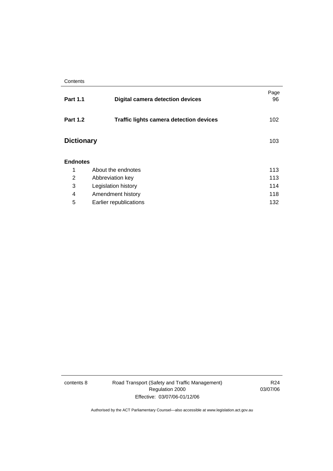| <b>Part 1.1</b>   | <b>Digital camera detection devices</b>        | Page<br>96 |
|-------------------|------------------------------------------------|------------|
| <b>Part 1.2</b>   | <b>Traffic lights camera detection devices</b> | 102        |
| <b>Dictionary</b> |                                                | 103        |
| <b>Endnotes</b>   |                                                |            |
| 1                 | About the endnotes                             | 113        |
| 2                 | Abbreviation key                               | 113        |
| 3                 | Legislation history                            | 114        |
| 4                 | Amendment history                              | 118        |
| 5                 | Earlier republications                         | 132        |

contents 8 Road Transport (Safety and Traffic Management) Regulation 2000 Effective: 03/07/06-01/12/06

R24 03/07/06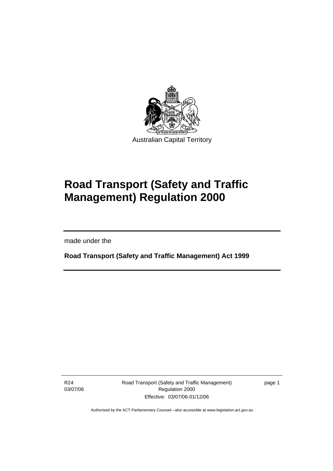

# **Road Transport (Safety and Traffic Management) Regulation 2000**

made under the

I

**Road Transport (Safety and Traffic Management) Act 1999** 

R24 03/07/06 Road Transport (Safety and Traffic Management) Regulation 2000 Effective: 03/07/06-01/12/06

page 1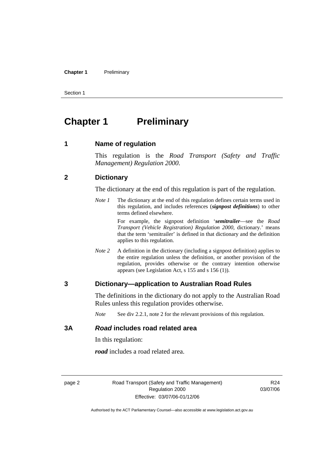#### **Chapter 1** Preliminary

Section 1

# **Chapter 1** Preliminary

**1 Name of regulation** 

This regulation is the *Road Transport (Safety and Traffic Management) Regulation 2000*.

#### **2 Dictionary**

The dictionary at the end of this regulation is part of the regulation.

*Note 1* The dictionary at the end of this regulation defines certain terms used in this regulation, and includes references (*signpost definitions*) to other terms defined elsewhere.

> For example, the signpost definition '*semitrailer*—see the *Road Transport (Vehicle Registration) Regulation 2000*, dictionary.' means that the term 'semitrailer' is defined in that dictionary and the definition applies to this regulation.

*Note* 2 A definition in the dictionary (including a signpost definition) applies to the entire regulation unless the definition, or another provision of the regulation, provides otherwise or the contrary intention otherwise appears (see Legislation Act, s 155 and s 156 (1)).

#### **3 Dictionary—application to Australian Road Rules**

The definitions in the dictionary do not apply to the Australian Road Rules unless this regulation provides otherwise.

*Note* See div 2.2.1, note 2 for the relevant provisions of this regulation.

#### **3A** *Road* **includes road related area**

In this regulation:

*road* includes a road related area.

page 2 Road Transport (Safety and Traffic Management) Regulation 2000 Effective: 03/07/06-01/12/06

R24 03/07/06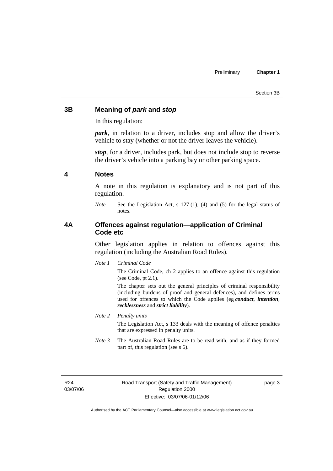### **3B Meaning of** *park* **and** *stop*

In this regulation:

*park*, in relation to a driver, includes stop and allow the driver's vehicle to stay (whether or not the driver leaves the vehicle).

*stop*, for a driver, includes park, but does not include stop to reverse the driver's vehicle into a parking bay or other parking space.

#### **4 Notes**

A note in this regulation is explanatory and is not part of this regulation.

*Note* See the Legislation Act, s 127 (1), (4) and (5) for the legal status of notes.

### **4A Offences against regulation—application of Criminal Code etc**

Other legislation applies in relation to offences against this regulation (including the Australian Road Rules).

*Note 1 Criminal Code*

The Criminal Code, ch 2 applies to an offence against this regulation (see Code, pt 2.1).

The chapter sets out the general principles of criminal responsibility (including burdens of proof and general defences), and defines terms used for offences to which the Code applies (eg *conduct*, *intention*, *recklessness* and *strict liability*).

#### *Note 2 Penalty units*

The Legislation Act, s 133 deals with the meaning of offence penalties that are expressed in penalty units.

*Note 3* The Australian Road Rules are to be read with, and as if they formed part of, this regulation (see s 6).

R24 03/07/06 page 3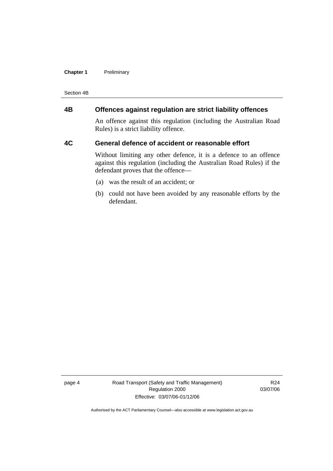#### **Chapter 1** Preliminary

Section 4B

# **4B Offences against regulation are strict liability offences**

An offence against this regulation (including the Australian Road Rules) is a strict liability offence.

#### **4C General defence of accident or reasonable effort**

Without limiting any other defence, it is a defence to an offence against this regulation (including the Australian Road Rules) if the defendant proves that the offence—

- (a) was the result of an accident; or
- (b) could not have been avoided by any reasonable efforts by the defendant.

page 4 Road Transport (Safety and Traffic Management) Regulation 2000 Effective: 03/07/06-01/12/06

R24 03/07/06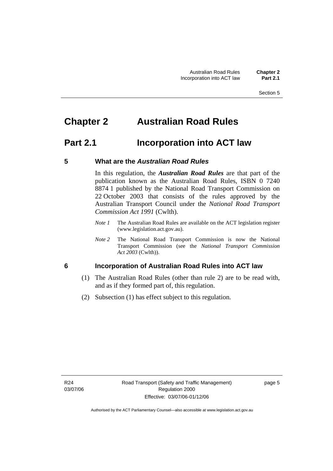# **Chapter 2 Australian Road Rules**

# **Part 2.1 Incorporation into ACT law**

### **5 What are the** *Australian Road Rules*

In this regulation, the *Australian Road Rules* are that part of the publication known as the Australian Road Rules, ISBN 0 7240 8874 1 published by the National Road Transport Commission on 22 October 2003 that consists of the rules approved by the Australian Transport Council under the *National Road Transport Commission Act 1991* (Cwlth).

- *Note 1* The Australian Road Rules are available on the ACT legislation register (www.legislation.act.gov.au).
- *Note 2* The National Road Transport Commission is now the National Transport Commission (see the *National Transport Commission Act 2003* (Cwlth)).

# **6 Incorporation of Australian Road Rules into ACT law**

- (1) The Australian Road Rules (other than rule 2) are to be read with, and as if they formed part of, this regulation.
- (2) Subsection (1) has effect subject to this regulation.

page 5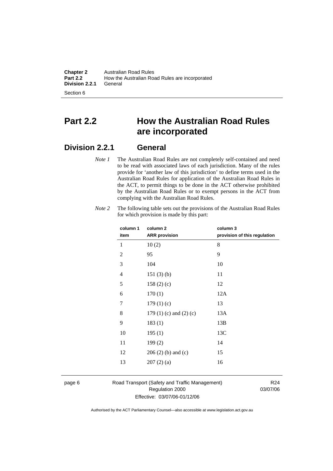**Chapter 2** Australian Road Rules<br>**Part 2.2** How the Australian Road How the Australian Road Rules are incorporated<br>General **Division 2.2.1** 

Section 6

# **Part 2.2 How the Australian Road Rules are incorporated**

# **Division 2.2.1 General**

*Note 1* The Australian Road Rules are not completely self-contained and need to be read with associated laws of each jurisdiction. Many of the rules provide for 'another law of this jurisdiction' to define terms used in the Australian Road Rules for application of the Australian Road Rules in the ACT, to permit things to be done in the ACT otherwise prohibited by the Australian Road Rules or to exempt persons in the ACT from complying with the Australian Road Rules.

| column 1       | column <sub>2</sub>             | column 3                     |
|----------------|---------------------------------|------------------------------|
| item           | <b>ARR</b> provision            | provision of this regulation |
| 1              | 10(2)                           | 8                            |
| $\overline{2}$ | 95                              | 9                            |
| 3              | 104                             | 10                           |
| 4              | 151(3)(b)                       | 11                           |
| 5              | 158(2)(c)                       | 12                           |
| 6              | 170(1)                          | 12A                          |
| 7              | 179(1)(c)                       | 13                           |
| 8              | 179 $(1)$ $(c)$ and $(2)$ $(c)$ | 13A                          |
| 9              | 183(1)                          | 13B                          |
| 10             | 195(1)                          | 13C                          |
| 11             | 199(2)                          | 14                           |
| 12             | $206(2)$ (b) and (c)            | 15                           |
| 13             | 207(2)(a)                       | 16                           |
|                |                                 |                              |

*Note 2* The following table sets out the provisions of the Australian Road Rules for which provision is made by this part:

page 6 Road Transport (Safety and Traffic Management) Regulation 2000 Effective: 03/07/06-01/12/06

R24 03/07/06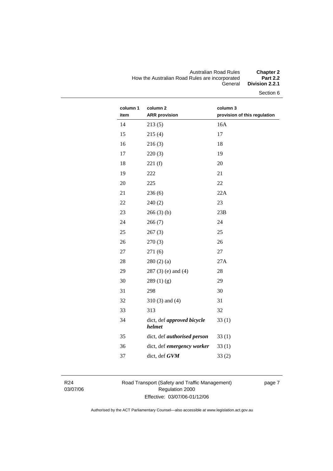#### Australian Road Rules **Chapter 2**  How the Australian Road Rules are incorporated **Part 2.2**  General **Division 2.2.1**

Section 6

| column 1<br>item | column 2<br><b>ARR</b> provision     | column 3<br>provision of this regulation |
|------------------|--------------------------------------|------------------------------------------|
| 14               | 213(5)                               | 16A                                      |
| 15               | 215(4)                               | 17                                       |
| 16               | 216(3)                               | 18                                       |
| 17               | 220(3)                               | 19                                       |
| 18               | 221(f)                               | 20                                       |
| 19               | 222                                  | 21                                       |
| 20               | 225                                  | 22                                       |
| 21               | 236(6)                               | 22A                                      |
| 22               | 240(2)                               | 23                                       |
| 23               | 266(3)(b)                            | 23B                                      |
| 24               | 266(7)                               | 24                                       |
| 25               | 267(3)                               | 25                                       |
| 26               | 270(3)                               | 26                                       |
| 27               | 271(6)                               | 27                                       |
| 28               | 280(2)(a)                            | 27A                                      |
| 29               | $287(3)$ (e) and (4)                 | 28                                       |
| 30               | 289(1)(g)                            | 29                                       |
| 31               | 298                                  | 30                                       |
| 32               | $310(3)$ and $(4)$                   | 31                                       |
| 33               | 313                                  | 32                                       |
| 34               | dict, def approved bicycle<br>helmet | 33(1)                                    |
| 35               | dict, def authorised person          | 33(1)                                    |
| 36               | dict, def emergency worker           | 33(1)                                    |
| 37               | dict, def GVM                        | 33(2)                                    |
|                  |                                      |                                          |

R24 03/07/06 Road Transport (Safety and Traffic Management) Regulation 2000 Effective: 03/07/06-01/12/06

page 7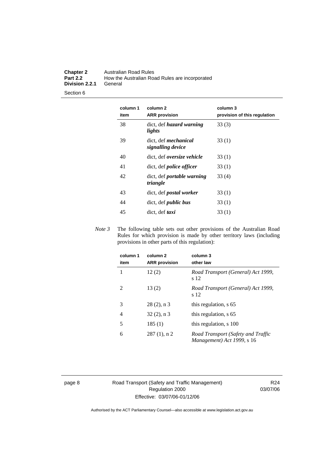#### **Chapter 2** Australian Road Rules<br>**Part 2.2** How the Australian Road **Part 2.2** How the Australian Road Rules are incorporated **Division 2.2.1**

Section 6

| column 1<br>item | column <sub>2</sub><br><b>ARR</b> provision      | column 3<br>provision of this regulation |
|------------------|--------------------------------------------------|------------------------------------------|
| 38               | dict, def <i>hazard</i> warning<br>lights        | 33(3)                                    |
| 39               | dict, def <i>mechanical</i><br>signalling device | 33(1)                                    |
| 40               | dict, def oversize vehicle                       | 33(1)                                    |
| 41               | dict, def <i>police</i> officer                  | 33(1)                                    |
| 42               | dict, def <i>portable</i> warning<br>triangle    | 33(4)                                    |
| 43               | dict, def <i>postal</i> worker                   | 33(1)                                    |
| 44               | dict, def <i>public</i> bus                      | 33(1)                                    |
| 45               | dict, def taxi                                   | 33(1)                                    |

*Note 3* The following table sets out other provisions of the Australian Road Rules for which provision is made by other territory laws (including provisions in other parts of this regulation):

| column 1<br>item | column 2<br><b>ARR</b> provision | column 3<br>other law                                            |
|------------------|----------------------------------|------------------------------------------------------------------|
|                  | 12(2)                            | Road Transport (General) Act 1999,<br>s 12                       |
| 2                | 13(2)                            | Road Transport (General) Act 1999,<br>s 12                       |
| 3                | $28(2)$ , n 3                    | this regulation, s 65                                            |
| 4                | $32(2)$ , n 3                    | this regulation, s 65                                            |
| 5                | 185(1)                           | this regulation, s 100                                           |
| 6                | $287(1)$ , n 2                   | Road Transport (Safety and Traffic<br>Management) Act 1999, s 16 |

page 8 Road Transport (Safety and Traffic Management) Regulation 2000 Effective: 03/07/06-01/12/06

R24 03/07/06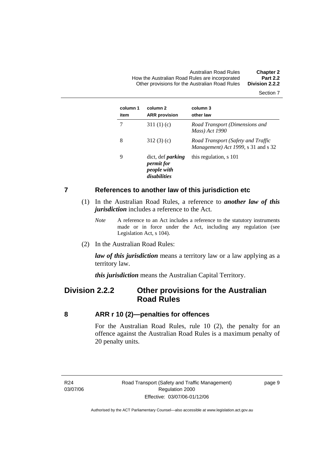Australian Road Rules **Chapter 2**  How the Australian Road Rules are incorporated **Part 2.2**  Other provisions for the Australian Road Rules **Division 2.2.2** 

Section 7

| column 1<br>item | column 2<br><b>ARR</b> provision                                             | column 3<br>other law                                                     |
|------------------|------------------------------------------------------------------------------|---------------------------------------------------------------------------|
|                  | 311 $(1)(c)$                                                                 | Road Transport (Dimensions and<br>Mass) Act 1990                          |
| 8                | 312(3)(c)                                                                    | Road Transport (Safety and Traffic<br>Management) Act 1999, s 31 and s 32 |
| 9                | dict, def <i>parking</i><br><i>permit for</i><br>people with<br>disabilities | this regulation, s 101                                                    |

#### **7 References to another law of this jurisdiction etc**

- (1) In the Australian Road Rules, a reference to *another law of this jurisdiction* includes a reference to the Act.
	- *Note* A reference to an Act includes a reference to the statutory instruments made or in force under the Act, including any regulation (see Legislation Act, s 104).
- (2) In the Australian Road Rules:

*law of this jurisdiction* means a territory law or a law applying as a territory law.

*this jurisdiction* means the Australian Capital Territory.

# **Division 2.2.2 Other provisions for the Australian Road Rules**

#### **8 ARR r 10 (2)—penalties for offences**

For the Australian Road Rules, rule 10 (2), the penalty for an offence against the Australian Road Rules is a maximum penalty of 20 penalty units.

R24 03/07/06 page 9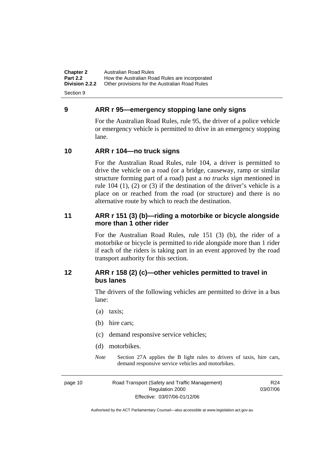**Chapter 2** Australian Road Rules<br>**Part 2.2** How the Australian Road **Part 2.2 How the Australian Road Rules are incorporated Division 2.2.2** Other provisions for the Australian Road Rules **Other provisions for the Australian Road Rules** 

Section 9

# **9 ARR r 95—emergency stopping lane only signs**

For the Australian Road Rules, rule 95, the driver of a police vehicle or emergency vehicle is permitted to drive in an emergency stopping lane.

# **10 ARR r 104—no truck signs**

For the Australian Road Rules, rule 104, a driver is permitted to drive the vehicle on a road (or a bridge, causeway, ramp or similar structure forming part of a road) past a *no trucks sign* mentioned in rule 104 (1), (2) or (3) if the destination of the driver's vehicle is a place on or reached from the road (or structure) and there is no alternative route by which to reach the destination.

# **11 ARR r 151 (3) (b)—riding a motorbike or bicycle alongside more than 1 other rider**

For the Australian Road Rules, rule 151 (3) (b), the rider of a motorbike or bicycle is permitted to ride alongside more than 1 rider if each of the riders is taking part in an event approved by the road transport authority for this section.

# **12 ARR r 158 (2) (c)—other vehicles permitted to travel in bus lanes**

The drivers of the following vehicles are permitted to drive in a bus lane:

- (a) taxis;
- (b) hire cars;
- (c) demand responsive service vehicles;
- (d) motorbikes.
- *Note* Section 27A applies the B light rules to drivers of taxis, hire cars, demand responsive service vehicles and motorbikes.

page 10 Road Transport (Safety and Traffic Management) Regulation 2000 Effective: 03/07/06-01/12/06

R24 03/07/06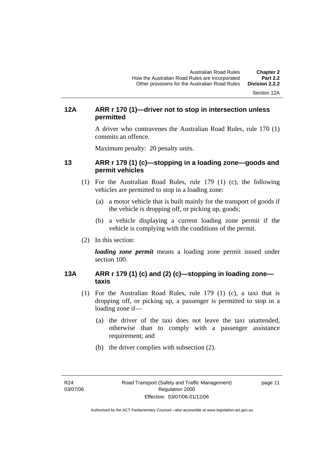Section 12A

# **12A ARR r 170 (1)—driver not to stop in intersection unless permitted**

A driver who contravenes the Australian Road Rules, rule 170 (1) commits an offence.

Maximum penalty: 20 penalty units.

# **13 ARR r 179 (1) (c)—stopping in a loading zone—goods and permit vehicles**

- (1) For the Australian Road Rules, rule 179 (1) (c), the following vehicles are permitted to stop in a loading zone:
	- (a) a motor vehicle that is built mainly for the transport of goods if the vehicle is dropping off, or picking up, goods;
	- (b) a vehicle displaying a current loading zone permit if the vehicle is complying with the conditions of the permit.
- (2) In this section:

*loading zone permit* means a loading zone permit issued under section 100.

# **13A ARR r 179 (1) (c) and (2) (c)—stopping in loading zone taxis**

- (1) For the Australian Road Rules, rule 179 (1) (c), a taxi that is dropping off, or picking up, a passenger is permitted to stop in a loading zone if—
	- (a) the driver of the taxi does not leave the taxi unattended, otherwise than to comply with a passenger assistance requirement; and
	- (b) the driver complies with subsection (2).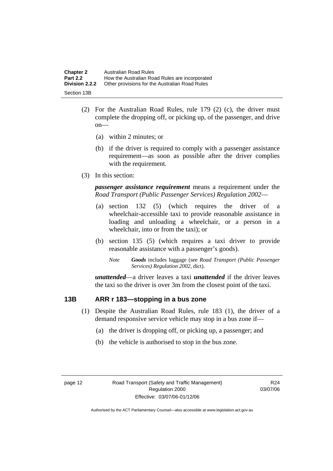| <b>Chapter 2</b>      | Australian Road Rules                          |
|-----------------------|------------------------------------------------|
| <b>Part 2.2</b>       | How the Australian Road Rules are incorporated |
| <b>Division 2.2.2</b> | Other provisions for the Australian Road Rules |
| Section 13B           |                                                |

- (2) For the Australian Road Rules, rule 179 (2) (c), the driver must complete the dropping off, or picking up, of the passenger, and drive on—
	- (a) within 2 minutes; or
	- (b) if the driver is required to comply with a passenger assistance requirement—as soon as possible after the driver complies with the requirement.
- (3) In this section:

*passenger assistance requirement* means a requirement under the *Road Transport (Public Passenger Services) Regulation 2002*—

- (a) section 132 (5) (which requires the driver of a wheelchair-accessible taxi to provide reasonable assistance in loading and unloading a wheelchair, or a person in a wheelchair, into or from the taxi); or
- (b) section 135 (5) (which requires a taxi driver to provide reasonable assistance with a passenger's goods).
	- *Note Goods* includes luggage (see *Road Transport (Public Passenger Services) Regulation 2002*, dict).

*unattended*—a driver leaves a taxi *unattended* if the driver leaves the taxi so the driver is over 3m from the closest point of the taxi.

# **13B ARR r 183—stopping in a bus zone**

- (1) Despite the Australian Road Rules, rule 183 (1), the driver of a demand responsive service vehicle may stop in a bus zone if—
	- (a) the driver is dropping off, or picking up, a passenger; and
	- (b) the vehicle is authorised to stop in the bus zone.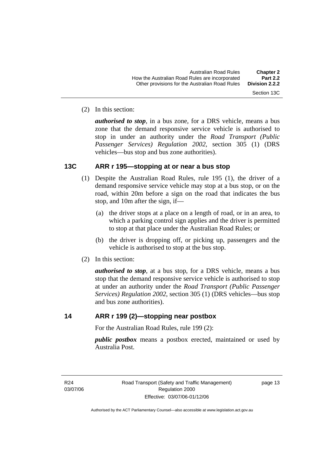(2) In this section:

*authorised to stop*, in a bus zone, for a DRS vehicle, means a bus zone that the demand responsive service vehicle is authorised to stop in under an authority under the *Road Transport (Public Passenger Services) Regulation 2002*, section 305 (1) (DRS vehicles—bus stop and bus zone authorities).

### **13C ARR r 195—stopping at or near a bus stop**

- (1) Despite the Australian Road Rules, rule 195 (1), the driver of a demand responsive service vehicle may stop at a bus stop, or on the road, within 20m before a sign on the road that indicates the bus stop, and 10m after the sign, if—
	- (a) the driver stops at a place on a length of road, or in an area, to which a parking control sign applies and the driver is permitted to stop at that place under the Australian Road Rules; or
	- (b) the driver is dropping off, or picking up, passengers and the vehicle is authorised to stop at the bus stop.
- (2) In this section:

*authorised to stop*, at a bus stop, for a DRS vehicle, means a bus stop that the demand responsive service vehicle is authorised to stop at under an authority under the *Road Transport (Public Passenger Services) Regulation 2002*, section 305 (1) (DRS vehicles—bus stop and bus zone authorities).

# **14 ARR r 199 (2)—stopping near postbox**

For the Australian Road Rules, rule 199 (2):

*public postbox* means a postbox erected, maintained or used by Australia Post.

R24 03/07/06 page 13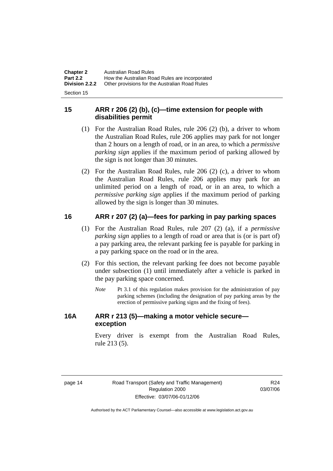| <b>Chapter 2</b> | <b>Australian Road Rules</b>                   |
|------------------|------------------------------------------------|
| <b>Part 2.2</b>  | How the Australian Road Rules are incorporated |
| Division 2.2.2   | Other provisions for the Australian Road Rules |
|                  |                                                |

Section 15

# **15 ARR r 206 (2) (b), (c)—time extension for people with disabilities permit**

- (1) For the Australian Road Rules, rule 206 (2) (b), a driver to whom the Australian Road Rules, rule 206 applies may park for not longer than 2 hours on a length of road, or in an area, to which a *permissive parking sign* applies if the maximum period of parking allowed by the sign is not longer than 30 minutes.
- (2) For the Australian Road Rules, rule 206 (2) (c), a driver to whom the Australian Road Rules, rule 206 applies may park for an unlimited period on a length of road, or in an area, to which a *permissive parking sign* applies if the maximum period of parking allowed by the sign is longer than 30 minutes.

# **16 ARR r 207 (2) (a)—fees for parking in pay parking spaces**

- (1) For the Australian Road Rules, rule 207 (2) (a), if a *permissive parking sign* applies to a length of road or area that is (or is part of) a pay parking area, the relevant parking fee is payable for parking in a pay parking space on the road or in the area.
- (2) For this section, the relevant parking fee does not become payable under subsection (1) until immediately after a vehicle is parked in the pay parking space concerned.
	- *Note* Pt 3.1 of this regulation makes provision for the administration of pay parking schemes (including the designation of pay parking areas by the erection of permissive parking signs and the fixing of fees).

# **16A ARR r 213 (5)—making a motor vehicle secure exception**

Every driver is exempt from the Australian Road Rules, rule 213 (5).

R24 03/07/06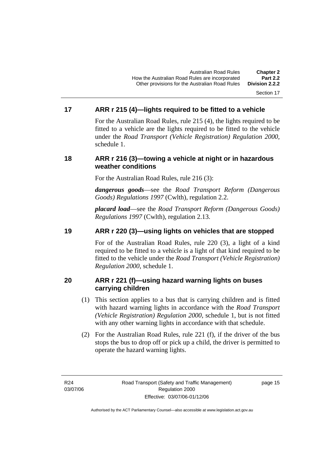#### Section 17

# **17 ARR r 215 (4)—lights required to be fitted to a vehicle**

For the Australian Road Rules, rule 215 (4), the lights required to be fitted to a vehicle are the lights required to be fitted to the vehicle under the *Road Transport (Vehicle Registration) Regulation 2000,*  schedule 1.

### **18 ARR r 216 (3)—towing a vehicle at night or in hazardous weather conditions**

For the Australian Road Rules, rule 216 (3):

*dangerous goods*—see the *Road Transport Reform (Dangerous Goods) Regulations 1997* (Cwlth), regulation 2.2.

*placard load*—see the *Road Transport Reform (Dangerous Goods) Regulations 1997* (Cwlth), regulation 2.13.

# **19 ARR r 220 (3)—using lights on vehicles that are stopped**

For of the Australian Road Rules, rule 220 (3), a light of a kind required to be fitted to a vehicle is a light of that kind required to be fitted to the vehicle under the *Road Transport (Vehicle Registration) Regulation 2000*, schedule 1.

# **20 ARR r 221 (f)—using hazard warning lights on buses carrying children**

- (1) This section applies to a bus that is carrying children and is fitted with hazard warning lights in accordance with the *Road Transport (Vehicle Registration) Regulation 2000*, schedule 1, but is not fitted with any other warning lights in accordance with that schedule.
- (2) For the Australian Road Rules, rule 221 (f), if the driver of the bus stops the bus to drop off or pick up a child, the driver is permitted to operate the hazard warning lights.

R24 03/07/06

page 15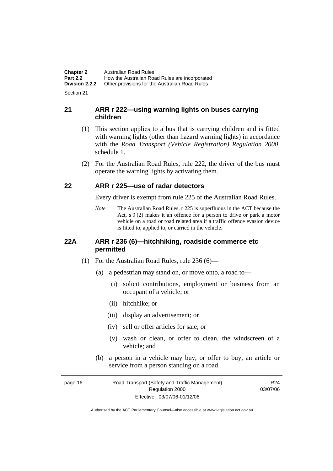**Chapter 2** Australian Road Rules<br>**Part 2.2** How the Australian Road **Part 2.2 How the Australian Road Rules are incorporated Division 2.2.2** Other provisions for the Australian Road Rules **Other provisions for the Australian Road Rules** 

Section 21

# **21 ARR r 222—using warning lights on buses carrying children**

- (1) This section applies to a bus that is carrying children and is fitted with warning lights (other than hazard warning lights) in accordance with the *Road Transport (Vehicle Registration) Regulation 2000*, schedule 1.
- (2) For the Australian Road Rules, rule 222, the driver of the bus must operate the warning lights by activating them.

# **22 ARR r 225—use of radar detectors**

Every driver is exempt from rule 225 of the Australian Road Rules.

*Note* The Australian Road Rules, r 225 is superfluous in the ACT because the Act, s 9 (2) makes it an offence for a person to drive or park a motor vehicle on a road or road related area if a traffic offence evasion device is fitted to, applied to, or carried in the vehicle.

### **22A ARR r 236 (6)—hitchhiking, roadside commerce etc permitted**

- (1) For the Australian Road Rules, rule 236 (6)—
	- (a) a pedestrian may stand on, or move onto, a road to—
		- (i) solicit contributions, employment or business from an occupant of a vehicle; or
		- (ii) hitchhike; or
		- (iii) display an advertisement; or
		- (iv) sell or offer articles for sale; or
		- (v) wash or clean, or offer to clean, the windscreen of a vehicle; and
	- (b) a person in a vehicle may buy, or offer to buy, an article or service from a person standing on a road.

| page 16 | Road Transport (Safety and Traffic Management) | R <sub>24</sub> |
|---------|------------------------------------------------|-----------------|
|         | Regulation 2000                                | 03/07/06        |
|         | Effective: 03/07/06-01/12/06                   |                 |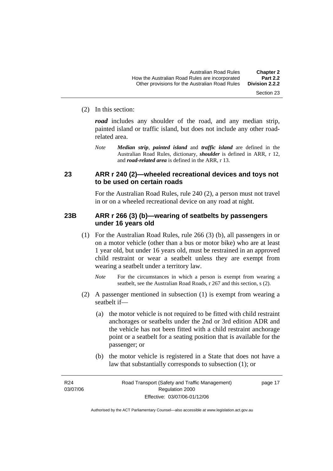#### (2) In this section:

*road* includes any shoulder of the road, and any median strip, painted island or traffic island, but does not include any other roadrelated area.

*Note Median strip*, *painted island* and *traffic island* are defined in the Australian Road Rules, dictionary, *shoulder* is defined in ARR, r 12, and *road-related area* is defined in the ARR, r 13.

### **23 ARR r 240 (2)—wheeled recreational devices and toys not to be used on certain roads**

For the Australian Road Rules, rule 240 (2), a person must not travel in or on a wheeled recreational device on any road at night.

#### **23B ARR r 266 (3) (b)—wearing of seatbelts by passengers under 16 years old**

- (1) For the Australian Road Rules, rule 266 (3) (b), all passengers in or on a motor vehicle (other than a bus or motor bike) who are at least 1 year old, but under 16 years old, must be restrained in an approved child restraint or wear a seatbelt unless they are exempt from wearing a seatbelt under a territory law.
	- *Note* For the circumstances in which a person is exempt from wearing a seatbelt, see the Australian Road Roads, r 267 and this section, s (2).
- (2) A passenger mentioned in subsection (1) is exempt from wearing a seatbelt if—
	- (a) the motor vehicle is not required to be fitted with child restraint anchorages or seatbelts under the 2nd or 3rd edition ADR and the vehicle has not been fitted with a child restraint anchorage point or a seatbelt for a seating position that is available for the passenger; or
	- (b) the motor vehicle is registered in a State that does not have a law that substantially corresponds to subsection (1); or

R24 03/07/06 Section 23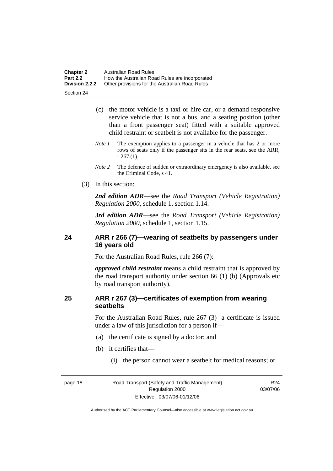| <b>Chapter 2</b> | Australian Road Rules                          |
|------------------|------------------------------------------------|
| <b>Part 2.2</b>  | How the Australian Road Rules are incorporated |
| Division 2.2.2   | Other provisions for the Australian Road Rules |

Section 24

- (c) the motor vehicle is a taxi or hire car, or a demand responsive service vehicle that is not a bus, and a seating position (other than a front passenger seat) fitted with a suitable approved child restraint or seatbelt is not available for the passenger.
- *Note 1* The exemption applies to a passenger in a vehicle that has 2 or more rows of seats only if the passenger sits in the rear seats, see the ARR, r 267 (1).
- *Note* 2 The defence of sudden or extraordinary emergency is also available, see the Criminal Code, s 41.
- (3) In this section:

*2nd edition ADR*—see the *Road Transport (Vehicle Registration) Regulation 2000*, schedule 1, section 1.14.

*3rd edition ADR*—see the *Road Transport (Vehicle Registration) Regulation 2000*, schedule 1, section 1.15.

# **24 ARR r 266 (7)—wearing of seatbelts by passengers under 16 years old**

For the Australian Road Rules, rule 266 (7):

*approved child restraint* means a child restraint that is approved by the road transport authority under section 66 (1) (b) (Approvals etc by road transport authority).

# **25 ARR r 267 (3)—certificates of exemption from wearing seatbelts**

For the Australian Road Rules, rule 267 (3) a certificate is issued under a law of this jurisdiction for a person if—

- (a) the certificate is signed by a doctor; and
- (b) it certifies that—
	- (i) the person cannot wear a seatbelt for medical reasons; or

page 18 Road Transport (Safety and Traffic Management) Regulation 2000 Effective: 03/07/06-01/12/06

R24 03/07/06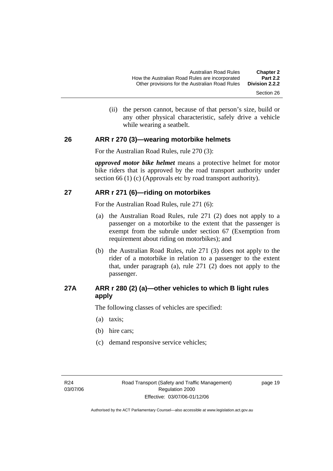(ii) the person cannot, because of that person's size, build or any other physical characteristic, safely drive a vehicle while wearing a seatbelt.

#### **26 ARR r 270 (3)—wearing motorbike helmets**

For the Australian Road Rules, rule 270 (3):

*approved motor bike helmet* means a protective helmet for motor bike riders that is approved by the road transport authority under section 66 (1) (c) (Approvals etc by road transport authority).

#### **27 ARR r 271 (6)—riding on motorbikes**

For the Australian Road Rules, rule 271 (6):

- (a) the Australian Road Rules, rule 271 (2) does not apply to a passenger on a motorbike to the extent that the passenger is exempt from the subrule under section 67 (Exemption from requirement about riding on motorbikes); and
- (b) the Australian Road Rules, rule 271 (3) does not apply to the rider of a motorbike in relation to a passenger to the extent that, under paragraph (a), rule 271 (2) does not apply to the passenger.

# **27A ARR r 280 (2) (a)—other vehicles to which B light rules apply**

The following classes of vehicles are specified:

- (a) taxis;
- (b) hire cars;
- (c) demand responsive service vehicles;

page 19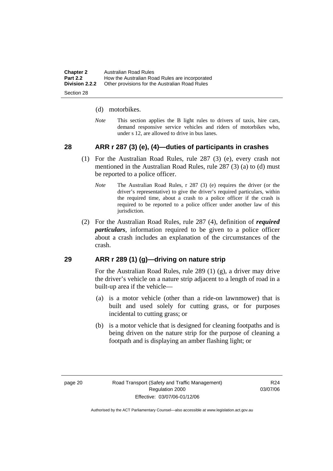| <b>Chapter 2</b> | Australian Road Rules                          |
|------------------|------------------------------------------------|
| <b>Part 2.2</b>  | How the Australian Road Rules are incorporated |
| Division 2.2.2   | Other provisions for the Australian Road Rules |
|                  |                                                |

Section 28

#### (d) motorbikes.

*Note* This section applies the B light rules to drivers of taxis, hire cars, demand responsive service vehicles and riders of motorbikes who, under s 12, are allowed to drive in bus lanes.

# **28 ARR r 287 (3) (e), (4)—duties of participants in crashes**

- (1) For the Australian Road Rules, rule 287 (3) (e), every crash not mentioned in the Australian Road Rules, rule 287 (3) (a) to (d) must be reported to a police officer.
	- *Note* The Australian Road Rules, r 287 (3) (e) requires the driver (or the driver's representative) to give the driver's required particulars, within the required time, about a crash to a police officer if the crash is required to be reported to a police officer under another law of this jurisdiction.
- (2) For the Australian Road Rules, rule 287 (4), definition of *required particulars*, information required to be given to a police officer about a crash includes an explanation of the circumstances of the crash.

#### **29 ARR r 289 (1) (g)—driving on nature strip**

For the Australian Road Rules, rule 289 (1) (g), a driver may drive the driver's vehicle on a nature strip adjacent to a length of road in a built-up area if the vehicle—

- (a) is a motor vehicle (other than a ride-on lawnmower) that is built and used solely for cutting grass, or for purposes incidental to cutting grass; or
- (b) is a motor vehicle that is designed for cleaning footpaths and is being driven on the nature strip for the purpose of cleaning a footpath and is displaying an amber flashing light; or

R24 03/07/06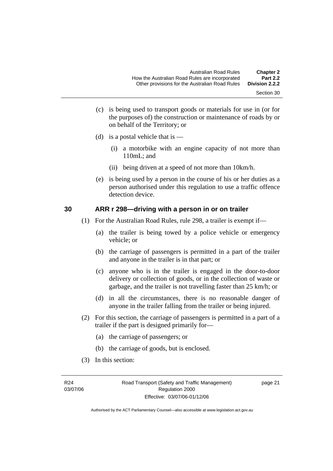- Section 30
- (c) is being used to transport goods or materials for use in (or for the purposes of) the construction or maintenance of roads by or on behalf of the Territory; or
- (d) is a postal vehicle that is  $-$ 
	- (i) a motorbike with an engine capacity of not more than 110mL; and
	- (ii) being driven at a speed of not more than 10km/h.
- (e) is being used by a person in the course of his or her duties as a person authorised under this regulation to use a traffic offence detection device.

#### **30 ARR r 298—driving with a person in or on trailer**

- (1) For the Australian Road Rules, rule 298, a trailer is exempt if—
	- (a) the trailer is being towed by a police vehicle or emergency vehicle; or
	- (b) the carriage of passengers is permitted in a part of the trailer and anyone in the trailer is in that part; or
	- (c) anyone who is in the trailer is engaged in the door-to-door delivery or collection of goods, or in the collection of waste or garbage, and the trailer is not travelling faster than 25 km/h; or
	- (d) in all the circumstances, there is no reasonable danger of anyone in the trailer falling from the trailer or being injured.
- (2) For this section, the carriage of passengers is permitted in a part of a trailer if the part is designed primarily for—
	- (a) the carriage of passengers; or
	- (b) the carriage of goods, but is enclosed.
- (3) In this section: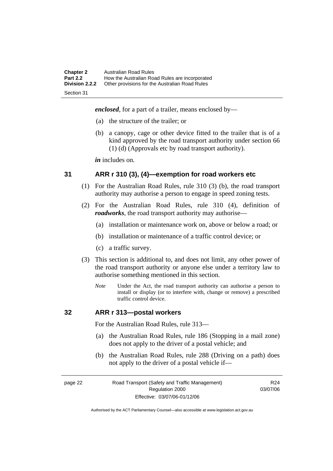| <b>Chapter 2</b><br><b>Part 2.2</b> | Australian Road Rules<br>How the Australian Road Rules are incorporated |
|-------------------------------------|-------------------------------------------------------------------------|
| <b>Division 2.2.2</b>               | Other provisions for the Australian Road Rules                          |
| Section 31                          |                                                                         |

*enclosed*, for a part of a trailer, means enclosed by—

- (a) the structure of the trailer; or
- (b) a canopy, cage or other device fitted to the trailer that is of a kind approved by the road transport authority under section 66 (1) (d) (Approvals etc by road transport authority).

*in* includes on.

#### **31 ARR r 310 (3), (4)—exemption for road workers etc**

- (1) For the Australian Road Rules, rule 310 (3) (b), the road transport authority may authorise a person to engage in speed zoning tests.
- (2) For the Australian Road Rules, rule 310 (4), definition of *roadworks*, the road transport authority may authorise—
	- (a) installation or maintenance work on, above or below a road; or
	- (b) installation or maintenance of a traffic control device; or
	- (c) a traffic survey.
- (3) This section is additional to, and does not limit, any other power of the road transport authority or anyone else under a territory law to authorise something mentioned in this section.
	- *Note* Under the Act, the road transport authority can authorise a person to install or display (or to interfere with, change or remove) a prescribed traffic control device.

#### **32 ARR r 313—postal workers**

For the Australian Road Rules, rule 313—

- (a) the Australian Road Rules, rule 186 (Stopping in a mail zone) does not apply to the driver of a postal vehicle; and
- (b) the Australian Road Rules, rule 288 (Driving on a path) does not apply to the driver of a postal vehicle if—

page 22 Road Transport (Safety and Traffic Management) Regulation 2000 Effective: 03/07/06-01/12/06

R24 03/07/06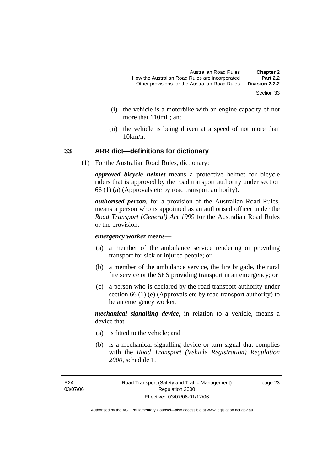- Section 33
- (i) the vehicle is a motorbike with an engine capacity of not more that 110mL; and
- (ii) the vehicle is being driven at a speed of not more than 10km/h.

#### **33 ARR dict—definitions for dictionary**

(1) For the Australian Road Rules, dictionary:

*approved bicycle helmet* means a protective helmet for bicycle riders that is approved by the road transport authority under section 66 (1) (a) (Approvals etc by road transport authority).

*authorised person,* for a provision of the Australian Road Rules, means a person who is appointed as an authorised officer under the *Road Transport (General) Act 1999* for the Australian Road Rules or the provision.

*emergency worker* means—

- (a) a member of the ambulance service rendering or providing transport for sick or injured people; or
- (b) a member of the ambulance service, the fire brigade, the rural fire service or the SES providing transport in an emergency; or
- (c) a person who is declared by the road transport authority under section 66 (1) (e) (Approvals etc by road transport authority) to be an emergency worker.

*mechanical signalling device*, in relation to a vehicle, means a device that—

- (a) is fitted to the vehicle; and
- (b) is a mechanical signalling device or turn signal that complies with the *Road Transport (Vehicle Registration) Regulation 2000*, schedule 1.

page 23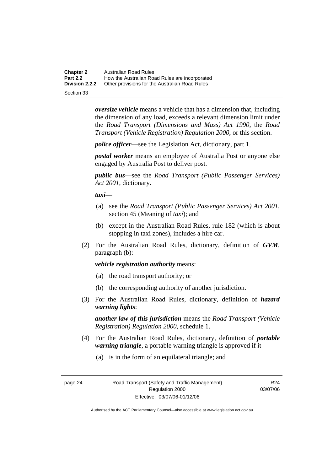**Chapter 2** Australian Road Rules<br>**Part 2.2** How the Australian Road **Part 2.2 How the Australian Road Rules are incorporated Division 2.2.2** Other provisions for the Australian Road Rules **Other provisions for the Australian Road Rules** 

Section 33

*oversize vehicle* means a vehicle that has a dimension that, including the dimension of any load, exceeds a relevant dimension limit under the *Road Transport (Dimensions and Mass) Act 1990*, the *Road Transport (Vehicle Registration) Regulation 2000*, or this section.

*police officer*—see the Legislation Act, dictionary, part 1.

*postal worker* means an employee of Australia Post or anyone else engaged by Australia Post to deliver post.

*public bus*—see the *Road Transport (Public Passenger Services) Act 2001*, dictionary.

*taxi*—

- (a) see the *Road Transport (Public Passenger Services) Act 2001*, section 45 (Meaning of *taxi*); and
- (b) except in the Australian Road Rules, rule 182 (which is about stopping in taxi zones), includes a hire car.
- (2) For the Australian Road Rules, dictionary, definition of *GVM*, paragraph (b):

#### *vehicle registration authority* means:

- (a) the road transport authority; or
- (b) the corresponding authority of another jurisdiction.
- (3) For the Australian Road Rules, dictionary, definition of *hazard warning lights*:

*another law of this jurisdiction* means the *Road Transport (Vehicle Registration) Regulation 2000*, schedule 1.

- (4) For the Australian Road Rules, dictionary, definition of *portable warning triangle*, a portable warning triangle is approved if it—
	- (a) is in the form of an equilateral triangle; and

page 24 Road Transport (Safety and Traffic Management) Regulation 2000 Effective: 03/07/06-01/12/06

R24 03/07/06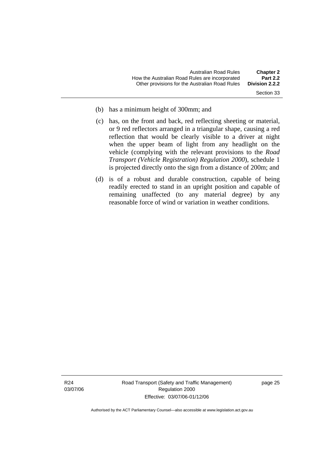- Section 33
- (b) has a minimum height of 300mm; and
- (c) has, on the front and back, red reflecting sheeting or material, or 9 red reflectors arranged in a triangular shape, causing a red reflection that would be clearly visible to a driver at night when the upper beam of light from any headlight on the vehicle (complying with the relevant provisions to the *Road Transport (Vehicle Registration) Regulation 2000*), schedule 1 is projected directly onto the sign from a distance of 200m; and
- (d) is of a robust and durable construction, capable of being readily erected to stand in an upright position and capable of remaining unaffected (to any material degree) by any reasonable force of wind or variation in weather conditions.

Road Transport (Safety and Traffic Management) Regulation 2000 Effective: 03/07/06-01/12/06

page 25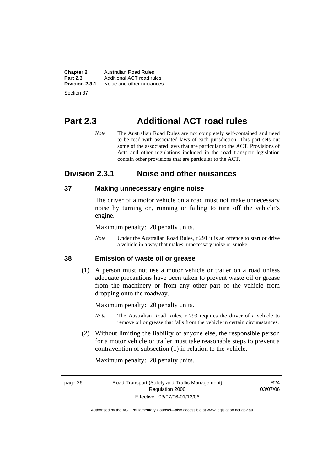**Chapter 2 Australian Road Rules**<br>**Part 2.3 Additional ACT road rules Part 2.3** Additional ACT road rules<br>**Division 2.3.1** Noise and other nuisances **Division 2.3.1** Noise and other nuisances

Section 37

# **Part 2.3 Additional ACT road rules**

*Note* The Australian Road Rules are not completely self-contained and need to be read with associated laws of each jurisdiction. This part sets out some of the associated laws that are particular to the ACT. Provisions of Acts and other regulations included in the road transport legislation contain other provisions that are particular to the ACT.

# **Division 2.3.1 Noise and other nuisances**

### **37 Making unnecessary engine noise**

The driver of a motor vehicle on a road must not make unnecessary noise by turning on, running or failing to turn off the vehicle's engine.

Maximum penalty: 20 penalty units.

*Note* Under the Australian Road Rules, r 291 it is an offence to start or drive a vehicle in a way that makes unnecessary noise or smoke.

### **38 Emission of waste oil or grease**

 (1) A person must not use a motor vehicle or trailer on a road unless adequate precautions have been taken to prevent waste oil or grease from the machinery or from any other part of the vehicle from dropping onto the roadway.

Maximum penalty: 20 penalty units.

- *Note* The Australian Road Rules, r 293 requires the driver of a vehicle to remove oil or grease that falls from the vehicle in certain circumstances.
- (2) Without limiting the liability of anyone else, the responsible person for a motor vehicle or trailer must take reasonable steps to prevent a contravention of subsection (1) in relation to the vehicle.

Maximum penalty: 20 penalty units.

page 26 Road Transport (Safety and Traffic Management) Regulation 2000 Effective: 03/07/06-01/12/06

R24 03/07/06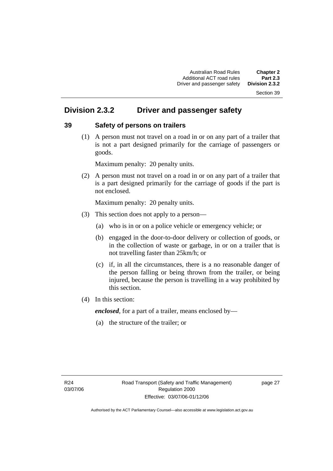#### Section 39

# **Division 2.3.2 Driver and passenger safety**

### **39 Safety of persons on trailers**

 (1) A person must not travel on a road in or on any part of a trailer that is not a part designed primarily for the carriage of passengers or goods.

Maximum penalty: 20 penalty units.

 (2) A person must not travel on a road in or on any part of a trailer that is a part designed primarily for the carriage of goods if the part is not enclosed.

Maximum penalty: 20 penalty units.

- (3) This section does not apply to a person—
	- (a) who is in or on a police vehicle or emergency vehicle; or
	- (b) engaged in the door-to-door delivery or collection of goods, or in the collection of waste or garbage, in or on a trailer that is not travelling faster than 25km/h; or
	- (c) if, in all the circumstances, there is a no reasonable danger of the person falling or being thrown from the trailer, or being injured, because the person is travelling in a way prohibited by this section.
- (4) In this section:

*enclosed*, for a part of a trailer, means enclosed by—

(a) the structure of the trailer; or

page 27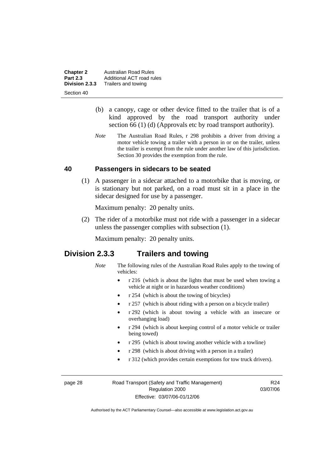**Chapter 2 Australian Road Rules**<br>**Part 2.3 Additional ACT road rules Part 2.3** Additional ACT road rules<br>**Division 2.3.3** Trailers and towing **Division 2.3.3** Trailers and towing

Section 40

- (b) a canopy, cage or other device fitted to the trailer that is of a kind approved by the road transport authority under section 66 (1) (d) (Approvals etc by road transport authority).
- *Note* The Australian Road Rules, r 298 prohibits a driver from driving a motor vehicle towing a trailer with a person in or on the trailer, unless the trailer is exempt from the rule under another law of this jurisdiction. Section 30 provides the exemption from the rule.

### **40 Passengers in sidecars to be seated**

 (1) A passenger in a sidecar attached to a motorbike that is moving, or is stationary but not parked, on a road must sit in a place in the sidecar designed for use by a passenger.

Maximum penalty: 20 penalty units.

 (2) The rider of a motorbike must not ride with a passenger in a sidecar unless the passenger complies with subsection (1).

Maximum penalty: 20 penalty units.

# **Division 2.3.3 Trailers and towing**

- *Note* The following rules of the Australian Road Rules apply to the towing of vehicles:
	- r 216 (which is about the lights that must be used when towing a vehicle at night or in hazardous weather conditions)
	- r 254 (which is about the towing of bicycles)
	- r 257 (which is about riding with a person on a bicycle trailer)
	- r 292 (which is about towing a vehicle with an insecure or overhanging load)
	- r 294 (which is about keeping control of a motor vehicle or trailer being towed)
	- r 295 (which is about towing another vehicle with a towline)
	- r 298 (which is about driving with a person in a trailer)
	- r 312 (which provides certain exemptions for tow truck drivers).

page 28 Road Transport (Safety and Traffic Management) Regulation 2000 Effective: 03/07/06-01/12/06

R24 03/07/06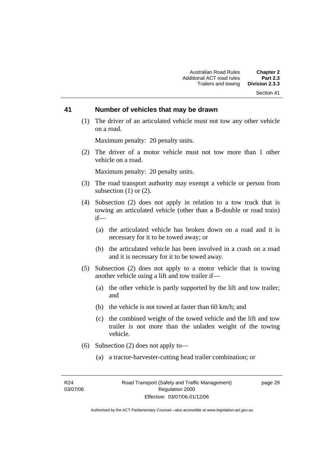#### Section 41

#### **41 Number of vehicles that may be drawn**

 (1) The driver of an articulated vehicle must not tow any other vehicle on a road.

Maximum penalty: 20 penalty units.

 (2) The driver of a motor vehicle must not tow more than 1 other vehicle on a road.

Maximum penalty: 20 penalty units.

- (3) The road transport authority may exempt a vehicle or person from subsection  $(1)$  or  $(2)$ .
- (4) Subsection (2) does not apply in relation to a tow truck that is towing an articulated vehicle (other than a B-double or road train) if—
	- (a) the articulated vehicle has broken down on a road and it is necessary for it to be towed away; or
	- (b) the articulated vehicle has been involved in a crash on a road and it is necessary for it to be towed away.
- (5) Subsection (2) does not apply to a motor vehicle that is towing another vehicle using a lift and tow trailer if—
	- (a) the other vehicle is partly supported by the lift and tow trailer; and
	- (b) the vehicle is not towed at faster than 60 km/h; and
	- (c) the combined weight of the towed vehicle and the lift and tow trailer is not more than the unladen weight of the towing vehicle.
- (6) Subsection (2) does not apply to—
	- (a) a tractor-harvester-cutting head trailer combination; or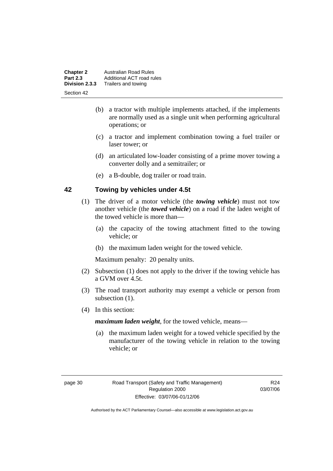| <b>Chapter 2</b> | <b>Australian Road Rules</b> |
|------------------|------------------------------|
| <b>Part 2.3</b>  | Additional ACT road rules    |
| Division 2.3.3   | Trailers and towing          |
| Section 42       |                              |

- (b) a tractor with multiple implements attached, if the implements are normally used as a single unit when performing agricultural operations; or
- (c) a tractor and implement combination towing a fuel trailer or laser tower; or
- (d) an articulated low-loader consisting of a prime mover towing a converter dolly and a semitrailer; or
- (e) a B-double, dog trailer or road train.

### **42 Towing by vehicles under 4.5t**

- (1) The driver of a motor vehicle (the *towing vehicle*) must not tow another vehicle (the *towed vehicle*) on a road if the laden weight of the towed vehicle is more than—
	- (a) the capacity of the towing attachment fitted to the towing vehicle; or
	- (b) the maximum laden weight for the towed vehicle.

Maximum penalty: 20 penalty units.

- (2) Subsection (1) does not apply to the driver if the towing vehicle has a GVM over 4.5t.
- (3) The road transport authority may exempt a vehicle or person from subsection  $(1)$ .
- (4) In this section:

*maximum laden weight*, for the towed vehicle, means—

 (a) the maximum laden weight for a towed vehicle specified by the manufacturer of the towing vehicle in relation to the towing vehicle; or

R24 03/07/06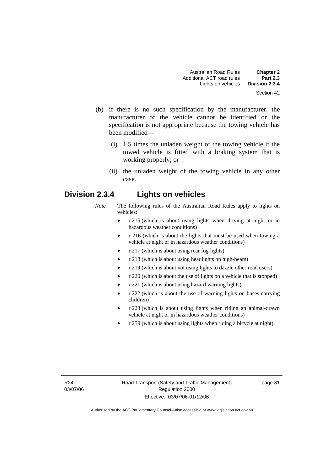- (b) if there is no such specification by the manufacturer, the manufacturer of the vehicle cannot be identified or the specification is not appropriate because the towing vehicle has been modified—
	- (i) 1.5 times the unladen weight of the towing vehicle if the towed vehicle is fitted with a braking system that is working properly; or
	- (ii) the unladen weight of the towing vehicle in any other case.

# **Division 2.3.4 Lights on vehicles**

- *Note* The following rules of the Australian Road Rules apply to lights on vehicles:
	- r 215 (which is about using lights when driving at night or in hazardous weather conditions)
	- r 216 (which is about the lights that must be used when towing a vehicle at night or in hazardous weather conditions)
	- r 217 (which is about using rear fog lights)
	- r 218 (which is about using headlights on high-beam)
	- r 219 (which is about not using lights to dazzle other road users)
	- r 220 (which is about the use of lights on a vehicle that is stopped)
	- r 221 (which is about using hazard warning lights)
	- r 222 (which is about the use of warning lights on buses carrying children)
	- r 223 (which is about using lights when riding an animal-drawn vehicle at night or in hazardous weather conditions)
	- r 259 (which is about using lights when riding a bicycle at night).

page 31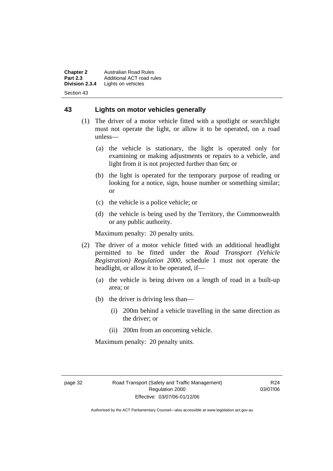**Chapter 2** Australian Road Rules<br>**Part 2.3** Additional ACT road ru **Part 2.3** Additional ACT road rules<br>**Division 2.3.4** Lights on vehicles Lights on vehicles Section 43

### **43 Lights on motor vehicles generally**

- (1) The driver of a motor vehicle fitted with a spotlight or searchlight must not operate the light, or allow it to be operated, on a road unless—
	- (a) the vehicle is stationary, the light is operated only for examining or making adjustments or repairs to a vehicle, and light from it is not projected further than 6m; or
	- (b) the light is operated for the temporary purpose of reading or looking for a notice, sign, house number or something similar; or
	- (c) the vehicle is a police vehicle; or
	- (d) the vehicle is being used by the Territory, the Commonwealth or any public authority.

Maximum penalty: 20 penalty units.

- (2) The driver of a motor vehicle fitted with an additional headlight permitted to be fitted under the *Road Transport (Vehicle Registration) Regulation 2000*, schedule 1 must not operate the headlight, or allow it to be operated, if—
	- (a) the vehicle is being driven on a length of road in a built-up area; or
	- (b) the driver is driving less than—
		- (i) 200m behind a vehicle travelling in the same direction as the driver; or
		- (ii) 200m from an oncoming vehicle.

Maximum penalty: 20 penalty units.

R24 03/07/06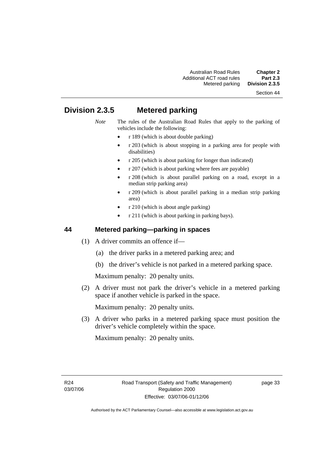#### Section 44

# **Division 2.3.5 Metered parking**

- *Note* The rules of the Australian Road Rules that apply to the parking of vehicles include the following:
	- r 189 (which is about double parking)
	- r 203 (which is about stopping in a parking area for people with disabilities)
	- r 205 (which is about parking for longer than indicated)
	- r 207 (which is about parking where fees are payable)
	- r 208 (which is about parallel parking on a road, except in a median strip parking area)
	- r 209 (which is about parallel parking in a median strip parking area)
	- r 210 (which is about angle parking)
	- r 211 (which is about parking in parking bays).

### **44 Metered parking—parking in spaces**

- (1) A driver commits an offence if—
	- (a) the driver parks in a metered parking area; and
	- (b) the driver's vehicle is not parked in a metered parking space.

Maximum penalty: 20 penalty units.

 (2) A driver must not park the driver's vehicle in a metered parking space if another vehicle is parked in the space.

Maximum penalty: 20 penalty units.

 (3) A driver who parks in a metered parking space must position the driver's vehicle completely within the space.

Maximum penalty: 20 penalty units.

page 33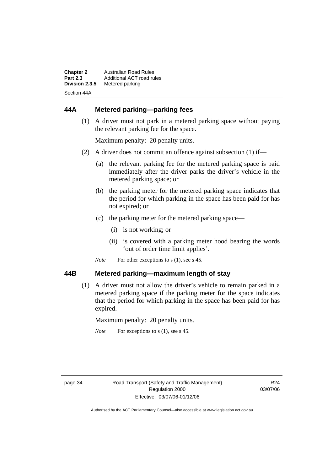| <b>Chapter 2</b> | <b>Australian Road Rules</b> |
|------------------|------------------------------|
| <b>Part 2.3</b>  | Additional ACT road rules    |
| Division 2.3.5   | Metered parking              |
| Section 44A      |                              |

# **44A Metered parking—parking fees**

 (1) A driver must not park in a metered parking space without paying the relevant parking fee for the space.

Maximum penalty: 20 penalty units.

- (2) A driver does not commit an offence against subsection (1) if—
	- (a) the relevant parking fee for the metered parking space is paid immediately after the driver parks the driver's vehicle in the metered parking space; or
	- (b) the parking meter for the metered parking space indicates that the period for which parking in the space has been paid for has not expired; or
	- (c) the parking meter for the metered parking space—
		- (i) is not working; or
		- (ii) is covered with a parking meter hood bearing the words 'out of order time limit applies'.
	- *Note* For other exceptions to s (1), see s 45.

### **44B Metered parking—maximum length of stay**

 (1) A driver must not allow the driver's vehicle to remain parked in a metered parking space if the parking meter for the space indicates that the period for which parking in the space has been paid for has expired.

Maximum penalty: 20 penalty units.

*Note* For exceptions to s (1), see s 45.

R24 03/07/06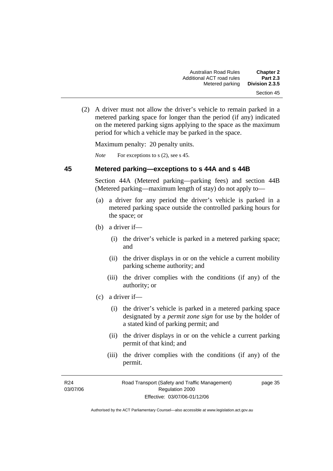(2) A driver must not allow the driver's vehicle to remain parked in a metered parking space for longer than the period (if any) indicated on the metered parking signs applying to the space as the maximum period for which a vehicle may be parked in the space.

Maximum penalty: 20 penalty units.

*Note* For exceptions to s (2), see s 45.

### **45 Metered parking—exceptions to s 44A and s 44B**

Section 44A (Metered parking—parking fees) and section 44B (Metered parking—maximum length of stay) do not apply to—

- (a) a driver for any period the driver's vehicle is parked in a metered parking space outside the controlled parking hours for the space; or
- (b) a driver if—
	- (i) the driver's vehicle is parked in a metered parking space; and
	- (ii) the driver displays in or on the vehicle a current mobility parking scheme authority; and
	- (iii) the driver complies with the conditions (if any) of the authority; or
- (c) a driver if—
	- (i) the driver's vehicle is parked in a metered parking space designated by a *permit zone sign* for use by the holder of a stated kind of parking permit; and
	- (ii) the driver displays in or on the vehicle a current parking permit of that kind; and
	- (iii) the driver complies with the conditions (if any) of the permit.

page 35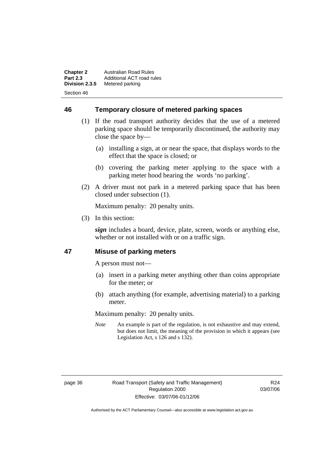**Chapter 2** Australian Road Rules<br>**Part 2.3** Additional ACT road ru **Part 2.3** Additional ACT road rules<br>**Division 2.3.5** Metered parking **Metered parking** Section 46

**46 Temporary closure of metered parking spaces**

- (1) If the road transport authority decides that the use of a metered parking space should be temporarily discontinued, the authority may close the space by—
	- (a) installing a sign, at or near the space, that displays words to the effect that the space is closed; or
	- (b) covering the parking meter applying to the space with a parking meter hood bearing the words 'no parking'.
- (2) A driver must not park in a metered parking space that has been closed under subsection (1).

Maximum penalty: 20 penalty units.

(3) In this section:

*sign* includes a board, device, plate, screen, words or anything else, whether or not installed with or on a traffic sign.

### **47 Misuse of parking meters**

A person must not—

- (a) insert in a parking meter anything other than coins appropriate for the meter; or
- (b) attach anything (for example, advertising material) to a parking meter.

Maximum penalty: 20 penalty units.

*Note* An example is part of the regulation, is not exhaustive and may extend, but does not limit, the meaning of the provision in which it appears (see Legislation Act, s 126 and s 132).

R24 03/07/06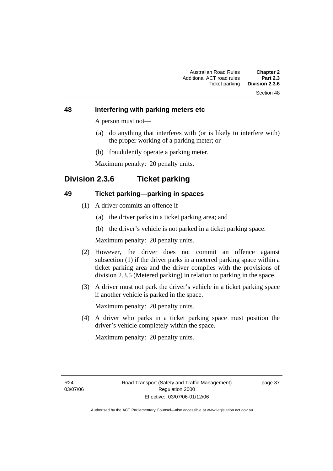# Section 48

### **48 Interfering with parking meters etc**

A person must not—

- (a) do anything that interferes with (or is likely to interfere with) the proper working of a parking meter; or
- (b) fraudulently operate a parking meter.

Maximum penalty: 20 penalty units.

# **Division 2.3.6 Ticket parking**

### **49 Ticket parking—parking in spaces**

- (1) A driver commits an offence if—
	- (a) the driver parks in a ticket parking area; and
	- (b) the driver's vehicle is not parked in a ticket parking space.

Maximum penalty: 20 penalty units.

- (2) However, the driver does not commit an offence against subsection (1) if the driver parks in a metered parking space within a ticket parking area and the driver complies with the provisions of division 2.3.5 (Metered parking) in relation to parking in the space.
- (3) A driver must not park the driver's vehicle in a ticket parking space if another vehicle is parked in the space.

Maximum penalty: 20 penalty units.

 (4) A driver who parks in a ticket parking space must position the driver's vehicle completely within the space.

Maximum penalty: 20 penalty units.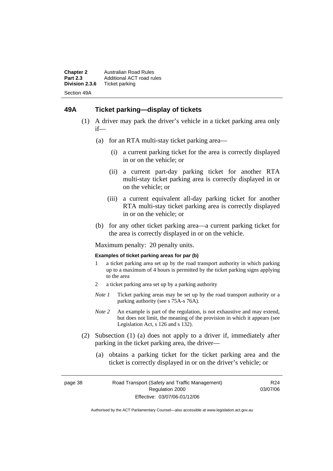**Chapter 2** Australian Road Rules<br>**Part 2.3** Additional ACT road ru **Part 2.3** Additional ACT road rules<br>**Division 2.3.6** Ticket parking **Ticket parking** Section 49A

### **49A Ticket parking—display of tickets**

- (1) A driver may park the driver's vehicle in a ticket parking area only if—
	- (a) for an RTA multi-stay ticket parking area—
		- (i) a current parking ticket for the area is correctly displayed in or on the vehicle; or
		- (ii) a current part-day parking ticket for another RTA multi-stay ticket parking area is correctly displayed in or on the vehicle; or
		- (iii) a current equivalent all-day parking ticket for another RTA multi-stay ticket parking area is correctly displayed in or on the vehicle; or
	- (b) for any other ticket parking area—a current parking ticket for the area is correctly displayed in or on the vehicle.

Maximum penalty: 20 penalty units.

#### **Examples of ticket parking areas for par (b)**

- 1 a ticket parking area set up by the road transport authority in which parking up to a maximum of 4 hours is permitted by the ticket parking signs applying to the area
- 2 a ticket parking area set up by a parking authority
- *Note 1* Ticket parking areas may be set up by the road transport authority or a parking authority (see s 75A-s 76A).
- *Note 2* An example is part of the regulation, is not exhaustive and may extend, but does not limit, the meaning of the provision in which it appears (see Legislation Act, s 126 and s 132).
- (2) Subsection (1) (a) does not apply to a driver if, immediately after parking in the ticket parking area, the driver—
	- (a) obtains a parking ticket for the ticket parking area and the ticket is correctly displayed in or on the driver's vehicle; or

page 38 Road Transport (Safety and Traffic Management) Regulation 2000 Effective: 03/07/06-01/12/06

R24 03/07/06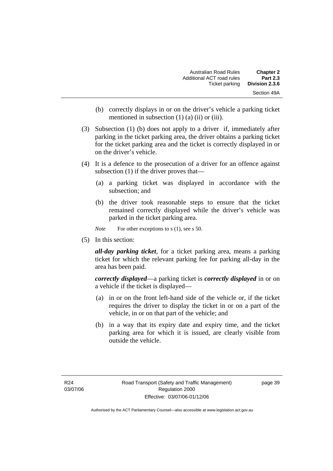| <b>Chapter 2</b> | Australian Road Rules     |
|------------------|---------------------------|
| <b>Part 2.3</b>  | Additional ACT road rules |
| Division 2.3.6   | Ticket parking            |
| Section 49A      |                           |

- (b) correctly displays in or on the driver's vehicle a parking ticket mentioned in subsection (1) (a) (ii) or (iii).
- (3) Subsection (1) (b) does not apply to a driver if, immediately after parking in the ticket parking area, the driver obtains a parking ticket for the ticket parking area and the ticket is correctly displayed in or on the driver's vehicle.
- (4) It is a defence to the prosecution of a driver for an offence against subsection (1) if the driver proves that—
	- (a) a parking ticket was displayed in accordance with the subsection; and
	- (b) the driver took reasonable steps to ensure that the ticket remained correctly displayed while the driver's vehicle was parked in the ticket parking area.

*Note* For other exceptions to s (1), see s 50.

(5) In this section:

*all-day parking ticket*, for a ticket parking area, means a parking ticket for which the relevant parking fee for parking all-day in the area has been paid.

*correctly displayed*—a parking ticket is *correctly displayed* in or on a vehicle if the ticket is displayed—

- (a) in or on the front left-hand side of the vehicle or, if the ticket requires the driver to display the ticket in or on a part of the vehicle, in or on that part of the vehicle; and
- (b) in a way that its expiry date and expiry time, and the ticket parking area for which it is issued, are clearly visible from outside the vehicle.

page 39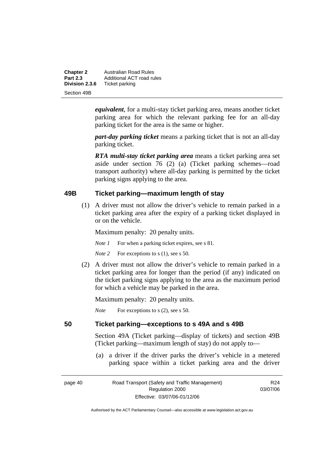| <b>Chapter 2</b> | <b>Australian Road Rules</b> |
|------------------|------------------------------|
| <b>Part 2.3</b>  | Additional ACT road rules    |
| Division 2.3.6   | Ticket parking               |
| Section 49B      |                              |

*equivalent*, for a multi-stay ticket parking area, means another ticket parking area for which the relevant parking fee for an all-day parking ticket for the area is the same or higher.

*part-day parking ticket* means a parking ticket that is not an all-day parking ticket.

*RTA multi-stay ticket parking area* means a ticket parking area set aside under section 76 (2) (a) (Ticket parking schemes—road transport authority) where all-day parking is permitted by the ticket parking signs applying to the area.

### **49B Ticket parking—maximum length of stay**

 (1) A driver must not allow the driver's vehicle to remain parked in a ticket parking area after the expiry of a parking ticket displayed in or on the vehicle.

Maximum penalty: 20 penalty units.

*Note 1* For when a parking ticket expires, see s 81.

*Note* 2 For exceptions to s (1), see s 50.

 (2) A driver must not allow the driver's vehicle to remain parked in a ticket parking area for longer than the period (if any) indicated on the ticket parking signs applying to the area as the maximum period for which a vehicle may be parked in the area.

Maximum penalty: 20 penalty units.

*Note* For exceptions to s (2), see s 50.

### **50 Ticket parking—exceptions to s 49A and s 49B**

Section 49A (Ticket parking—display of tickets) and section 49B (Ticket parking—maximum length of stay) do not apply to—

 (a) a driver if the driver parks the driver's vehicle in a metered parking space within a ticket parking area and the driver

| page 40 |  |
|---------|--|
|---------|--|

page 40 Road Transport (Safety and Traffic Management) Regulation 2000 Effective: 03/07/06-01/12/06

R24 03/07/06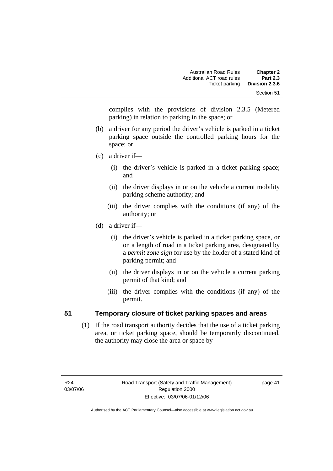complies with the provisions of division 2.3.5 (Metered parking) in relation to parking in the space; or

- (b) a driver for any period the driver's vehicle is parked in a ticket parking space outside the controlled parking hours for the space; or
- (c) a driver if—
	- (i) the driver's vehicle is parked in a ticket parking space; and
	- (ii) the driver displays in or on the vehicle a current mobility parking scheme authority; and
	- (iii) the driver complies with the conditions (if any) of the authority; or
- (d) a driver if—
	- (i) the driver's vehicle is parked in a ticket parking space, or on a length of road in a ticket parking area, designated by a *permit zone sign* for use by the holder of a stated kind of parking permit; and
	- (ii) the driver displays in or on the vehicle a current parking permit of that kind; and
	- (iii) the driver complies with the conditions (if any) of the permit.

# **51 Temporary closure of ticket parking spaces and areas**

 (1) If the road transport authority decides that the use of a ticket parking area, or ticket parking space, should be temporarily discontinued, the authority may close the area or space by—

page 41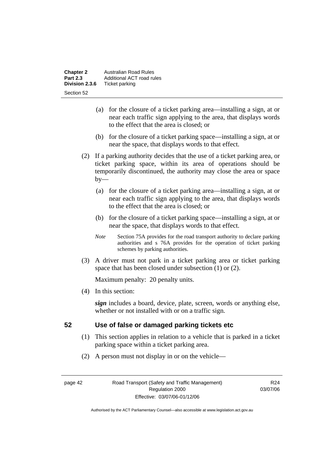| <b>Chapter 2</b> | Australian Road Rules     |  |
|------------------|---------------------------|--|
| <b>Part 2.3</b>  | Additional ACT road rules |  |
| Division 2.3.6   | Ticket parking            |  |
| Section 52       |                           |  |

- (a) for the closure of a ticket parking area—installing a sign, at or near each traffic sign applying to the area, that displays words to the effect that the area is closed; or
- (b) for the closure of a ticket parking space—installing a sign, at or near the space, that displays words to that effect.
- (2) If a parking authority decides that the use of a ticket parking area, or ticket parking space, within its area of operations should be temporarily discontinued, the authority may close the area or space  $by-$ 
	- (a) for the closure of a ticket parking area—installing a sign, at or near each traffic sign applying to the area, that displays words to the effect that the area is closed; or
	- (b) for the closure of a ticket parking space—installing a sign, at or near the space, that displays words to that effect.
	- *Note* Section 75A provides for the road transport authority to declare parking authorities and s 76A provides for the operation of ticket parking schemes by parking authorities.
- (3) A driver must not park in a ticket parking area or ticket parking space that has been closed under subsection (1) or (2).

(4) In this section:

*sign* includes a board, device, plate, screen, words or anything else, whether or not installed with or on a traffic sign.

### **52 Use of false or damaged parking tickets etc**

- (1) This section applies in relation to a vehicle that is parked in a ticket parking space within a ticket parking area.
- (2) A person must not display in or on the vehicle—

page 42 Road Transport (Safety and Traffic Management) Regulation 2000 Effective: 03/07/06-01/12/06

R24 03/07/06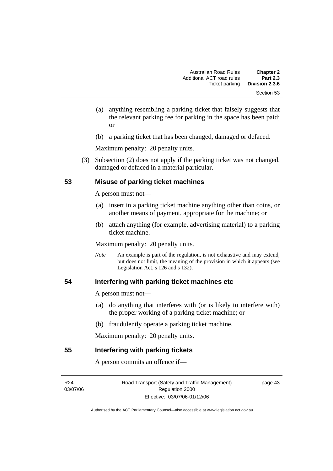- (a) anything resembling a parking ticket that falsely suggests that the relevant parking fee for parking in the space has been paid; or
- (b) a parking ticket that has been changed, damaged or defaced.

 (3) Subsection (2) does not apply if the parking ticket was not changed, damaged or defaced in a material particular.

### **53 Misuse of parking ticket machines**

A person must not—

- (a) insert in a parking ticket machine anything other than coins, or another means of payment, appropriate for the machine; or
- (b) attach anything (for example, advertising material) to a parking ticket machine.

Maximum penalty: 20 penalty units.

*Note* An example is part of the regulation, is not exhaustive and may extend, but does not limit, the meaning of the provision in which it appears (see Legislation Act, s  $126$  and s  $132$ ).

### **54 Interfering with parking ticket machines etc**

A person must not—

- (a) do anything that interferes with (or is likely to interfere with) the proper working of a parking ticket machine; or
- (b) fraudulently operate a parking ticket machine.

Maximum penalty: 20 penalty units.

#### **55 Interfering with parking tickets**

A person commits an offence if—

R24 03/07/06 Road Transport (Safety and Traffic Management) Regulation 2000 Effective: 03/07/06-01/12/06

page 43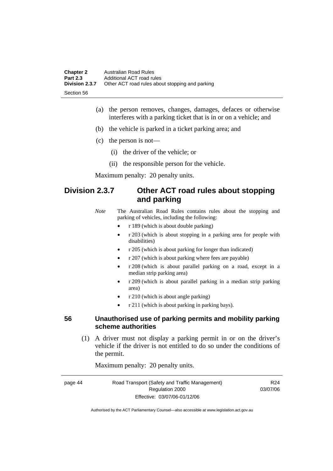| <b>Chapter 2</b> | Australian Road Rules                           |
|------------------|-------------------------------------------------|
| <b>Part 2.3</b>  | Additional ACT road rules                       |
| Division 2.3.7   | Other ACT road rules about stopping and parking |
| -Section 56      |                                                 |

- (a) the person removes, changes, damages, defaces or otherwise interferes with a parking ticket that is in or on a vehicle; and
- (b) the vehicle is parked in a ticket parking area; and
- (c) the person is not—
	- (i) the driver of the vehicle; or
	- (ii) the responsible person for the vehicle.

# **Division 2.3.7 Other ACT road rules about stopping and parking**

*Note* The Australian Road Rules contains rules about the stopping and parking of vehicles, including the following:

- r 189 (which is about double parking)
- r 203 (which is about stopping in a parking area for people with disabilities)
- r 205 (which is about parking for longer than indicated)
- r 207 (which is about parking where fees are payable)
- r 208 (which is about parallel parking on a road, except in a median strip parking area)
- r 209 (which is about parallel parking in a median strip parking area)
- r 210 (which is about angle parking)
- r 211 (which is about parking in parking bays).

### **56 Unauthorised use of parking permits and mobility parking scheme authorities**

 (1) A driver must not display a parking permit in or on the driver's vehicle if the driver is not entitled to do so under the conditions of the permit.

Maximum penalty: 20 penalty units.

| page 44 | Road Transport (Safety and Traffic Management) | R <sub>24</sub> |
|---------|------------------------------------------------|-----------------|
|         | Regulation 2000                                | 03/07/06        |
|         | Effective: 03/07/06-01/12/06                   |                 |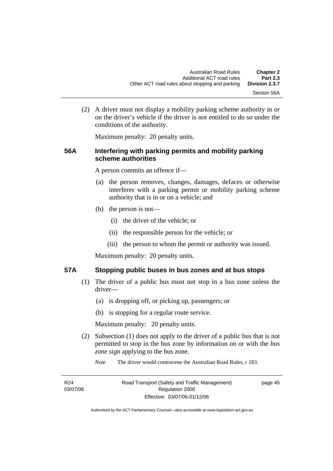(2) A driver must not display a mobility parking scheme authority in or on the driver's vehicle if the driver is not entitled to do so under the conditions of the authority.

Maximum penalty: 20 penalty units.

### **56A Interfering with parking permits and mobility parking scheme authorities**

A person commits an offence if—

- (a) the person removes, changes, damages, defaces or otherwise interferes with a parking permit or mobility parking scheme authority that is in or on a vehicle; and
- (b) the person is not—
	- (i) the driver of the vehicle; or
	- (ii) the responsible person for the vehicle; or
	- (iii) the person to whom the permit or authority was issued.

Maximum penalty: 20 penalty units.

### **57A Stopping public buses in bus zones and at bus stops**

- (1) The driver of a public bus must not stop in a bus zone unless the driver—
	- (a) is dropping off, or picking up, passengers; or
	- (b) is stopping for a regular route service.

Maximum penalty: 20 penalty units.

- (2) Subsection (1) does not apply to the driver of a public bus that is not permitted to stop in the bus zone by information on or with the *bus zone sign* applying to the bus zone.
	- *Note* The driver would contravene the Australian Road Rules, r 183.

| R <sub>24</sub> | Road Transport (Safety and Traffic Management) | page 45 |
|-----------------|------------------------------------------------|---------|
| 03/07/06        | Regulation 2000                                |         |
|                 | Effective: 03/07/06-01/12/06                   |         |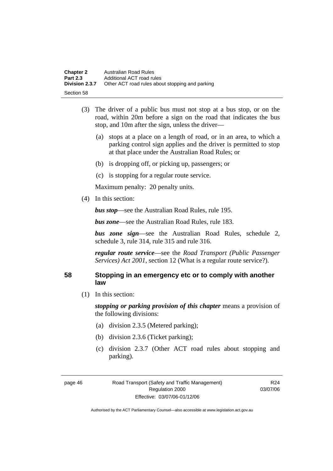| <b>Chapter 2</b> | Australian Road Rules                           |
|------------------|-------------------------------------------------|
| <b>Part 2.3</b>  | Additional ACT road rules                       |
| Division 2.3.7   | Other ACT road rules about stopping and parking |
| Section 58       |                                                 |

- (3) The driver of a public bus must not stop at a bus stop, or on the road, within 20m before a sign on the road that indicates the bus stop, and 10m after the sign, unless the driver—
	- (a) stops at a place on a length of road, or in an area, to which a parking control sign applies and the driver is permitted to stop at that place under the Australian Road Rules; or
	- (b) is dropping off, or picking up, passengers; or
	- (c) is stopping for a regular route service.

(4) In this section:

*bus stop*—see the Australian Road Rules, rule 195.

*bus zone*—see the Australian Road Rules, rule 183.

*bus zone sign*—see the Australian Road Rules, schedule 2, schedule 3, rule 314, rule 315 and rule 316.

*regular route service*—see the *Road Transport (Public Passenger Services) Act 2001*, section 12 (What is a regular route service?).

### **58 Stopping in an emergency etc or to comply with another law**

(1) In this section:

*stopping or parking provision of this chapter* means a provision of the following divisions:

- (a) division 2.3.5 (Metered parking);
- (b) division 2.3.6 (Ticket parking);
- (c) division 2.3.7 (Other ACT road rules about stopping and parking).

R24 03/07/06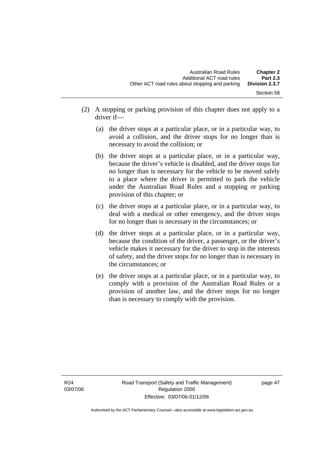- (2) A stopping or parking provision of this chapter does not apply to a driver if—
	- (a) the driver stops at a particular place, or in a particular way, to avoid a collision, and the driver stops for no longer than is necessary to avoid the collision; or
	- (b) the driver stops at a particular place, or in a particular way, because the driver's vehicle is disabled, and the driver stops for no longer than is necessary for the vehicle to be moved safely to a place where the driver is permitted to park the vehicle under the Australian Road Rules and a stopping or parking provision of this chapter; or
	- (c) the driver stops at a particular place, or in a particular way, to deal with a medical or other emergency, and the driver stops for no longer than is necessary in the circumstances; or
	- (d) the driver stops at a particular place, or in a particular way, because the condition of the driver, a passenger, or the driver's vehicle makes it necessary for the driver to stop in the interests of safety, and the driver stops for no longer than is necessary in the circumstances; or
	- (e) the driver stops at a particular place, or in a particular way, to comply with a provision of the Australian Road Rules or a provision of another law, and the driver stops for no longer than is necessary to comply with the provision.

page 47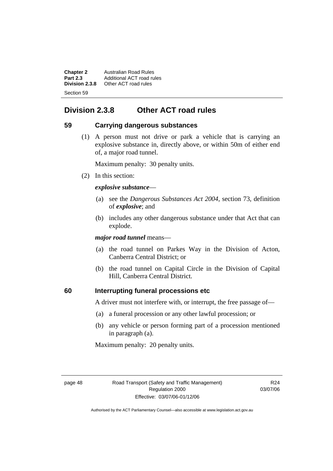**Chapter 2** Australian Road Rules<br>**Part 2.3** Additional ACT road ru **Part 2.3** Additional ACT road rules<br>**Division 2.3.8** Other ACT road rules **Division 2.3.8** Other ACT road rules Section 59

# **Division 2.3.8 Other ACT road rules**

### **59 Carrying dangerous substances**

 (1) A person must not drive or park a vehicle that is carrying an explosive substance in, directly above, or within 50m of either end of, a major road tunnel.

Maximum penalty: 30 penalty units.

(2) In this section:

### *explosive substance*—

- (a) see the *Dangerous Substances Act 2004*, section 73, definition of *explosive*; and
- (b) includes any other dangerous substance under that Act that can explode.

*major road tunnel* means—

- (a) the road tunnel on Parkes Way in the Division of Acton, Canberra Central District; or
- (b) the road tunnel on Capital Circle in the Division of Capital Hill, Canberra Central District.

### **60 Interrupting funeral processions etc**

A driver must not interfere with, or interrupt, the free passage of—

- (a) a funeral procession or any other lawful procession; or
- (b) any vehicle or person forming part of a procession mentioned in paragraph (a).

Maximum penalty: 20 penalty units.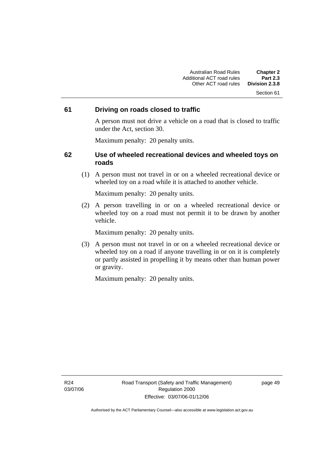#### Section 61

### **61 Driving on roads closed to traffic**

A person must not drive a vehicle on a road that is closed to traffic under the Act, section 30.

Maximum penalty: 20 penalty units.

### **62 Use of wheeled recreational devices and wheeled toys on roads**

 (1) A person must not travel in or on a wheeled recreational device or wheeled toy on a road while it is attached to another vehicle.

Maximum penalty: 20 penalty units.

 (2) A person travelling in or on a wheeled recreational device or wheeled toy on a road must not permit it to be drawn by another vehicle.

Maximum penalty: 20 penalty units.

 (3) A person must not travel in or on a wheeled recreational device or wheeled toy on a road if anyone travelling in or on it is completely or partly assisted in propelling it by means other than human power or gravity.

Maximum penalty: 20 penalty units.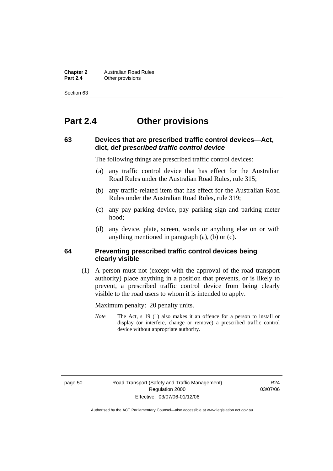**Chapter 2** Australian Road Rules<br>**Part 2.4** Other provisions **Other provisions** 

Section 63

# **Part 2.4 Other provisions**

### **63 Devices that are prescribed traffic control devices—Act, dict, def** *prescribed traffic control device*

The following things are prescribed traffic control devices:

- (a) any traffic control device that has effect for the Australian Road Rules under the Australian Road Rules, rule 315;
- (b) any traffic-related item that has effect for the Australian Road Rules under the Australian Road Rules, rule 319;
- (c) any pay parking device, pay parking sign and parking meter hood;
- (d) any device, plate, screen, words or anything else on or with anything mentioned in paragraph (a), (b) or (c).

### **64 Preventing prescribed traffic control devices being clearly visible**

 (1) A person must not (except with the approval of the road transport authority) place anything in a position that prevents, or is likely to prevent, a prescribed traffic control device from being clearly visible to the road users to whom it is intended to apply.

Maximum penalty: 20 penalty units.

*Note* The Act, s 19 (1) also makes it an offence for a person to install or display (or interfere, change or remove) a prescribed traffic control device without appropriate authority.

page 50 Road Transport (Safety and Traffic Management) Regulation 2000 Effective: 03/07/06-01/12/06

R24 03/07/06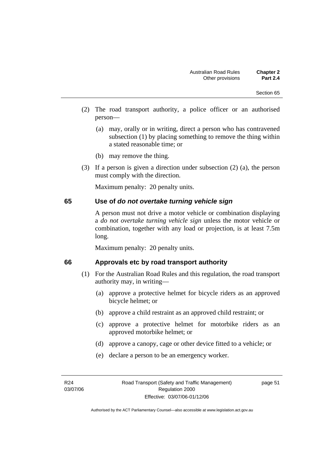- (2) The road transport authority, a police officer or an authorised person—
	- (a) may, orally or in writing, direct a person who has contravened subsection (1) by placing something to remove the thing within a stated reasonable time; or
	- (b) may remove the thing.
- (3) If a person is given a direction under subsection (2) (a), the person must comply with the direction.

### **65 Use of** *do not overtake turning vehicle sign*

A person must not drive a motor vehicle or combination displaying a *do not overtake turning vehicle sign* unless the motor vehicle or combination, together with any load or projection, is at least 7.5m long.

Maximum penalty: 20 penalty units.

#### **66 Approvals etc by road transport authority**

- (1) For the Australian Road Rules and this regulation, the road transport authority may, in writing—
	- (a) approve a protective helmet for bicycle riders as an approved bicycle helmet; or
	- (b) approve a child restraint as an approved child restraint; or
	- (c) approve a protective helmet for motorbike riders as an approved motorbike helmet; or
	- (d) approve a canopy, cage or other device fitted to a vehicle; or
	- (e) declare a person to be an emergency worker.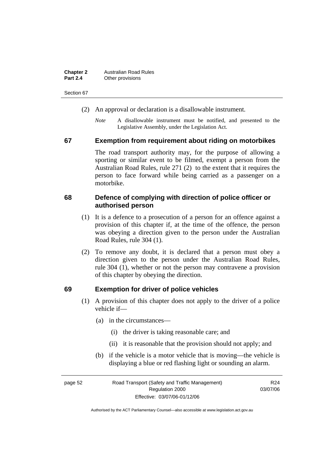| <b>Chapter 2</b> | <b>Australian Road Rules</b> |
|------------------|------------------------------|
| <b>Part 2.4</b>  | Other provisions             |

Section 67

- (2) An approval or declaration is a disallowable instrument.
	- *Note* A disallowable instrument must be notified, and presented to the Legislative Assembly, under the Legislation Act.

#### **67 Exemption from requirement about riding on motorbikes**

The road transport authority may, for the purpose of allowing a sporting or similar event to be filmed, exempt a person from the Australian Road Rules, rule 271 (2) to the extent that it requires the person to face forward while being carried as a passenger on a motorbike.

### **68 Defence of complying with direction of police officer or authorised person**

- (1) It is a defence to a prosecution of a person for an offence against a provision of this chapter if, at the time of the offence, the person was obeying a direction given to the person under the Australian Road Rules, rule 304 (1).
- (2) To remove any doubt, it is declared that a person must obey a direction given to the person under the Australian Road Rules, rule 304 (1), whether or not the person may contravene a provision of this chapter by obeying the direction.

#### **69 Exemption for driver of police vehicles**

- (1) A provision of this chapter does not apply to the driver of a police vehicle if—
	- (a) in the circumstances—
		- (i) the driver is taking reasonable care; and
		- (ii) it is reasonable that the provision should not apply; and
	- (b) if the vehicle is a motor vehicle that is moving—the vehicle is displaying a blue or red flashing light or sounding an alarm.

| page 52 | Road Transport (Safety and Traffic Management) | R <sub>24</sub> |
|---------|------------------------------------------------|-----------------|
|         | Regulation 2000                                | 03/07/06        |
|         | Effective: 03/07/06-01/12/06                   |                 |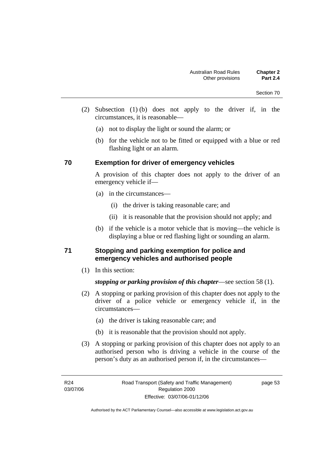- (2) Subsection (1) (b) does not apply to the driver if, in the circumstances, it is reasonable—
	- (a) not to display the light or sound the alarm; or
	- (b) for the vehicle not to be fitted or equipped with a blue or red flashing light or an alarm.

### **70 Exemption for driver of emergency vehicles**

A provision of this chapter does not apply to the driver of an emergency vehicle if—

- (a) in the circumstances—
	- (i) the driver is taking reasonable care; and
	- (ii) it is reasonable that the provision should not apply; and
- (b) if the vehicle is a motor vehicle that is moving—the vehicle is displaying a blue or red flashing light or sounding an alarm.

### **71 Stopping and parking exemption for police and emergency vehicles and authorised people**

(1) In this section:

*stopping or parking provision of this chapter*—see section 58 (1).

- (2) A stopping or parking provision of this chapter does not apply to the driver of a police vehicle or emergency vehicle if, in the circumstances—
	- (a) the driver is taking reasonable care; and
	- (b) it is reasonable that the provision should not apply.
- (3) A stopping or parking provision of this chapter does not apply to an authorised person who is driving a vehicle in the course of the person's duty as an authorised person if, in the circumstances—

page 53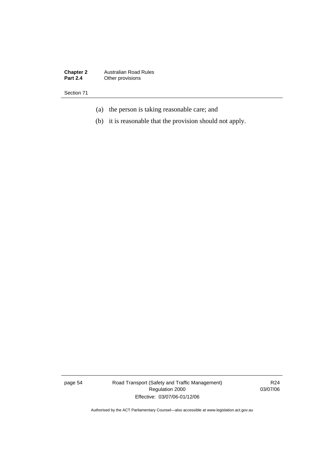**Chapter 2** Australian Road Rules **Part 2.4** Other provisions

Section 71

- (a) the person is taking reasonable care; and
- (b) it is reasonable that the provision should not apply.

page 54 Road Transport (Safety and Traffic Management) Regulation 2000 Effective: 03/07/06-01/12/06

R24 03/07/06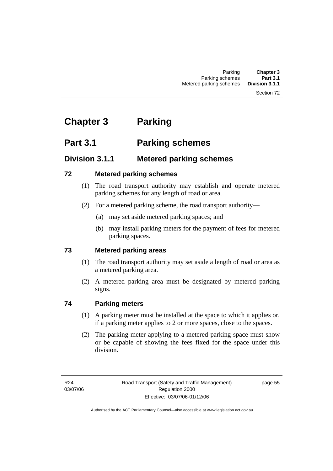#### Section 72

# **Chapter 3 Parking**

# **Part 3.1 Parking schemes**

# **Division 3.1.1 Metered parking schemes**

### **72 Metered parking schemes**

- (1) The road transport authority may establish and operate metered parking schemes for any length of road or area.
- (2) For a metered parking scheme, the road transport authority—
	- (a) may set aside metered parking spaces; and
	- (b) may install parking meters for the payment of fees for metered parking spaces.

## **73 Metered parking areas**

- (1) The road transport authority may set aside a length of road or area as a metered parking area.
- (2) A metered parking area must be designated by metered parking signs.

# **74 Parking meters**

- (1) A parking meter must be installed at the space to which it applies or, if a parking meter applies to 2 or more spaces, close to the spaces.
- (2) The parking meter applying to a metered parking space must show or be capable of showing the fees fixed for the space under this division.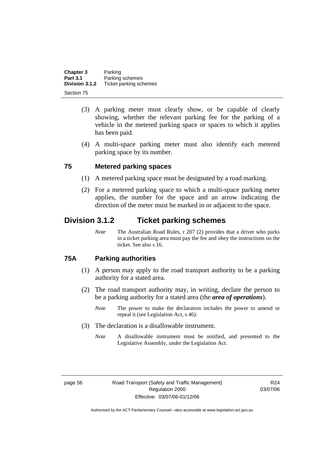| Chapter 3       | Parking                |
|-----------------|------------------------|
| <b>Part 3.1</b> | Parking schemes        |
| Division 3.1.2  | Ticket parking schemes |
| Section 75      |                        |

- (3) A parking meter must clearly show, or be capable of clearly showing, whether the relevant parking fee for the parking of a vehicle in the metered parking space or spaces to which it applies has been paid.
- (4) A multi-space parking meter must also identify each metered parking space by its number.

### **75 Metered parking spaces**

- (1) A metered parking space must be designated by a road marking.
- (2) For a metered parking space to which a multi-space parking meter applies, the number for the space and an arrow indicating the direction of the meter must be marked in or adjacent to the space.

# **Division 3.1.2 Ticket parking schemes**

*Note* The Australian Road Rules, r 207 (2) provides that a driver who parks in a ticket parking area must pay the fee and obey the instructions on the ticket. See also s 16.

### **75A Parking authorities**

- (1) A person may apply to the road transport authority to be a parking authority for a stated area.
- (2) The road transport authority may, in writing, declare the person to be a parking authority for a stated area (the *area of operations*).
	- *Note* The power to make the declaration includes the power to amend or repeal it (see Legislation Act, s 46).
- (3) The declaration is a disallowable instrument.
	- *Note* A disallowable instrument must be notified, and presented to the Legislative Assembly, under the Legislation Act.

R24 03/07/06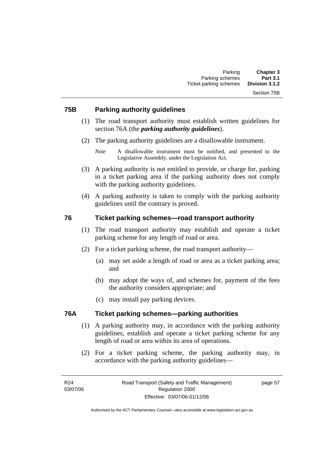### **75B Parking authority guidelines**

- (1) The road transport authority must establish written guidelines for section 76A (the *parking authority guidelines*).
- (2) The parking authority guidelines are a disallowable instrument.

- (3) A parking authority is not entitled to provide, or charge for, parking in a ticket parking area if the parking authority does not comply with the parking authority guidelines.
- (4) A parking authority is taken to comply with the parking authority guidelines until the contrary is proved.

### **76 Ticket parking schemes—road transport authority**

- (1) The road transport authority may establish and operate a ticket parking scheme for any length of road or area.
- (2) For a ticket parking scheme, the road transport authority—
	- (a) may set aside a length of road or area as a ticket parking area; and
	- (b) may adopt the ways of, and schemes for, payment of the fees the authority considers appropriate; and
	- (c) may install pay parking devices.

### **76A Ticket parking schemes—parking authorities**

- (1) A parking authority may, in accordance with the parking authority guidelines, establish and operate a ticket parking scheme for any length of road or area within its area of operations.
- (2) For a ticket parking scheme, the parking authority may, in accordance with the parking authority guidelines—

*Note* A disallowable instrument must be notified, and presented to the Legislative Assembly, under the Legislation Act.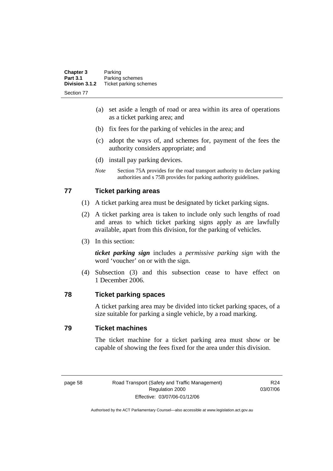| <b>Chapter 3</b><br><b>Part 3.1</b> | Parking<br>Parking schemes |
|-------------------------------------|----------------------------|
| Division 3.1.2                      | Ticket parking schemes     |
| Section 77                          |                            |

- (a) set aside a length of road or area within its area of operations as a ticket parking area; and
- (b) fix fees for the parking of vehicles in the area; and
- (c) adopt the ways of, and schemes for, payment of the fees the authority considers appropriate; and
- (d) install pay parking devices.
- *Note* Section 75A provides for the road transport authority to declare parking authorities and s 75B provides for parking authority guidelines.

### **77 Ticket parking areas**

- (1) A ticket parking area must be designated by ticket parking signs.
- (2) A ticket parking area is taken to include only such lengths of road and areas to which ticket parking signs apply as are lawfully available, apart from this division, for the parking of vehicles.
- (3) In this section:

*ticket parking sign* includes a *permissive parking sign* with the word 'voucher' on or with the sign.

 (4) Subsection (3) and this subsection cease to have effect on 1 December 2006.

#### **78 Ticket parking spaces**

A ticket parking area may be divided into ticket parking spaces, of a size suitable for parking a single vehicle, by a road marking.

### **79 Ticket machines**

The ticket machine for a ticket parking area must show or be capable of showing the fees fixed for the area under this division.

page 58 Road Transport (Safety and Traffic Management) Regulation 2000 Effective: 03/07/06-01/12/06

R24 03/07/06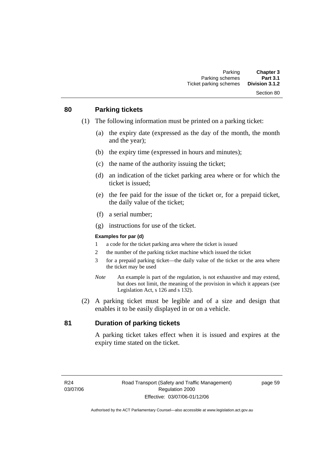# **80 Parking tickets**

- (1) The following information must be printed on a parking ticket:
	- (a) the expiry date (expressed as the day of the month, the month and the year);
	- (b) the expiry time (expressed in hours and minutes);
	- (c) the name of the authority issuing the ticket;
	- (d) an indication of the ticket parking area where or for which the ticket is issued;
	- (e) the fee paid for the issue of the ticket or, for a prepaid ticket, the daily value of the ticket;
	- (f) a serial number;
	- (g) instructions for use of the ticket.

#### **Examples for par (d)**

- 1 a code for the ticket parking area where the ticket is issued
- 2 the number of the parking ticket machine which issued the ticket
- 3 for a prepaid parking ticket—the daily value of the ticket or the area where the ticket may be used
- *Note* An example is part of the regulation, is not exhaustive and may extend, but does not limit, the meaning of the provision in which it appears (see Legislation Act, s 126 and s 132).
- (2) A parking ticket must be legible and of a size and design that enables it to be easily displayed in or on a vehicle.

### **81 Duration of parking tickets**

A parking ticket takes effect when it is issued and expires at the expiry time stated on the ticket.

page 59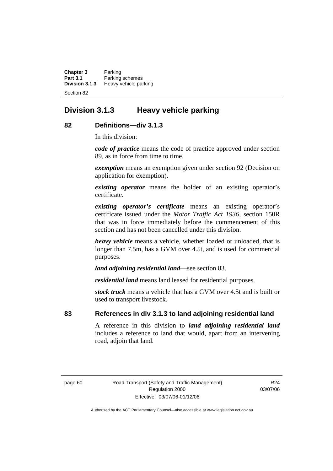**Chapter 3** Parking **Part 3.1 Parking schemes**<br>**Division 3.1.3 Heavy vehicle part Division 3.1.3** Heavy vehicle parking Section 82

# **Division 3.1.3 Heavy vehicle parking**

### **82 Definitions—div 3.1.3**

In this division:

*code of practice* means the code of practice approved under section 89, as in force from time to time.

*exemption* means an exemption given under section 92 (Decision on application for exemption).

*existing operator* means the holder of an existing operator's certificate.

*existing operator's certificate* means an existing operator's certificate issued under the *Motor Traffic Act 1936,* section 150R that was in force immediately before the commencement of this section and has not been cancelled under this division.

*heavy vehicle* means a vehicle, whether loaded or unloaded, that is longer than 7.5m, has a GVM over 4.5t, and is used for commercial purposes.

*land adjoining residential land*—see section 83.

*residential land* means land leased for residential purposes.

*stock truck* means a vehicle that has a GVM over 4.5t and is built or used to transport livestock.

### **83 References in div 3.1.3 to land adjoining residential land**

A reference in this division to *land adjoining residential land* includes a reference to land that would, apart from an intervening road, adjoin that land.

R24 03/07/06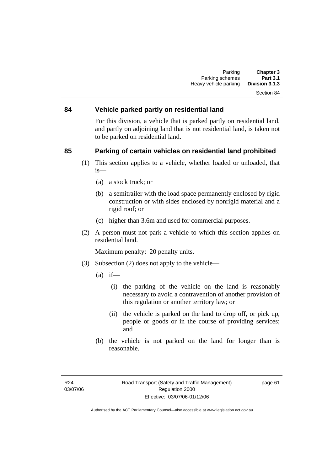# **84 Vehicle parked partly on residential land**

For this division, a vehicle that is parked partly on residential land, and partly on adjoining land that is not residential land, is taken not to be parked on residential land.

### **85 Parking of certain vehicles on residential land prohibited**

- (1) This section applies to a vehicle, whether loaded or unloaded, that is—
	- (a) a stock truck; or
	- (b) a semitrailer with the load space permanently enclosed by rigid construction or with sides enclosed by nonrigid material and a rigid roof; or
	- (c) higher than 3.6m and used for commercial purposes.
- (2) A person must not park a vehicle to which this section applies on residential land.

Maximum penalty: 20 penalty units.

- (3) Subsection (2) does not apply to the vehicle—
	- $(a)$  if—
		- (i) the parking of the vehicle on the land is reasonably necessary to avoid a contravention of another provision of this regulation or another territory law; or
		- (ii) the vehicle is parked on the land to drop off, or pick up, people or goods or in the course of providing services; and
	- (b) the vehicle is not parked on the land for longer than is reasonable.

page 61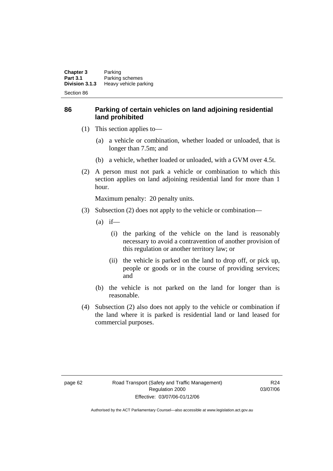**Chapter 3** Parking<br>**Part 3.1** Parking **Part 3.1 Parking schemes**<br>**Division 3.1.3 Heavy vehicle part Heavy vehicle parking** Section 86

**86 Parking of certain vehicles on land adjoining residential land prohibited** 

- (1) This section applies to—
	- (a) a vehicle or combination, whether loaded or unloaded, that is longer than 7.5m; and
	- (b) a vehicle, whether loaded or unloaded, with a GVM over 4.5t.
- (2) A person must not park a vehicle or combination to which this section applies on land adjoining residential land for more than 1 hour.

Maximum penalty: 20 penalty units.

- (3) Subsection (2) does not apply to the vehicle or combination—
	- $(a)$  if—
		- (i) the parking of the vehicle on the land is reasonably necessary to avoid a contravention of another provision of this regulation or another territory law; or
		- (ii) the vehicle is parked on the land to drop off, or pick up, people or goods or in the course of providing services; and
	- (b) the vehicle is not parked on the land for longer than is reasonable.
- (4) Subsection (2) also does not apply to the vehicle or combination if the land where it is parked is residential land or land leased for commercial purposes.

R24 03/07/06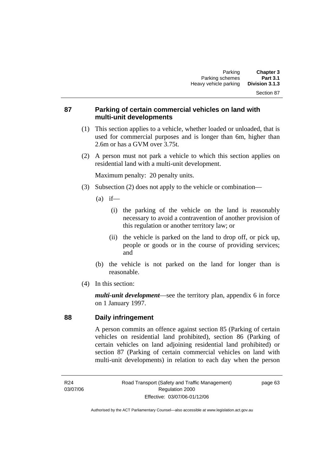#### Section 87

### **87 Parking of certain commercial vehicles on land with multi-unit developments**

- (1) This section applies to a vehicle, whether loaded or unloaded, that is used for commercial purposes and is longer than 6m, higher than 2.6m or has a GVM over 3.75t.
- (2) A person must not park a vehicle to which this section applies on residential land with a multi-unit development.

Maximum penalty: 20 penalty units.

- (3) Subsection (2) does not apply to the vehicle or combination—
	- $(a)$  if—
		- (i) the parking of the vehicle on the land is reasonably necessary to avoid a contravention of another provision of this regulation or another territory law; or
		- (ii) the vehicle is parked on the land to drop off, or pick up, people or goods or in the course of providing services; and
	- (b) the vehicle is not parked on the land for longer than is reasonable.
- (4) In this section:

*multi-unit development*—see the territory plan, appendix 6 in force on 1 January 1997.

### **88 Daily infringement**

A person commits an offence against section 85 (Parking of certain vehicles on residential land prohibited), section 86 (Parking of certain vehicles on land adjoining residential land prohibited) or section 87 (Parking of certain commercial vehicles on land with multi-unit developments) in relation to each day when the person

R24 03/07/06 page 63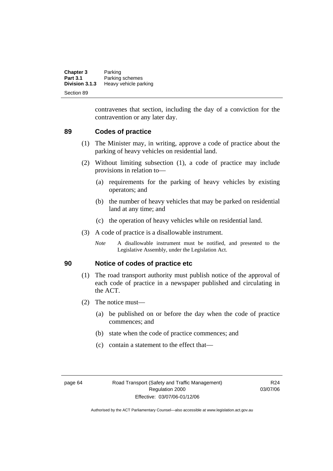| <b>Chapter 3</b> | Parking               |
|------------------|-----------------------|
| <b>Part 3.1</b>  | Parking schemes       |
| Division 3.1.3   | Heavy vehicle parking |
| Section 89       |                       |

contravenes that section, including the day of a conviction for the contravention or any later day.

### **89 Codes of practice**

- (1) The Minister may, in writing, approve a code of practice about the parking of heavy vehicles on residential land.
- (2) Without limiting subsection (1), a code of practice may include provisions in relation to—
	- (a) requirements for the parking of heavy vehicles by existing operators; and
	- (b) the number of heavy vehicles that may be parked on residential land at any time; and
	- (c) the operation of heavy vehicles while on residential land.
- (3) A code of practice is a disallowable instrument.
	- *Note* A disallowable instrument must be notified, and presented to the Legislative Assembly, under the Legislation Act.

### **90 Notice of codes of practice etc**

- (1) The road transport authority must publish notice of the approval of each code of practice in a newspaper published and circulating in the ACT.
- (2) The notice must—
	- (a) be published on or before the day when the code of practice commences; and
	- (b) state when the code of practice commences; and
	- (c) contain a statement to the effect that—

R24 03/07/06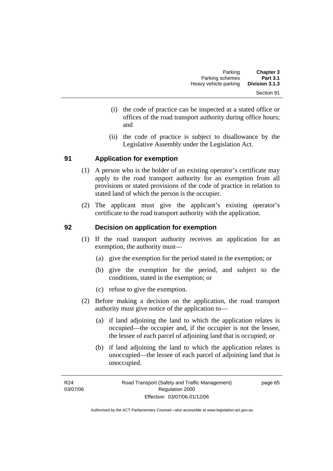- (i) the code of practice can be inspected at a stated office or offices of the road transport authority during office hours; and
- (ii) the code of practice is subject to disallowance by the Legislative Assembly under the Legislation Act.

### **91 Application for exemption**

- (1) A person who is the holder of an existing operator's certificate may apply to the road transport authority for an exemption from all provisions or stated provisions of the code of practice in relation to stated land of which the person is the occupier.
- (2) The applicant must give the applicant's existing operator's certificate to the road transport authority with the application.

### **92 Decision on application for exemption**

- (1) If the road transport authority receives an application for an exemption, the authority must—
	- (a) give the exemption for the period stated in the exemption; or
	- (b) give the exemption for the period, and subject to the conditions, stated in the exemption; or
	- (c) refuse to give the exemption.
- (2) Before making a decision on the application, the road transport authority must give notice of the application to—
	- (a) if land adjoining the land to which the application relates is occupied—the occupier and, if the occupier is not the lessee, the lessee of each parcel of adjoining land that is occupied; or
	- (b) if land adjoining the land to which the application relates is unoccupied—the lessee of each parcel of adjoining land that is unoccupied.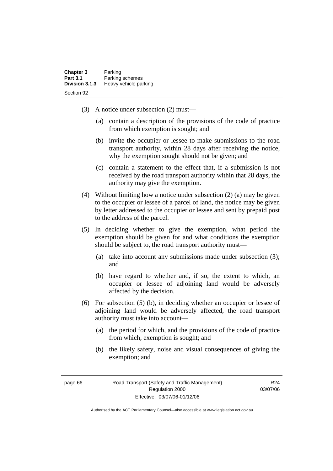| <b>Chapter 3</b> | Parking               |
|------------------|-----------------------|
| <b>Part 3.1</b>  | Parking schemes       |
| Division 3.1.3   | Heavy vehicle parking |
| Section 92       |                       |

- (3) A notice under subsection (2) must—
	- (a) contain a description of the provisions of the code of practice from which exemption is sought; and
	- (b) invite the occupier or lessee to make submissions to the road transport authority, within 28 days after receiving the notice, why the exemption sought should not be given; and
	- (c) contain a statement to the effect that, if a submission is not received by the road transport authority within that 28 days, the authority may give the exemption.
- (4) Without limiting how a notice under subsection (2) (a) may be given to the occupier or lessee of a parcel of land, the notice may be given by letter addressed to the occupier or lessee and sent by prepaid post to the address of the parcel.
- (5) In deciding whether to give the exemption, what period the exemption should be given for and what conditions the exemption should be subject to, the road transport authority must—
	- (a) take into account any submissions made under subsection (3); and
	- (b) have regard to whether and, if so, the extent to which, an occupier or lessee of adjoining land would be adversely affected by the decision.
- (6) For subsection (5) (b), in deciding whether an occupier or lessee of adjoining land would be adversely affected, the road transport authority must take into account—
	- (a) the period for which, and the provisions of the code of practice from which, exemption is sought; and
	- (b) the likely safety, noise and visual consequences of giving the exemption; and

R24 03/07/06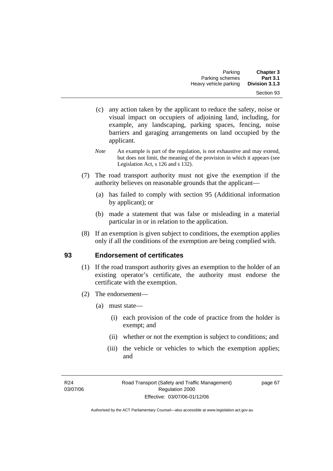- (c) any action taken by the applicant to reduce the safety, noise or visual impact on occupiers of adjoining land, including, for example, any landscaping, parking spaces, fencing, noise barriers and garaging arrangements on land occupied by the applicant.
- *Note* An example is part of the regulation, is not exhaustive and may extend, but does not limit, the meaning of the provision in which it appears (see Legislation Act, s 126 and s 132).
- (7) The road transport authority must not give the exemption if the authority believes on reasonable grounds that the applicant—
	- (a) has failed to comply with section 95 (Additional information by applicant); or
	- (b) made a statement that was false or misleading in a material particular in or in relation to the application.
- (8) If an exemption is given subject to conditions, the exemption applies only if all the conditions of the exemption are being complied with.

### **93 Endorsement of certificates**

- (1) If the road transport authority gives an exemption to the holder of an existing operator's certificate, the authority must endorse the certificate with the exemption.
- (2) The endorsement—
	- (a) must state—
		- (i) each provision of the code of practice from the holder is exempt; and
		- (ii) whether or not the exemption is subject to conditions; and
		- (iii) the vehicle or vehicles to which the exemption applies; and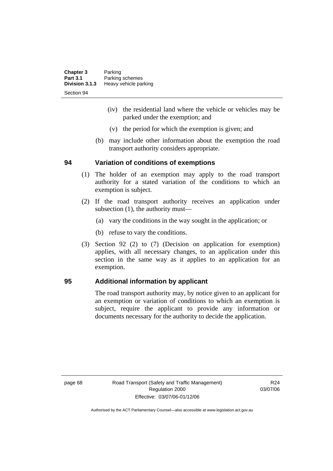| <b>Chapter 3</b> | Parking               |
|------------------|-----------------------|
| <b>Part 3.1</b>  | Parking schemes       |
| Division 3.1.3   | Heavy vehicle parking |
| Section 94       |                       |

- (iv) the residential land where the vehicle or vehicles may be parked under the exemption; and
- (v) the period for which the exemption is given; and
- (b) may include other information about the exemption the road transport authority considers appropriate.

### **94 Variation of conditions of exemptions**

- (1) The holder of an exemption may apply to the road transport authority for a stated variation of the conditions to which an exemption is subject.
- (2) If the road transport authority receives an application under subsection (1), the authority must—
	- (a) vary the conditions in the way sought in the application; or
	- (b) refuse to vary the conditions.
- (3) Section 92 (2) to (7) (Decision on application for exemption) applies, with all necessary changes, to an application under this section in the same way as it applies to an application for an exemption.

### **95 Additional information by applicant**

The road transport authority may, by notice given to an applicant for an exemption or variation of conditions to which an exemption is subject, require the applicant to provide any information or documents necessary for the authority to decide the application.

page 68 Road Transport (Safety and Traffic Management) Regulation 2000 Effective: 03/07/06-01/12/06

R24 03/07/06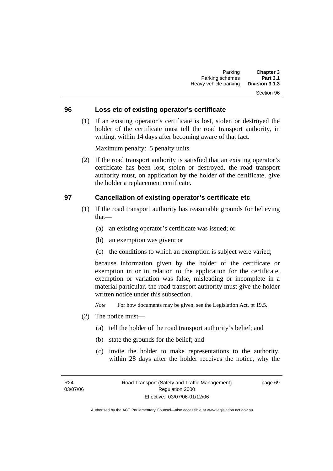## Section 96

#### **96 Loss etc of existing operator's certificate**

 (1) If an existing operator's certificate is lost, stolen or destroyed the holder of the certificate must tell the road transport authority, in writing, within 14 days after becoming aware of that fact.

Maximum penalty: 5 penalty units.

 (2) If the road transport authority is satisfied that an existing operator's certificate has been lost, stolen or destroyed, the road transport authority must, on application by the holder of the certificate, give the holder a replacement certificate.

#### **97 Cancellation of existing operator's certificate etc**

- (1) If the road transport authority has reasonable grounds for believing that—
	- (a) an existing operator's certificate was issued; or
	- (b) an exemption was given; or
	- (c) the conditions to which an exemption is subject were varied;

because information given by the holder of the certificate or exemption in or in relation to the application for the certificate, exemption or variation was false, misleading or incomplete in a material particular, the road transport authority must give the holder written notice under this subsection.

*Note* For how documents may be given, see the Legislation Act, pt 19.5.

- (2) The notice must—
	- (a) tell the holder of the road transport authority's belief; and
	- (b) state the grounds for the belief; and
	- (c) invite the holder to make representations to the authority, within 28 days after the holder receives the notice, why the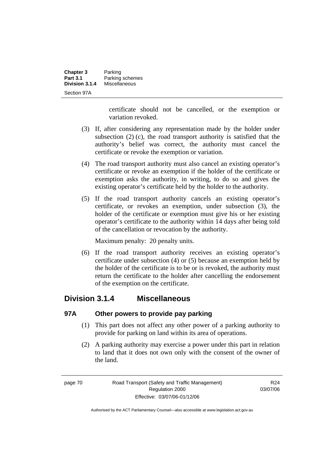| <b>Chapter 3</b> | Parking         |
|------------------|-----------------|
| <b>Part 3.1</b>  | Parking schemes |
| Division 3.1.4   | Miscellaneous   |
| Section 97A      |                 |

certificate should not be cancelled, or the exemption or variation revoked.

- (3) If, after considering any representation made by the holder under subsection (2) (c), the road transport authority is satisfied that the authority's belief was correct, the authority must cancel the certificate or revoke the exemption or variation.
- (4) The road transport authority must also cancel an existing operator's certificate or revoke an exemption if the holder of the certificate or exemption asks the authority, in writing, to do so and gives the existing operator's certificate held by the holder to the authority.
- (5) If the road transport authority cancels an existing operator's certificate, or revokes an exemption, under subsection (3), the holder of the certificate or exemption must give his or her existing operator's certificate to the authority within 14 days after being told of the cancellation or revocation by the authority.

Maximum penalty: 20 penalty units.

 (6) If the road transport authority receives an existing operator's certificate under subsection (4) or (5) because an exemption held by the holder of the certificate is to be or is revoked, the authority must return the certificate to the holder after cancelling the endorsement of the exemption on the certificate.

### **Division 3.1.4 Miscellaneous**

### **97A Other powers to provide pay parking**

- (1) This part does not affect any other power of a parking authority to provide for parking on land within its area of operations.
- (2) A parking authority may exercise a power under this part in relation to land that it does not own only with the consent of the owner of the land.

page 70 Road Transport (Safety and Traffic Management) Regulation 2000 Effective: 03/07/06-01/12/06

R24 03/07/06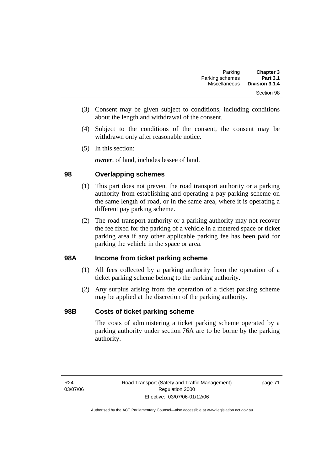- (3) Consent may be given subject to conditions, including conditions about the length and withdrawal of the consent.
- (4) Subject to the conditions of the consent, the consent may be withdrawn only after reasonable notice.
- (5) In this section:

*owner*, of land, includes lessee of land.

### **98 Overlapping schemes**

- (1) This part does not prevent the road transport authority or a parking authority from establishing and operating a pay parking scheme on the same length of road, or in the same area, where it is operating a different pay parking scheme.
- (2) The road transport authority or a parking authority may not recover the fee fixed for the parking of a vehicle in a metered space or ticket parking area if any other applicable parking fee has been paid for parking the vehicle in the space or area.

### **98A Income from ticket parking scheme**

- (1) All fees collected by a parking authority from the operation of a ticket parking scheme belong to the parking authority.
- (2) Any surplus arising from the operation of a ticket parking scheme may be applied at the discretion of the parking authority.

### **98B Costs of ticket parking scheme**

The costs of administering a ticket parking scheme operated by a parking authority under section 76A are to be borne by the parking authority.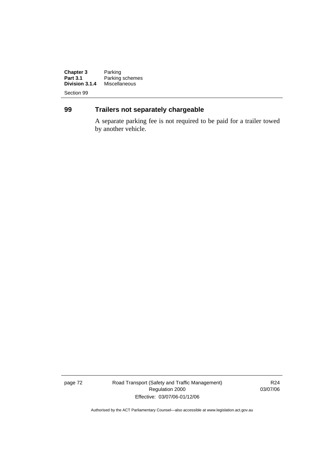**Chapter 3**<br>Part 3.1 **Chapter 3** Parking<br> **Part 3.1** Parking schemes<br> **Division 3.1.4** Miscellaneous **Division 3.1.4** Miscellaneous

Section 99

### **99 Trailers not separately chargeable**

A separate parking fee is not required to be paid for a trailer towed by another vehicle.

page 72 Road Transport (Safety and Traffic Management) Regulation 2000 Effective: 03/07/06-01/12/06

R24 03/07/06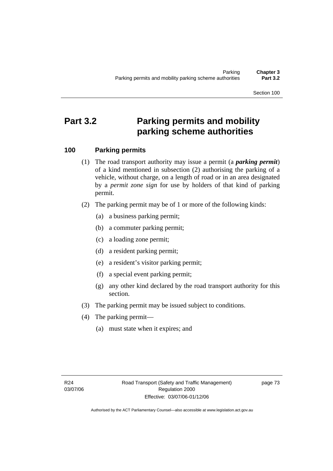Section 100

# **Part 3.2 Parking permits and mobility parking scheme authorities**

### **100 Parking permits**

- (1) The road transport authority may issue a permit (a *parking permit*) of a kind mentioned in subsection (2) authorising the parking of a vehicle, without charge, on a length of road or in an area designated by a *permit zone sign* for use by holders of that kind of parking permit.
- (2) The parking permit may be of 1 or more of the following kinds:
	- (a) a business parking permit;
	- (b) a commuter parking permit;
	- (c) a loading zone permit;
	- (d) a resident parking permit;
	- (e) a resident's visitor parking permit;
	- (f) a special event parking permit;
	- (g) any other kind declared by the road transport authority for this section.
- (3) The parking permit may be issued subject to conditions.
- (4) The parking permit—
	- (a) must state when it expires; and

page 73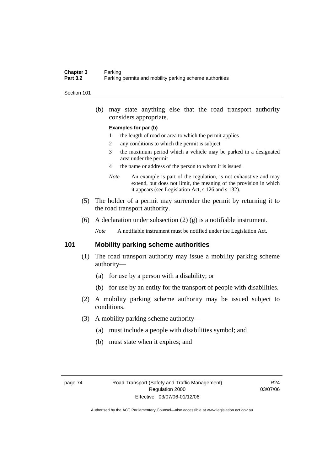#### **Chapter 3** Parking<br>**Part 3.2** Parking Parking permits and mobility parking scheme authorities

#### Section 101

 (b) may state anything else that the road transport authority considers appropriate.

#### **Examples for par (b)**

- 1 the length of road or area to which the permit applies
- 2 any conditions to which the permit is subject
- 3 the maximum period which a vehicle may be parked in a designated area under the permit
- 4 the name or address of the person to whom it is issued
- *Note* An example is part of the regulation, is not exhaustive and may extend, but does not limit, the meaning of the provision in which it appears (see Legislation Act, s 126 and s 132).
- (5) The holder of a permit may surrender the permit by returning it to the road transport authority.
- (6) A declaration under subsection (2) (g) is a notifiable instrument.

*Note* A notifiable instrument must be notified under the Legislation Act.

### **101 Mobility parking scheme authorities**

- (1) The road transport authority may issue a mobility parking scheme authority—
	- (a) for use by a person with a disability; or
	- (b) for use by an entity for the transport of people with disabilities.
- (2) A mobility parking scheme authority may be issued subject to conditions.
- (3) A mobility parking scheme authority—
	- (a) must include a people with disabilities symbol; and
	- (b) must state when it expires; and

R24 03/07/06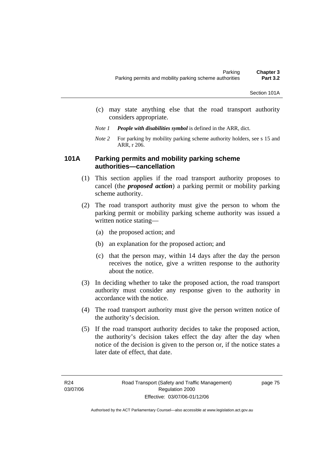- (c) may state anything else that the road transport authority considers appropriate.
- *Note 1 People with disabilities symbol* is defined in the ARR, dict.
- *Note 2* For parking by mobility parking scheme authority holders, see s 15 and ARR, r 206.

### **101A Parking permits and mobility parking scheme authorities—cancellation**

- (1) This section applies if the road transport authority proposes to cancel (the *proposed action*) a parking permit or mobility parking scheme authority.
- (2) The road transport authority must give the person to whom the parking permit or mobility parking scheme authority was issued a written notice stating—
	- (a) the proposed action; and
	- (b) an explanation for the proposed action; and
	- (c) that the person may, within 14 days after the day the person receives the notice, give a written response to the authority about the notice.
- (3) In deciding whether to take the proposed action, the road transport authority must consider any response given to the authority in accordance with the notice.
- (4) The road transport authority must give the person written notice of the authority's decision.
- (5) If the road transport authority decides to take the proposed action, the authority's decision takes effect the day after the day when notice of the decision is given to the person or, if the notice states a later date of effect, that date.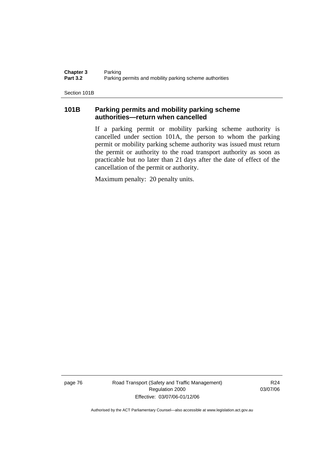**Chapter 3** Parking<br>**Part 3.2** Parking Parking permits and mobility parking scheme authorities

Section 101B

### **101B Parking permits and mobility parking scheme authorities—return when cancelled**

If a parking permit or mobility parking scheme authority is cancelled under section 101A, the person to whom the parking permit or mobility parking scheme authority was issued must return the permit or authority to the road transport authority as soon as practicable but no later than 21 days after the date of effect of the cancellation of the permit or authority.

Maximum penalty: 20 penalty units.

page 76 Road Transport (Safety and Traffic Management) Regulation 2000 Effective: 03/07/06-01/12/06

R24 03/07/06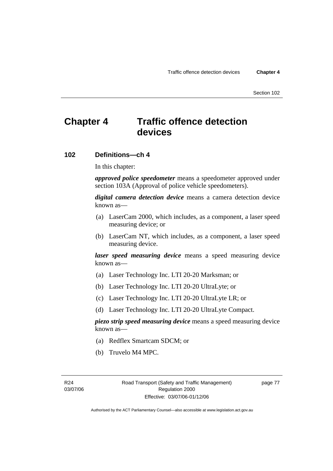Section 102

# **Chapter 4 Traffic offence detection devices**

### **102 Definitions—ch 4**

In this chapter:

*approved police speedometer* means a speedometer approved under section 103A (Approval of police vehicle speedometers).

*digital camera detection device* means a camera detection device known as—

- (a) LaserCam 2000, which includes, as a component, a laser speed measuring device; or
- (b) LaserCam NT, which includes, as a component, a laser speed measuring device.

*laser speed measuring device* means a speed measuring device known as—

- (a) Laser Technology Inc. LTI 20-20 Marksman; or
- (b) Laser Technology Inc. LTI 20-20 UltraLyte; or
- (c) Laser Technology Inc. LTI 20-20 UltraLyte LR; or
- (d) Laser Technology Inc. LTI 20-20 UltraLyte Compact.

*piezo strip speed measuring device* means a speed measuring device known as—

- (a) Redflex Smartcam SDCM; or
- (b) Truvelo M4 MPC.

page 77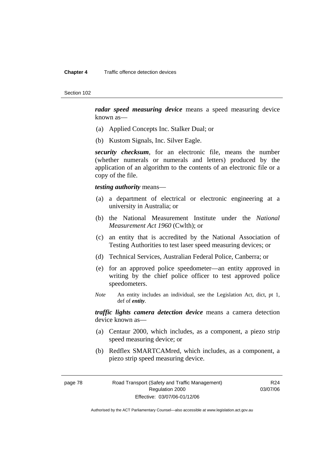#### **Chapter 4** Traffic offence detection devices

Section 102

*radar speed measuring device* means a speed measuring device known as—

- (a) Applied Concepts Inc. Stalker Dual; or
- (b) Kustom Signals, Inc. Silver Eagle.

*security checksum*, for an electronic file, means the number (whether numerals or numerals and letters) produced by the application of an algorithm to the contents of an electronic file or a copy of the file.

*testing authority* means—

- (a) a department of electrical or electronic engineering at a university in Australia; or
- (b) the National Measurement Institute under the *National Measurement Act 1960* (Cwlth); or
- (c) an entity that is accredited by the National Association of Testing Authorities to test laser speed measuring devices; or
- (d) Technical Services, Australian Federal Police, Canberra; or
- (e) for an approved police speedometer—an entity approved in writing by the chief police officer to test approved police speedometers.
- *Note* An entity includes an individual, see the Legislation Act, dict, pt 1, def of *entity*.

*traffic lights camera detection device* means a camera detection device known as—

- (a) Centaur 2000, which includes, as a component, a piezo strip speed measuring device; or
- (b) Redflex SMARTCAMred, which includes, as a component, a piezo strip speed measuring device.

page 78 Road Transport (Safety and Traffic Management) Regulation 2000 Effective: 03/07/06-01/12/06

R24 03/07/06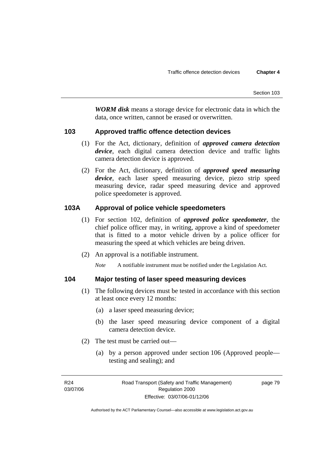*WORM disk* means a storage device for electronic data in which the data, once written, cannot be erased or overwritten.

### **103 Approved traffic offence detection devices**

- (1) For the Act, dictionary, definition of *approved camera detection device*, each digital camera detection device and traffic lights camera detection device is approved.
- (2) For the Act, dictionary, definition of *approved speed measuring device*, each laser speed measuring device, piezo strip speed measuring device, radar speed measuring device and approved police speedometer is approved.

### **103A Approval of police vehicle speedometers**

- (1) For section 102, definition of *approved police speedometer*, the chief police officer may, in writing, approve a kind of speedometer that is fitted to a motor vehicle driven by a police officer for measuring the speed at which vehicles are being driven.
- (2) An approval is a notifiable instrument.

*Note* A notifiable instrument must be notified under the Legislation Act.

### **104 Major testing of laser speed measuring devices**

- (1) The following devices must be tested in accordance with this section at least once every 12 months:
	- (a) a laser speed measuring device;
	- (b) the laser speed measuring device component of a digital camera detection device.
- (2) The test must be carried out—
	- (a) by a person approved under section 106 (Approved people testing and sealing); and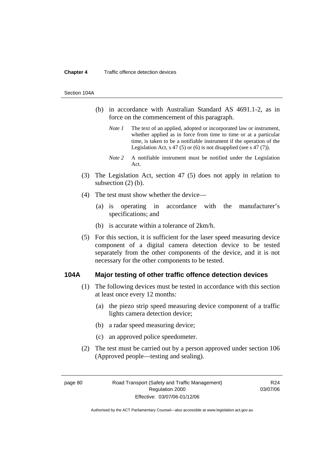#### **Chapter 4** Traffic offence detection devices

#### Section 104A

- (b) in accordance with Australian Standard AS 4691.1-2, as in force on the commencement of this paragraph.
	- *Note 1* The text of an applied, adopted or incorporated law or instrument, whether applied as in force from time to time or at a particular time, is taken to be a notifiable instrument if the operation of the Legislation Act, s 47 (5) or (6) is not disapplied (see s 47 (7)).
	- *Note 2* A notifiable instrument must be notified under the Legislation Act.
- (3) The Legislation Act, section 47 (5) does not apply in relation to subsection  $(2)$  (b).
- (4) The test must show whether the device—
	- (a) is operating in accordance with the manufacturer's specifications; and
	- (b) is accurate within a tolerance of 2km/h.
- (5) For this section, it is sufficient for the laser speed measuring device component of a digital camera detection device to be tested separately from the other components of the device, and it is not necessary for the other components to be tested.

#### **104A Major testing of other traffic offence detection devices**

- (1) The following devices must be tested in accordance with this section at least once every 12 months:
	- (a) the piezo strip speed measuring device component of a traffic lights camera detection device;
	- (b) a radar speed measuring device;
	- (c) an approved police speedometer.
- (2) The test must be carried out by a person approved under section 106 (Approved people—testing and sealing).

page 80 Road Transport (Safety and Traffic Management) Regulation 2000 Effective: 03/07/06-01/12/06

R24 03/07/06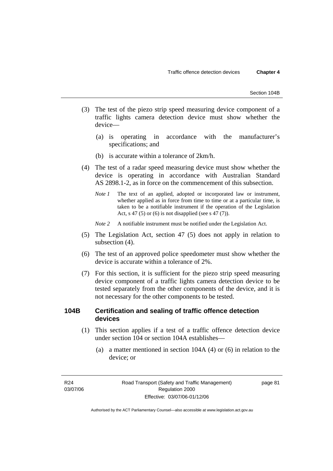- (3) The test of the piezo strip speed measuring device component of a traffic lights camera detection device must show whether the device—
	- (a) is operating in accordance with the manufacturer's specifications; and
	- (b) is accurate within a tolerance of 2km/h.
- (4) The test of a radar speed measuring device must show whether the device is operating in accordance with Australian Standard AS 2898.1-2, as in force on the commencement of this subsection.
	- *Note 1* The text of an applied, adopted or incorporated law or instrument, whether applied as in force from time to time or at a particular time, is taken to be a notifiable instrument if the operation of the Legislation Act, s 47 (5) or (6) is not disapplied (see s 47 (7)).
	- *Note 2* A notifiable instrument must be notified under the Legislation Act.
- (5) The Legislation Act, section 47 (5) does not apply in relation to subsection (4).
- (6) The test of an approved police speedometer must show whether the device is accurate within a tolerance of 2%.
- (7) For this section, it is sufficient for the piezo strip speed measuring device component of a traffic lights camera detection device to be tested separately from the other components of the device, and it is not necessary for the other components to be tested.

### **104B Certification and sealing of traffic offence detection devices**

- (1) This section applies if a test of a traffic offence detection device under section 104 or section 104A establishes—
	- (a) a matter mentioned in section 104A (4) or (6) in relation to the device; or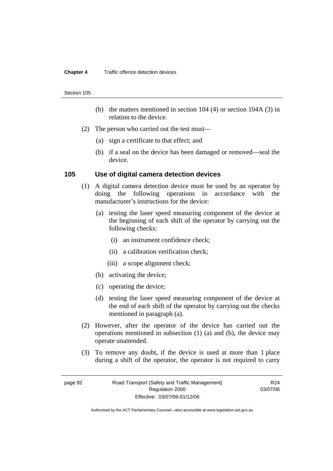#### **Chapter 4** Traffic offence detection devices

#### Section 105

- (b) the matters mentioned in section 104 (4) or section 104A (3) in relation to the device.
- (2) The person who carried out the test must—
	- (a) sign a certificate to that effect; and
	- (b) if a seal on the device has been damaged or removed—seal the device.

#### **105 Use of digital camera detection devices**

- (1) A digital camera detection device must be used by an operator by doing the following operations in accordance with the manufacturer's instructions for the device:
	- (a) testing the laser speed measuring component of the device at the beginning of each shift of the operator by carrying out the following checks:
		- (i) an instrument confidence check;
		- (ii) a calibration verification check;
		- (iii) a scope alignment check;
	- (b) activating the device;
	- (c) operating the device;
	- (d) testing the laser speed measuring component of the device at the end of each shift of the operator by carrying out the checks mentioned in paragraph (a).
- (2) However, after the operator of the device has carried out the operations mentioned in subsection (1) (a) and (b), the device may operate unattended.
- (3) To remove any doubt, if the device is used at more than 1 place during a shift of the operator, the operator is not required to carry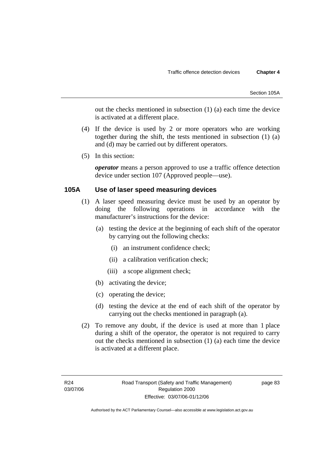out the checks mentioned in subsection (1) (a) each time the device is activated at a different place.

- (4) If the device is used by 2 or more operators who are working together during the shift, the tests mentioned in subsection (1) (a) and (d) may be carried out by different operators.
- (5) In this section:

*operator* means a person approved to use a traffic offence detection device under section 107 (Approved people—use).

### **105A Use of laser speed measuring devices**

- (1) A laser speed measuring device must be used by an operator by doing the following operations in accordance with the manufacturer's instructions for the device:
	- (a) testing the device at the beginning of each shift of the operator by carrying out the following checks:
		- (i) an instrument confidence check;
		- (ii) a calibration verification check;
		- (iii) a scope alignment check;
	- (b) activating the device;
	- (c) operating the device;
	- (d) testing the device at the end of each shift of the operator by carrying out the checks mentioned in paragraph (a).
- (2) To remove any doubt, if the device is used at more than 1 place during a shift of the operator, the operator is not required to carry out the checks mentioned in subsection (1) (a) each time the device is activated at a different place.

page 83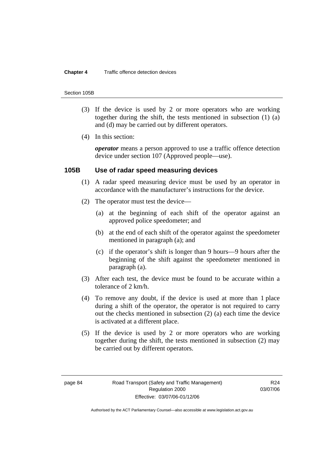#### **Chapter 4** Traffic offence detection devices

#### Section 105B

- (3) If the device is used by 2 or more operators who are working together during the shift, the tests mentioned in subsection (1) (a) and (d) may be carried out by different operators.
- (4) In this section:

*operator* means a person approved to use a traffic offence detection device under section 107 (Approved people—use).

#### **105B Use of radar speed measuring devices**

- (1) A radar speed measuring device must be used by an operator in accordance with the manufacturer's instructions for the device.
- (2) The operator must test the device—
	- (a) at the beginning of each shift of the operator against an approved police speedometer; and
	- (b) at the end of each shift of the operator against the speedometer mentioned in paragraph (a); and
	- (c) if the operator's shift is longer than 9 hours—9 hours after the beginning of the shift against the speedometer mentioned in paragraph (a).
- (3) After each test, the device must be found to be accurate within a tolerance of 2 km/h.
- (4) To remove any doubt, if the device is used at more than 1 place during a shift of the operator, the operator is not required to carry out the checks mentioned in subsection (2) (a) each time the device is activated at a different place.
- (5) If the device is used by 2 or more operators who are working together during the shift, the tests mentioned in subsection (2) may be carried out by different operators.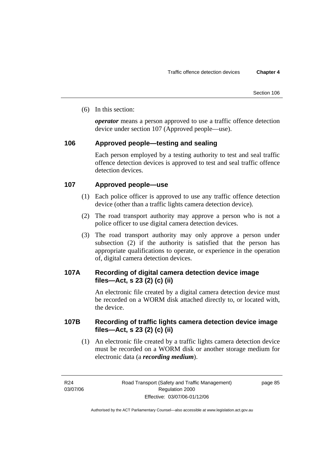(6) In this section:

*operator* means a person approved to use a traffic offence detection device under section 107 (Approved people—use).

### **106 Approved people—testing and sealing**

Each person employed by a testing authority to test and seal traffic offence detection devices is approved to test and seal traffic offence detection devices

### **107 Approved people—use**

- (1) Each police officer is approved to use any traffic offence detection device (other than a traffic lights camera detection device).
- (2) The road transport authority may approve a person who is not a police officer to use digital camera detection devices.
- (3) The road transport authority may only approve a person under subsection (2) if the authority is satisfied that the person has appropriate qualifications to operate, or experience in the operation of, digital camera detection devices.

### **107A Recording of digital camera detection device image files—Act, s 23 (2) (c) (ii)**

An electronic file created by a digital camera detection device must be recorded on a WORM disk attached directly to, or located with, the device.

### **107B Recording of traffic lights camera detection device image files—Act, s 23 (2) (c) (ii)**

 (1) An electronic file created by a traffic lights camera detection device must be recorded on a WORM disk or another storage medium for electronic data (a *recording medium*).

R24 03/07/06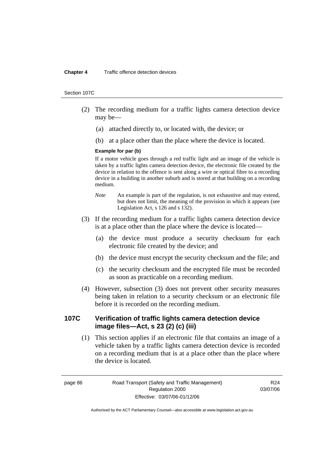#### **Chapter 4** Traffic offence detection devices

#### Section 107C

- (2) The recording medium for a traffic lights camera detection device may be—
	- (a) attached directly to, or located with, the device; or
	- (b) at a place other than the place where the device is located.

#### **Example for par (b)**

If a motor vehicle goes through a red traffic light and an image of the vehicle is taken by a traffic lights camera detection device, the electronic file created by the device in relation to the offence is sent along a wire or optical fibre to a recording device in a building in another suburb and is stored at that building on a recording medium.

- *Note* An example is part of the regulation, is not exhaustive and may extend, but does not limit, the meaning of the provision in which it appears (see Legislation Act, s 126 and s 132).
- (3) If the recording medium for a traffic lights camera detection device is at a place other than the place where the device is located—
	- (a) the device must produce a security checksum for each electronic file created by the device; and
	- (b) the device must encrypt the security checksum and the file; and
	- (c) the security checksum and the encrypted file must be recorded as soon as practicable on a recording medium.
- (4) However, subsection (3) does not prevent other security measures being taken in relation to a security checksum or an electronic file before it is recorded on the recording medium.

### **107C Verification of traffic lights camera detection device image files—Act, s 23 (2) (c) (iii)**

 (1) This section applies if an electronic file that contains an image of a vehicle taken by a traffic lights camera detection device is recorded on a recording medium that is at a place other than the place where the device is located.

page 86 Road Transport (Safety and Traffic Management) Regulation 2000 Effective: 03/07/06-01/12/06

R24 03/07/06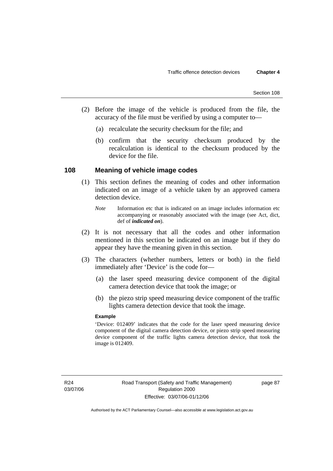- (2) Before the image of the vehicle is produced from the file, the accuracy of the file must be verified by using a computer to—
	- (a) recalculate the security checksum for the file; and
	- (b) confirm that the security checksum produced by the recalculation is identical to the checksum produced by the device for the file.

### **108 Meaning of vehicle image codes**

- (1) This section defines the meaning of codes and other information indicated on an image of a vehicle taken by an approved camera detection device.
	- *Note* Information etc that is indicated on an image includes information etc accompanying or reasonably associated with the image (see Act, dict, def of *indicated on*).
- (2) It is not necessary that all the codes and other information mentioned in this section be indicated on an image but if they do appear they have the meaning given in this section.
- (3) The characters (whether numbers, letters or both) in the field immediately after 'Device' is the code for—
	- (a) the laser speed measuring device component of the digital camera detection device that took the image; or
	- (b) the piezo strip speed measuring device component of the traffic lights camera detection device that took the image.

#### **Example**

'Device: 012409' indicates that the code for the laser speed measuring device component of the digital camera detection device, or piezo strip speed measuring device component of the traffic lights camera detection device, that took the image is 012409.

page 87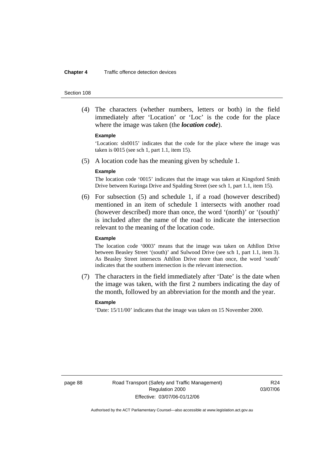#### **Chapter 4** Traffic offence detection devices

#### Section 108

 (4) The characters (whether numbers, letters or both) in the field immediately after 'Location' or 'Loc' is the code for the place where the image was taken (the *location code*).

#### **Example**

'Location: sls0015' indicates that the code for the place where the image was taken is 0015 (see sch 1, part 1.1, item 15).

(5) A location code has the meaning given by schedule 1.

#### **Example**

The location code '0015' indicates that the image was taken at Kingsford Smith Drive between Kuringa Drive and Spalding Street (see sch 1, part 1.1, item 15).

 (6) For subsection (5) and schedule 1, if a road (however described) mentioned in an item of schedule 1 intersects with another road (however described) more than once, the word '(north)' or '(south)' is included after the name of the road to indicate the intersection relevant to the meaning of the location code.

#### **Example**

The location code '0003' means that the image was taken on Athllon Drive between Beasley Street '(south)' and Sulwood Drive (see sch 1, part 1.1, item 3). As Beasley Street intersects Athllon Drive more than once, the word 'south' indicates that the southern intersection is the relevant intersection.

 (7) The characters in the field immediately after 'Date' is the date when the image was taken, with the first 2 numbers indicating the day of the month, followed by an abbreviation for the month and the year.

#### **Example**

'Date: 15/11/00' indicates that the image was taken on 15 November 2000.

page 88 Road Transport (Safety and Traffic Management) Regulation 2000 Effective: 03/07/06-01/12/06

R<sub>24</sub> 03/07/06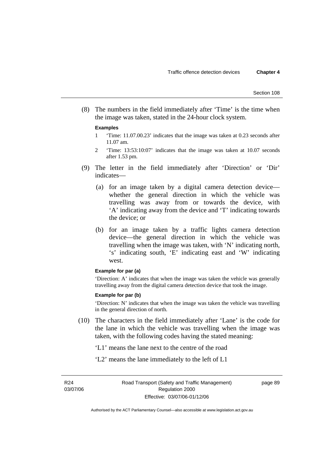(8) The numbers in the field immediately after 'Time' is the time when the image was taken, stated in the 24-hour clock system.

#### **Examples**

- 1 'Time: 11.07.00.23' indicates that the image was taken at 0.23 seconds after 11.07 am.
- 2 'Time: 13:53:10:07' indicates that the image was taken at 10.07 seconds after 1.53 pm.
- (9) The letter in the field immediately after 'Direction' or 'Dir' indicates—
	- (a) for an image taken by a digital camera detection device whether the general direction in which the vehicle was travelling was away from or towards the device, with 'A' indicating away from the device and 'T' indicating towards the device; or
	- (b) for an image taken by a traffic lights camera detection device—the general direction in which the vehicle was travelling when the image was taken, with 'N' indicating north, 's' indicating south, 'E' indicating east and 'W' indicating west.

#### **Example for par (a)**

'Direction: A' indicates that when the image was taken the vehicle was generally travelling away from the digital camera detection device that took the image.

#### **Example for par (b)**

'Direction: N' indicates that when the image was taken the vehicle was travelling in the general direction of north.

- (10) The characters in the field immediately after 'Lane' is the code for the lane in which the vehicle was travelling when the image was taken, with the following codes having the stated meaning:
	- 'L1' means the lane next to the centre of the road
	- 'L2' means the lane immediately to the left of L1

R24 03/07/06 page 89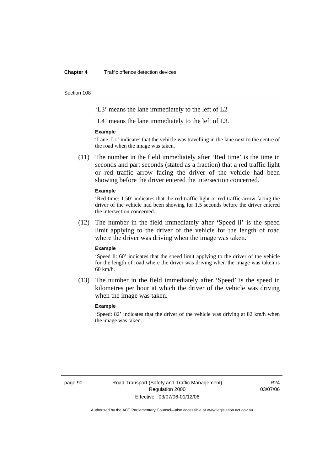#### **Chapter 4** Traffic offence detection devices

Section 108

'L3' means the lane immediately to the left of L2

'L4' means the lane immediately to the left of L3.

#### **Example**

'Lane: L1' indicates that the vehicle was travelling in the lane next to the centre of the road when the image was taken.

 (11) The number in the field immediately after 'Red time' is the time in seconds and part seconds (stated as a fraction) that a red traffic light or red traffic arrow facing the driver of the vehicle had been showing before the driver entered the intersection concerned.

#### **Example**

'Red time: 1.50' indicates that the red traffic light or red traffic arrow facing the driver of the vehicle had been showing for 1.5 seconds before the driver entered the intersection concerned.

 (12) The number in the field immediately after 'Speed li' is the speed limit applying to the driver of the vehicle for the length of road where the driver was driving when the image was taken.

#### **Example**

'Speed li: 60' indicates that the speed limit applying to the driver of the vehicle for the length of road where the driver was driving when the image was taken is 60 km/h.

 (13) The number in the field immediately after 'Speed' is the speed in kilometres per hour at which the driver of the vehicle was driving when the image was taken.

#### **Example**

'Speed: 82' indicates that the driver of the vehicle was driving at 82 km/h when the image was taken.

page 90 Road Transport (Safety and Traffic Management) Regulation 2000 Effective: 03/07/06-01/12/06

R24 03/07/06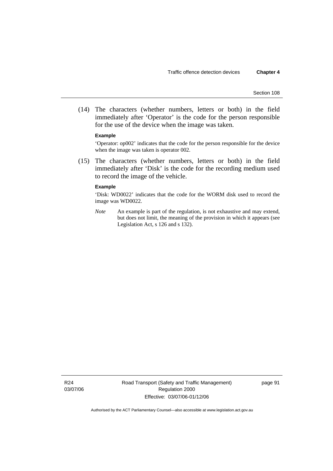(14) The characters (whether numbers, letters or both) in the field immediately after 'Operator' is the code for the person responsible for the use of the device when the image was taken.

#### **Example**

'Operator: op002' indicates that the code for the person responsible for the device when the image was taken is operator 002.

 (15) The characters (whether numbers, letters or both) in the field immediately after 'Disk' is the code for the recording medium used to record the image of the vehicle.

#### **Example**

'Disk: WD0022' indicates that the code for the WORM disk used to record the image was WD0022.

*Note* An example is part of the regulation, is not exhaustive and may extend, but does not limit, the meaning of the provision in which it appears (see Legislation Act, s 126 and s 132).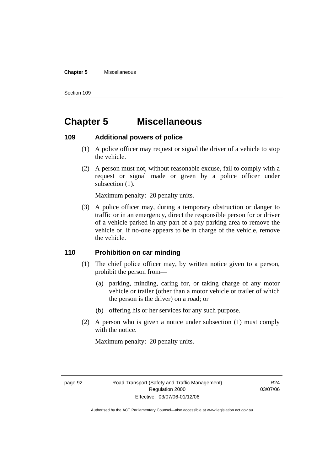#### **Chapter 5** Miscellaneous

Section 109

# **Chapter 5 Miscellaneous**

### **109 Additional powers of police**

- (1) A police officer may request or signal the driver of a vehicle to stop the vehicle.
- (2) A person must not, without reasonable excuse, fail to comply with a request or signal made or given by a police officer under subsection  $(1)$ .

Maximum penalty: 20 penalty units.

 (3) A police officer may, during a temporary obstruction or danger to traffic or in an emergency, direct the responsible person for or driver of a vehicle parked in any part of a pay parking area to remove the vehicle or, if no-one appears to be in charge of the vehicle, remove the vehicle.

### **110 Prohibition on car minding**

- (1) The chief police officer may, by written notice given to a person, prohibit the person from—
	- (a) parking, minding, caring for, or taking charge of any motor vehicle or trailer (other than a motor vehicle or trailer of which the person is the driver) on a road; or
	- (b) offering his or her services for any such purpose.
- (2) A person who is given a notice under subsection (1) must comply with the notice.

Maximum penalty: 20 penalty units.

R24 03/07/06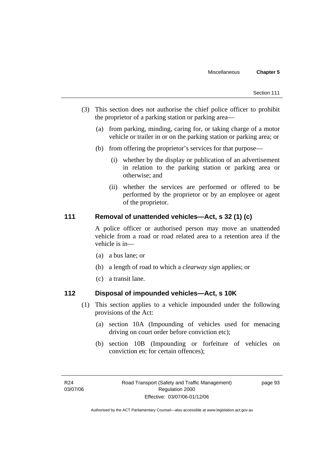- (3) This section does not authorise the chief police officer to prohibit the proprietor of a parking station or parking area—
	- (a) from parking, minding, caring for, or taking charge of a motor vehicle or trailer in or on the parking station or parking area; or
	- (b) from offering the proprietor's services for that purpose—
		- (i) whether by the display or publication of an advertisement in relation to the parking station or parking area or otherwise; and
		- (ii) whether the services are performed or offered to be performed by the proprietor or by an employee or agent of the proprietor.

### **111 Removal of unattended vehicles—Act, s 32 (1) (c)**

A police officer or authorised person may move an unattended vehicle from a road or road related area to a retention area if the vehicle is in—

- (a) a bus lane; or
- (b) a length of road to which a *clearway sign* applies; or
- (c) a transit lane.

### **112 Disposal of impounded vehicles—Act, s 10K**

- (1) This section applies to a vehicle impounded under the following provisions of the Act:
	- (a) section 10A (Impounding of vehicles used for menacing driving on court order before conviction etc);
	- (b) section 10B (Impounding or forfeiture of vehicles on conviction etc for certain offences);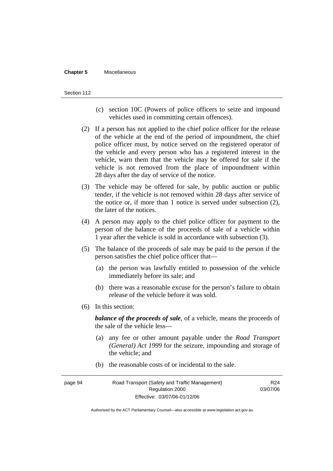#### **Chapter 5** Miscellaneous

#### Section 112

- (c) section 10C (Powers of police officers to seize and impound vehicles used in committing certain offences).
- (2) If a person has not applied to the chief police officer for the release of the vehicle at the end of the period of impoundment, the chief police officer must, by notice served on the registered operator of the vehicle and every person who has a registered interest in the vehicle, warn them that the vehicle may be offered for sale if the vehicle is not removed from the place of impoundment within 28 days after the day of service of the notice.
- (3) The vehicle may be offered for sale, by public auction or public tender, if the vehicle is not removed within 28 days after service of the notice or, if more than 1 notice is served under subsection (2), the later of the notices.
- (4) A person may apply to the chief police officer for payment to the person of the balance of the proceeds of sale of a vehicle within 1 year after the vehicle is sold in accordance with subsection (3).
- (5) The balance of the proceeds of sale may be paid to the person if the person satisfies the chief police officer that—
	- (a) the person was lawfully entitled to possession of the vehicle immediately before its sale; and
	- (b) there was a reasonable excuse for the person's failure to obtain release of the vehicle before it was sold.
- (6) In this section:

*balance of the proceeds of sale*, of a vehicle, means the proceeds of the sale of the vehicle less—

- (a) any fee or other amount payable under the *Road Transport (General) Act 1999* for the seizure, impounding and storage of the vehicle; and
- (b) the reasonable costs of or incidental to the sale.

page 94 Road Transport (Safety and Traffic Management) Regulation 2000 Effective: 03/07/06-01/12/06 R24 03/07/06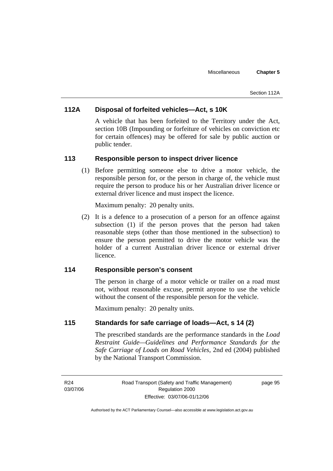#### Section 112A

### **112A Disposal of forfeited vehicles—Act, s 10K**

A vehicle that has been forfeited to the Territory under the Act, section 10B (Impounding or forfeiture of vehicles on conviction etc for certain offences) may be offered for sale by public auction or public tender.

### **113 Responsible person to inspect driver licence**

 (1) Before permitting someone else to drive a motor vehicle, the responsible person for, or the person in charge of, the vehicle must require the person to produce his or her Australian driver licence or external driver licence and must inspect the licence.

Maximum penalty: 20 penalty units.

 (2) It is a defence to a prosecution of a person for an offence against subsection (1) if the person proves that the person had taken reasonable steps (other than those mentioned in the subsection) to ensure the person permitted to drive the motor vehicle was the holder of a current Australian driver licence or external driver licence.

### **114 Responsible person's consent**

The person in charge of a motor vehicle or trailer on a road must not, without reasonable excuse, permit anyone to use the vehicle without the consent of the responsible person for the vehicle.

Maximum penalty: 20 penalty units.

### **115 Standards for safe carriage of loads—Act, s 14 (2)**

The prescribed standards are the performance standards in the *Load Restraint Guide—Guidelines and Performance Standards for the Safe Carriage of Loads on Road Vehicles*, 2nd ed (2004) published by the National Transport Commission.

R24 03/07/06 Road Transport (Safety and Traffic Management) Regulation 2000 Effective: 03/07/06-01/12/06

page 95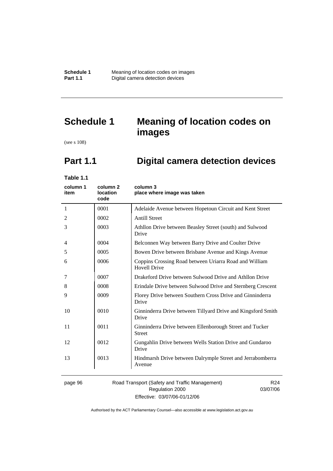# **Schedule 1 Meaning of location codes on images**

(see s 108)

# **Part 1.1 Digital camera detection devices**

**Table 1.1** 

| column 1<br>item | column <sub>2</sub><br>location<br>code | column 3<br>place where image was taken                                       |
|------------------|-----------------------------------------|-------------------------------------------------------------------------------|
| 1                | 0001                                    | Adelaide Avenue between Hopetoun Circuit and Kent Street                      |
| 2                | 0002                                    | <b>Antill Street</b>                                                          |
| 3                | 0003                                    | Athllon Drive between Beasley Street (south) and Sulwood<br>Drive             |
| 4                | 0004                                    | Belconnen Way between Barry Drive and Coulter Drive                           |
| 5                | 0005                                    | Bowen Drive between Brisbane Avenue and Kings Avenue                          |
| 6                | 0006                                    | Coppins Crossing Road between Uriarra Road and William<br><b>Hovell Drive</b> |
| 7                | 0007                                    | Drakeford Drive between Sulwood Drive and Athllon Drive                       |
| 8                | 0008                                    | Erindale Drive between Sulwood Drive and Sternberg Crescent                   |
| 9                | 0009                                    | Florey Drive between Southern Cross Drive and Ginninderra<br>Drive            |
| 10               | 0010                                    | Ginninderra Drive between Tillyard Drive and Kingsford Smith<br>Drive         |
| 11               | 0011                                    | Ginninderra Drive between Ellenborough Street and Tucker<br><b>Street</b>     |
| 12               | 0012                                    | Gungahlin Drive between Wells Station Drive and Gundaroo<br>Drive             |
| 13               | 0013                                    | Hindmarsh Drive between Dalrymple Street and Jerrabomberra<br>Avenue          |
|                  |                                         |                                                                               |

page 96 Road Transport (Safety and Traffic Management) Regulation 2000 Effective: 03/07/06-01/12/06

R24 03/07/06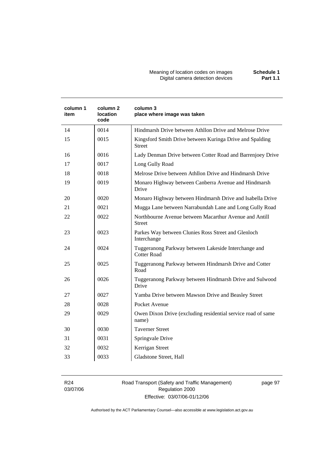#### Meaning of location codes on images **Schedule 1**  Digital camera detection devices **Part 1.1**

| column 1<br>item | column 2<br>location<br>code | column 3<br>place where image was taken                                   |
|------------------|------------------------------|---------------------------------------------------------------------------|
| 14               | 0014                         | Hindmarsh Drive between Athllon Drive and Melrose Drive                   |
| 15               | 0015                         | Kingsford Smith Drive between Kuringa Drive and Spalding<br><b>Street</b> |
| 16               | 0016                         | Lady Denman Drive between Cotter Road and Barrenjoey Drive                |
| 17               | 0017                         | Long Gully Road                                                           |
| 18               | 0018                         | Melrose Drive between Athllon Drive and Hindmarsh Drive                   |
| 19               | 0019                         | Monaro Highway between Canberra Avenue and Hindmarsh<br>Drive             |
| 20               | 0020                         | Monaro Highway between Hindmarsh Drive and Isabella Drive                 |
| 21               | 0021                         | Mugga Lane between Narrabundah Lane and Long Gully Road                   |
| 22               | 0022                         | Northbourne Avenue between Macarthur Avenue and Antill<br><b>Street</b>   |
| 23               | 0023                         | Parkes Way between Clunies Ross Street and Glenloch<br>Interchange        |
| 24               | 0024                         | Tuggeranong Parkway between Lakeside Interchange and<br>Cotter Road       |
| 25               | 0025                         | Tuggeranong Parkway between Hindmarsh Drive and Cotter<br>Road            |
| 26               | 0026                         | Tuggeranong Parkway between Hindmarsh Drive and Sulwood<br>Drive          |
| 27               | 0027                         | Yamba Drive between Mawson Drive and Beasley Street                       |
| 28               | 0028                         | Pocket Avenue                                                             |
| 29               | 0029                         | Owen Dixon Drive (excluding residential service road of same<br>name)     |
| 30               | 0030                         | <b>Taverner Street</b>                                                    |
| 31               | 0031                         | Springvale Drive                                                          |
| 32               | 0032                         | Kerrigan Street                                                           |
| 33               | 0033                         | Gladstone Street, Hall                                                    |

R24 03/07/06 Road Transport (Safety and Traffic Management) Regulation 2000 Effective: 03/07/06-01/12/06

page 97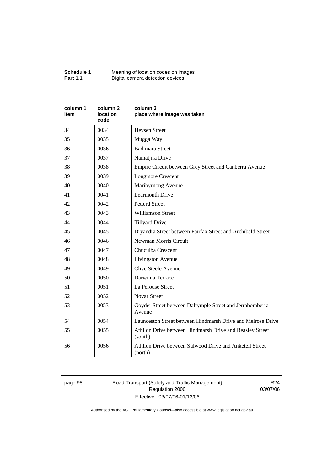| Schedule 1      | Meaning of location codes on images |
|-----------------|-------------------------------------|
| <b>Part 1.1</b> | Digital camera detection devices    |

| column 1<br>item | column 2<br>location<br>code | column 3<br>place where image was taken                             |
|------------------|------------------------------|---------------------------------------------------------------------|
| 34               | 0034                         | <b>Heysen Street</b>                                                |
| 35               | 0035                         | Mugga Way                                                           |
| 36               | 0036                         | <b>Badimara Street</b>                                              |
| 37               | 0037                         | Namatjira Drive                                                     |
| 38               | 0038                         | Empire Circuit between Grey Street and Canberra Avenue              |
| 39               | 0039                         | <b>Longmore Crescent</b>                                            |
| 40               | 0040                         | Maribyrnong Avenue                                                  |
| 41               | 0041                         | <b>Learmonth Drive</b>                                              |
| 42               | 0042                         | <b>Petterd Street</b>                                               |
| 43               | 0043                         | <b>Williamson Street</b>                                            |
| 44               | 0044                         | <b>Tillyard Drive</b>                                               |
| 45               | 0045                         | Dryandra Street between Fairfax Street and Archibald Street         |
| 46               | 0046                         | Newman Morris Circuit                                               |
| 47               | 0047                         | Chuculba Crescent                                                   |
| 48               | 0048                         | Livingston Avenue                                                   |
| 49               | 0049                         | <b>Clive Steele Avenue</b>                                          |
| 50               | 0050                         | Darwinia Terrace                                                    |
| 51               | 0051                         | La Perouse Street                                                   |
| 52               | 0052                         | <b>Novar Street</b>                                                 |
| 53               | 0053                         | Goyder Street between Dalrymple Street and Jerrabomberra<br>Avenue  |
| 54               | 0054                         | Launceston Street between Hindmarsh Drive and Melrose Drive         |
| 55               | 0055                         | Athllon Drive between Hindmarsh Drive and Beasley Street<br>(south) |
| 56               | 0056                         | Athllon Drive between Sulwood Drive and Anketell Street<br>(north)  |

page 98 Road Transport (Safety and Traffic Management) Regulation 2000 Effective: 03/07/06-01/12/06

R24 03/07/06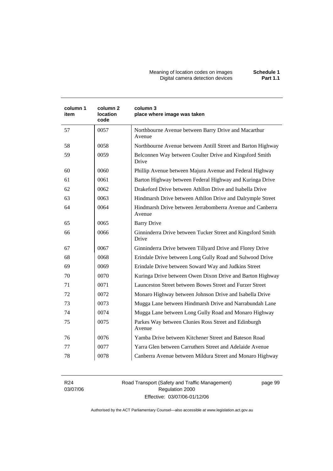Meaning of location codes on images **Schedule 1**  Digital camera detection devices **Part 1.1** 

| column 1<br>item | column <sub>2</sub><br><b>location</b><br>code | column 3<br>place where image was taken                              |
|------------------|------------------------------------------------|----------------------------------------------------------------------|
| 57               | 0057                                           | Northbourne Avenue between Barry Drive and Macarthur<br>Avenue       |
| 58               | 0058                                           | Northbourne Avenue between Antill Street and Barton Highway          |
| 59               | 0059                                           | Belconnen Way between Coulter Drive and Kingsford Smith<br>Drive     |
| 60               | 0060                                           | Phillip Avenue between Majura Avenue and Federal Highway             |
| 61               | 0061                                           | Barton Highway between Federal Highway and Kuringa Drive             |
| 62               | 0062                                           | Drakeford Drive between Athllon Drive and Isabella Drive             |
| 63               | 0063                                           | Hindmarsh Drive between Athllon Drive and Dalrymple Street           |
| 64               | 0064                                           | Hindmarsh Drive between Jerrabomberra Avenue and Canberra<br>Avenue  |
| 65               | 0065                                           | <b>Barry Drive</b>                                                   |
| 66               | 0066                                           | Ginninderra Drive between Tucker Street and Kingsford Smith<br>Drive |
| 67               | 0067                                           | Ginninderra Drive between Tillyard Drive and Florey Drive            |
| 68               | 0068                                           | Erindale Drive between Long Gully Road and Sulwood Drive             |
| 69               | 0069                                           | Erindale Drive between Soward Way and Judkins Street                 |
| 70               | 0070                                           | Kuringa Drive between Owen Dixon Drive and Barton Highway            |
| 71               | 0071                                           | Launceston Street between Bowes Street and Furzer Street             |
| 72               | 0072                                           | Monaro Highway between Johnson Drive and Isabella Drive              |
| 73               | 0073                                           | Mugga Lane between Hindmarsh Drive and Narrabundah Lane              |
| 74               | 0074                                           | Mugga Lane between Long Gully Road and Monaro Highway                |
| 75               | 0075                                           | Parkes Way between Clunies Ross Street and Edinburgh<br>Avenue       |
| 76               | 0076                                           | Yamba Drive between Kitchener Street and Bateson Road                |
| 77               | 0077                                           | Yarra Glen between Carruthers Street and Adelaide Avenue             |
| 78               | 0078                                           | Canberra Avenue between Mildura Street and Monaro Highway            |

R24 03/07/06 Road Transport (Safety and Traffic Management) Regulation 2000 Effective: 03/07/06-01/12/06

page 99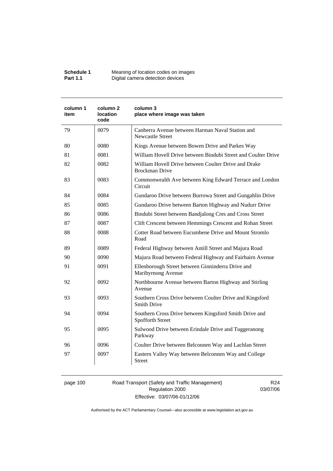| Schedule 1      | Meaning of location codes on images |
|-----------------|-------------------------------------|
| <b>Part 1.1</b> | Digital camera detection devices    |

| column 1<br>item | column 2<br>location<br>code | column 3<br>place where image was taken                                        |
|------------------|------------------------------|--------------------------------------------------------------------------------|
| 79               | 0079                         | Canberra Avenue between Harman Naval Station and<br><b>Newcastle Street</b>    |
| 80               | 0080                         | Kings Avenue between Bowen Drive and Parkes Way                                |
| 81               | 0081                         | William Hovell Drive between Bindubi Street and Coulter Drive                  |
| 82               | 0082                         | William Hovell Drive between Coulter Drive and Drake<br><b>Brockman Drive</b>  |
| 83               | 0083                         | Commonwealth Ave between King Edward Terrace and London<br>Circuit             |
| 84               | 0084                         | Gundaroo Drive between Burrowa Street and Gungahlin Drive                      |
| 85               | 0085                         | Gundaroo Drive between Barton Highway and Nudurr Drive                         |
| 86               | 0086                         | Bindubi Street between Bandjalong Cres and Cross Street                        |
| 87               | 0087                         | Clift Crescent between Hemmings Crescent and Rohan Street                      |
| 88               | 0088                         | Cotter Road between Eucumbene Drive and Mount Stromlo<br>Road                  |
| 89               | 0089                         | Federal Highway between Antill Street and Majura Road                          |
| 90               | 0090                         | Majura Road between Federal Highway and Fairbairn Avenue                       |
| 91               | 0091                         | Ellenborough Street between Ginninderra Drive and<br>Maribyrnong Avenue        |
| 92               | 0092                         | Northbourne Avenue between Barton Highway and Stirling<br>Avenue               |
| 93               | 0093                         | Southern Cross Drive between Coulter Drive and Kingsford<br><b>Smith Drive</b> |
| 94               | 0094                         | Southern Cross Drive between Kingsford Smith Drive and<br>Spofforth Street     |
| 95               | 0095                         | Sulwood Drive between Erindale Drive and Tuggeranong<br>Parkway                |
| 96               | 0096                         | Coulter Drive between Belconnen Way and Lachlan Street                         |
| 97               | 0097                         | Eastern Valley Way between Belconnen Way and College<br>Street                 |

page 100 Road Transport (Safety and Traffic Management) Regulation 2000 Effective: 03/07/06-01/12/06

R24 03/07/06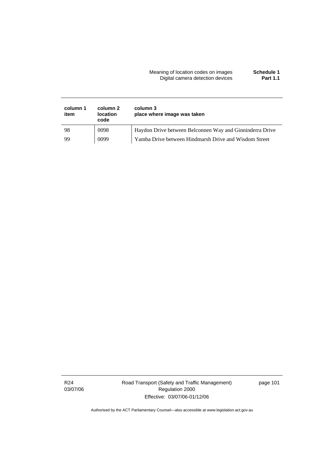#### Meaning of location codes on images **Schedule 1**  Digital camera detection devices **Part 1.1**

| column 1<br>item | column 2<br><b>location</b><br>code | column 3<br>place where image was taken                  |
|------------------|-------------------------------------|----------------------------------------------------------|
| 98               | 0098                                | Haydon Drive between Belconnen Way and Ginninderra Drive |
| 99               | 0099                                | Yamba Drive between Hindmarsh Drive and Wisdom Street    |

Road Transport (Safety and Traffic Management) Regulation 2000 Effective: 03/07/06-01/12/06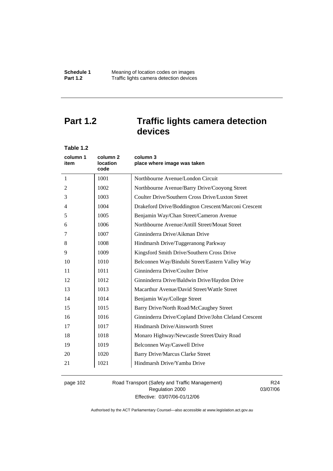# **Part 1.2 Traffic lights camera detection devices**

| Table 1.2        |                                                |                                                       |
|------------------|------------------------------------------------|-------------------------------------------------------|
| column 1<br>item | column <sub>2</sub><br><b>location</b><br>code | column 3<br>place where image was taken               |
| 1                | 1001                                           | Northbourne Avenue/London Circuit                     |
| 2                | 1002                                           | Northbourne Avenue/Barry Drive/Cooyong Street         |
| 3                | 1003                                           | Coulter Drive/Southern Cross Drive/Luxton Street      |
| 4                | 1004                                           | Drakeford Drive/Boddington Crescent/Marconi Crescent  |
| 5                | 1005                                           | Benjamin Way/Chan Street/Cameron Avenue               |
| 6                | 1006                                           | Northbourne Avenue/Antill Street/Mouat Street         |
| 7                | 1007                                           | Ginninderra Drive/Aikman Drive                        |
| 8                | 1008                                           | Hindmarsh Drive/Tuggeranong Parkway                   |
| 9                | 1009                                           | Kingsford Smith Drive/Southern Cross Drive            |
| 10               | 1010                                           | Belconnen Way/Bindubi Street/Eastern Valley Way       |
| 11               | 1011                                           | Ginninderra Drive/Coulter Drive                       |
| 12               | 1012                                           | Ginninderra Drive/Baldwin Drive/Haydon Drive          |
| 13               | 1013                                           | Macarthur Avenue/David Street/Wattle Street           |
| 14               | 1014                                           | Benjamin Way/College Street                           |
| 15               | 1015                                           | Barry Drive/North Road/McCaughey Street               |
| 16               | 1016                                           | Ginninderra Drive/Copland Drive/John Cleland Crescent |
| 17               | 1017                                           | Hindmarsh Drive/Ainsworth Street                      |
| 18               | 1018                                           | Monaro Highway/Newcastle Street/Dairy Road            |
| 19               | 1019                                           | Belconnen Way/Caswell Drive                           |
| 20               | 1020                                           | <b>Barry Drive/Marcus Clarke Street</b>               |
| 21               | 1021                                           | Hindmarsh Drive/Yamba Drive                           |
|                  |                                                |                                                       |

page 102 Road Transport (Safety and Traffic Management) Regulation 2000 Effective: 03/07/06-01/12/06

R24 03/07/06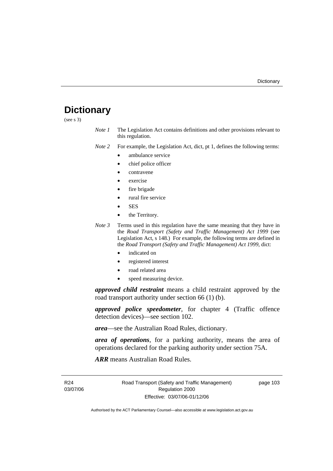# **Dictionary**

(see s 3)

*Note 1* The Legislation Act contains definitions and other provisions relevant to this regulation.

*Note 2* For example, the Legislation Act, dict, pt 1, defines the following terms:

- ambulance service
- chief police officer
- contravene
- exercise
- fire brigade
- rural fire service
- SES
- the Territory.
- *Note 3* Terms used in this regulation have the same meaning that they have in the *Road Transport (Safety and Traffic Management) Act 1999* (see Legislation Act, s 148.) For example, the following terms are defined in the *Road Transport (Safety and Traffic Management) Act 1999*, dict:
	- indicated on
	- registered interest
	- road related area
	- speed measuring device.

*approved child restraint* means a child restraint approved by the road transport authority under section 66 (1) (b).

*approved police speedometer*, for chapter 4 (Traffic offence detection devices)—see section 102.

*area*—see the Australian Road Rules, dictionary.

*area of operations*, for a parking authority, means the area of operations declared for the parking authority under section 75A.

*ARR* means Australian Road Rules.

R24 03/07/06 Road Transport (Safety and Traffic Management) Regulation 2000 Effective: 03/07/06-01/12/06

page 103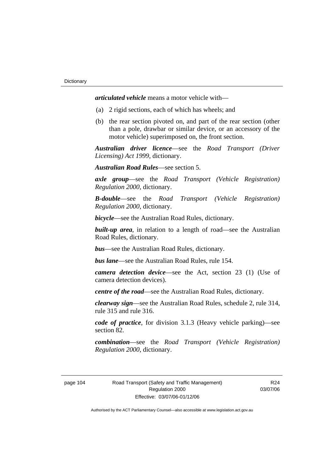*articulated vehicle* means a motor vehicle with—

- (a) 2 rigid sections, each of which has wheels; and
- (b) the rear section pivoted on, and part of the rear section (other than a pole, drawbar or similar device, or an accessory of the motor vehicle) superimposed on, the front section.

*Australian driver licence*—see the *Road Transport (Driver Licensing) Act 1999*, dictionary.

*Australian Road Rules*—see section 5.

*axle group*—see the *Road Transport (Vehicle Registration) Regulation 2000*, dictionary.

*B-double*—see the *Road Transport (Vehicle Registration) Regulation 2000*, dictionary.

*bicycle*—see the Australian Road Rules, dictionary.

**built-up area**, in relation to a length of road—see the Australian Road Rules, dictionary.

*bus*—see the Australian Road Rules, dictionary.

*bus lane*—see the Australian Road Rules, rule 154.

*camera detection device*—see the Act, section 23 (1) (Use of camera detection devices).

*centre of the road*—see the Australian Road Rules, dictionary.

*clearway sign*—see the Australian Road Rules, schedule 2, rule 314, rule 315 and rule 316.

*code of practice*, for division 3.1.3 (Heavy vehicle parking)—see section 82.

*combination*—see the *Road Transport (Vehicle Registration) Regulation 2000*, dictionary.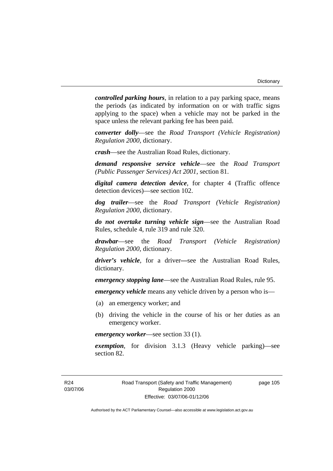*controlled parking hours*, in relation to a pay parking space, means the periods (as indicated by information on or with traffic signs applying to the space) when a vehicle may not be parked in the space unless the relevant parking fee has been paid.

*converter dolly*—see the *Road Transport (Vehicle Registration) Regulation 2000*, dictionary.

*crash*—see the Australian Road Rules, dictionary.

*demand responsive service vehicle*—see the *Road Transport (Public Passenger Services) Act 2001*, section 81.

*digital camera detection device*, for chapter 4 (Traffic offence detection devices)—see section 102.

*dog trailer*—see the *Road Transport (Vehicle Registration) Regulation 2000*, dictionary.

*do not overtake turning vehicle sign*—see the Australian Road Rules, schedule 4, rule 319 and rule 320.

*drawbar*—see the *Road Transport (Vehicle Registration) Regulation 2000*, dictionary.

*driver's vehicle*, for a driver*—*see the Australian Road Rules, dictionary.

*emergency stopping lane*—see the Australian Road Rules, rule 95.

*emergency vehicle* means any vehicle driven by a person who is—

- (a) an emergency worker; and
- (b) driving the vehicle in the course of his or her duties as an emergency worker.

*emergency worker*—see section 33 (1).

*exemption*, for division 3.1.3 (Heavy vehicle parking)—see section 82.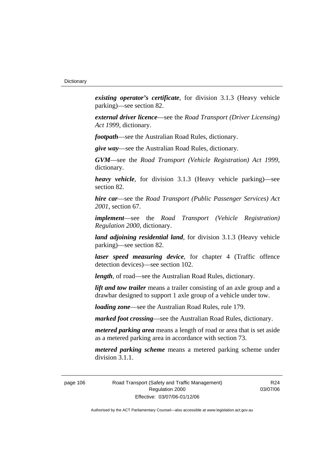*existing operator's certificate*, for division 3.1.3 (Heavy vehicle parking)—see section 82.

*external driver licence*—see the *Road Transport (Driver Licensing) Act 1999*, dictionary.

*footpath*—see the Australian Road Rules, dictionary.

*give way*—see the Australian Road Rules, dictionary.

*GVM*—see the *Road Transport (Vehicle Registration) Act 1999*, dictionary.

*heavy vehicle*, for division 3.1.3 (Heavy vehicle parking)—see section 82.

*hire car*—see the *Road Transport (Public Passenger Services) Act 2001*, section 67.

*implement*—see the *Road Transport (Vehicle Registration) Regulation 2000*, dictionary.

*land adjoining residential land*, for division 3.1.3 (Heavy vehicle parking)—see section 82.

*laser speed measuring device*, for chapter 4 (Traffic offence detection devices)—see section 102.

*length*, of road—see the Australian Road Rules, dictionary.

*lift and tow trailer* means a trailer consisting of an axle group and a drawbar designed to support 1 axle group of a vehicle under tow.

*loading zone*—see the Australian Road Rules, rule 179.

*marked foot crossing*—see the Australian Road Rules, dictionary.

*metered parking area* means a length of road or area that is set aside as a metered parking area in accordance with section 73.

*metered parking scheme* means a metered parking scheme under division 3.1.1.

page 106 Road Transport (Safety and Traffic Management) Regulation 2000 Effective: 03/07/06-01/12/06

R24 03/07/06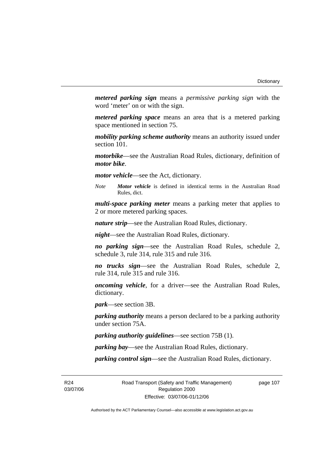*metered parking sign* means a *permissive parking sign* with the word 'meter' on or with the sign.

*metered parking space* means an area that is a metered parking space mentioned in section 75.

*mobility parking scheme authority* means an authority issued under section 101.

*motorbike*—see the Australian Road Rules, dictionary, definition of *motor bike*.

*motor vehicle*—see the Act, dictionary.

*Note Motor vehicle* is defined in identical terms in the Australian Road Rules, dict.

*multi-space parking meter* means a parking meter that applies to 2 or more metered parking spaces.

*nature strip*—see the Australian Road Rules, dictionary.

*night*—see the Australian Road Rules, dictionary.

*no parking sign*—see the Australian Road Rules, schedule 2, schedule 3, rule 314, rule 315 and rule 316.

*no trucks sign*—see the Australian Road Rules, schedule 2, rule 314, rule 315 and rule 316.

*oncoming vehicle*, for a driver—see the Australian Road Rules, dictionary.

*park*—see section 3B.

*parking authority* means a person declared to be a parking authority under section 75A.

*parking authority guidelines*—see section 75B (1).

*parking bay*—see the Australian Road Rules, dictionary.

*parking control sign*—see the Australian Road Rules, dictionary.

R24 03/07/06 Road Transport (Safety and Traffic Management) Regulation 2000 Effective: 03/07/06-01/12/06

page 107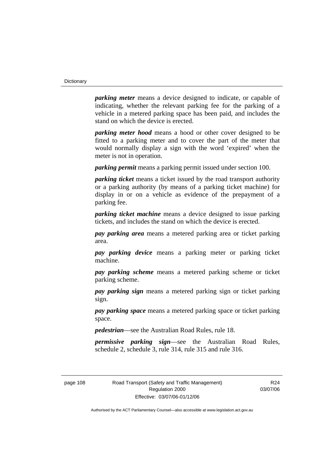*parking meter* means a device designed to indicate, or capable of indicating, whether the relevant parking fee for the parking of a vehicle in a metered parking space has been paid, and includes the stand on which the device is erected.

*parking meter hood* means a hood or other cover designed to be fitted to a parking meter and to cover the part of the meter that would normally display a sign with the word 'expired' when the meter is not in operation.

*parking permit* means a parking permit issued under section 100.

*parking ticket* means a ticket issued by the road transport authority or a parking authority (by means of a parking ticket machine) for display in or on a vehicle as evidence of the prepayment of a parking fee.

*parking ticket machine* means a device designed to issue parking tickets, and includes the stand on which the device is erected.

*pay parking area* means a metered parking area or ticket parking area.

*pay parking device* means a parking meter or parking ticket machine.

*pay parking scheme* means a metered parking scheme or ticket parking scheme.

*pay parking sign* means a metered parking sign or ticket parking sign.

*pay parking space* means a metered parking space or ticket parking space.

*pedestrian*—see the Australian Road Rules, rule 18.

*permissive parking sign*—see the Australian Road Rules, schedule 2, schedule 3, rule 314, rule 315 and rule 316.

page 108 Road Transport (Safety and Traffic Management) Regulation 2000 Effective: 03/07/06-01/12/06

R24 03/07/06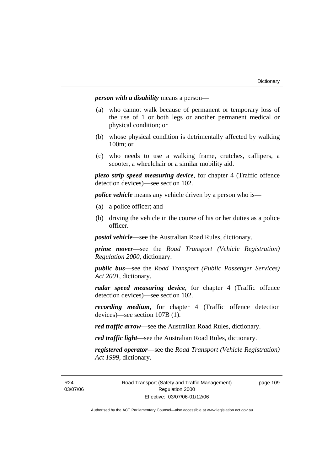*person with a disability* means a person—

- (a) who cannot walk because of permanent or temporary loss of the use of 1 or both legs or another permanent medical or physical condition; or
- (b) whose physical condition is detrimentally affected by walking 100m; or
- (c) who needs to use a walking frame, crutches, callipers, a scooter, a wheelchair or a similar mobility aid.

*piezo strip speed measuring device*, for chapter 4 (Traffic offence detection devices)—see section 102.

*police vehicle* means any vehicle driven by a person who is—

- (a) a police officer; and
- (b) driving the vehicle in the course of his or her duties as a police officer.

*postal vehicle*—see the Australian Road Rules, dictionary.

*prime mover*—see the *Road Transport (Vehicle Registration) Regulation 2000*, dictionary.

*public bus*—see the *Road Transport (Public Passenger Services) Act 2001*, dictionary.

*radar speed measuring device*, for chapter 4 (Traffic offence detection devices)—see section 102.

*recording medium*, for chapter 4 (Traffic offence detection devices)—see section 107B (1).

*red traffic arrow*—see the Australian Road Rules, dictionary.

*red traffic light*—see the Australian Road Rules, dictionary.

*registered operator*—see the *Road Transport (Vehicle Registration) Act 1999*, dictionary.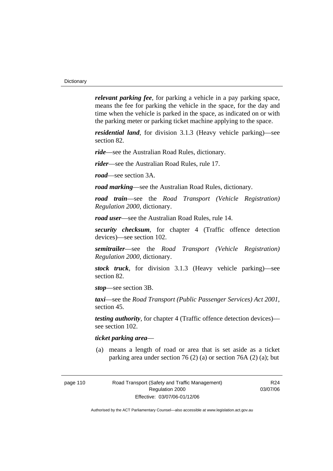*relevant parking fee*, for parking a vehicle in a pay parking space, means the fee for parking the vehicle in the space, for the day and time when the vehicle is parked in the space, as indicated on or with the parking meter or parking ticket machine applying to the space.

*residential land*, for division 3.1.3 (Heavy vehicle parking)—see section 82.

*ride*—see the Australian Road Rules, dictionary.

*rider*—see the Australian Road Rules, rule 17.

*road*—see section 3A.

*road marking*—see the Australian Road Rules, dictionary.

*road train*—see the *Road Transport (Vehicle Registration) Regulation 2000*, dictionary.

*road user*—see the Australian Road Rules, rule 14.

*security checksum*, for chapter 4 (Traffic offence detection devices)—see section 102.

*semitrailer*—see the *Road Transport (Vehicle Registration) Regulation 2000*, dictionary.

*stock truck*, for division 3.1.3 (Heavy vehicle parking)—see section 82.

*stop*—see section 3B.

*taxi*—see the *Road Transport (Public Passenger Services) Act 2001*, section 45.

*testing authority*, for chapter 4 (Traffic offence detection devices) see section 102.

#### *ticket parking area*—

 (a) means a length of road or area that is set aside as a ticket parking area under section 76 (2) (a) or section 76A (2) (a); but

R24 03/07/06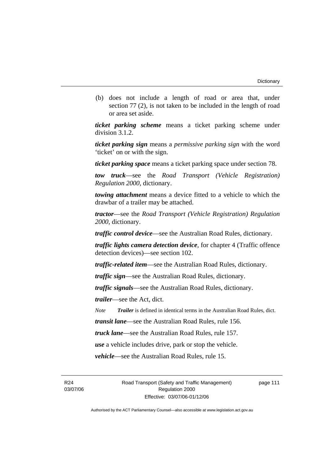(b) does not include a length of road or area that, under section 77 (2), is not taken to be included in the length of road or area set aside.

*ticket parking scheme* means a ticket parking scheme under division 3.1.2.

*ticket parking sign* means a *permissive parking sign* with the word 'ticket' on or with the sign.

*ticket parking space* means a ticket parking space under section 78.

*tow truck*—see the *Road Transport (Vehicle Registration) Regulation 2000*, dictionary.

*towing attachment* means a device fitted to a vehicle to which the drawbar of a trailer may be attached.

*tractor*—see the *Road Transport (Vehicle Registration) Regulation 2000*, dictionary.

*traffic control device*—see the Australian Road Rules, dictionary.

*traffic lights camera detection device*, for chapter 4 (Traffic offence detection devices)—see section 102.

*traffic-related item*—see the Australian Road Rules, dictionary.

*traffic sign*—see the Australian Road Rules, dictionary.

*traffic signals*—see the Australian Road Rules, dictionary.

*trailer*—see the Act, dict.

*Note Trailer* is defined in identical terms in the Australian Road Rules, dict.

*transit lane*—see the Australian Road Rules, rule 156.

*truck lane*—see the Australian Road Rules, rule 157.

*use* a vehicle includes drive, park or stop the vehicle.

*vehicle*—see the Australian Road Rules, rule 15.

R24 03/07/06 Road Transport (Safety and Traffic Management) Regulation 2000 Effective: 03/07/06-01/12/06

page 111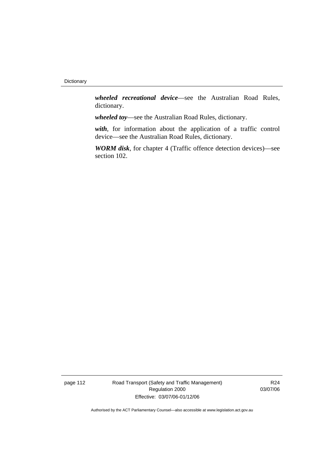*wheeled recreational device*—see the Australian Road Rules, dictionary.

*wheeled toy*—see the Australian Road Rules, dictionary.

*with*, for information about the application of a traffic control device—see the Australian Road Rules, dictionary.

*WORM disk*, for chapter 4 (Traffic offence detection devices)—see section 102.

page 112 Road Transport (Safety and Traffic Management) Regulation 2000 Effective: 03/07/06-01/12/06

R24 03/07/06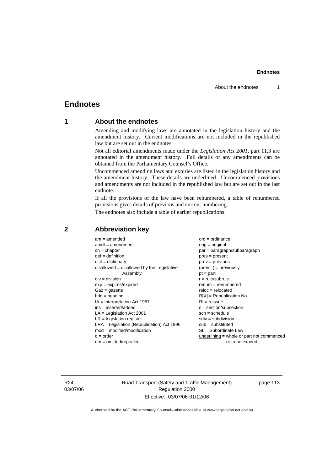# **Endnotes**

# **1 About the endnotes**

Amending and modifying laws are annotated in the legislation history and the amendment history. Current modifications are not included in the republished law but are set out in the endnotes.

Not all editorial amendments made under the *Legislation Act 2001*, part 11.3 are annotated in the amendment history. Full details of any amendments can be obtained from the Parliamentary Counsel's Office.

Uncommenced amending laws and expiries are listed in the legislation history and the amendment history. These details are underlined. Uncommenced provisions and amendments are not included in the republished law but are set out in the last endnote.

If all the provisions of the law have been renumbered, a table of renumbered provisions gives details of previous and current numbering.

The endnotes also include a table of earlier republications.

| $am = amended$<br>$amdt = amendment$<br>$ch = chapter$<br>$def = definition$<br>$dict = dictionary$<br>$disallowed = disallowed by the Legislative$ | $ord = ordinance$<br>orig = original<br>par = paragraph/subparagraph<br>$pres = present$<br>$prev = previous$<br>$(\text{prev}) = \text{previously}$ |
|-----------------------------------------------------------------------------------------------------------------------------------------------------|------------------------------------------------------------------------------------------------------------------------------------------------------|
| Assembly                                                                                                                                            | $pt = part$                                                                                                                                          |
| $div = division$                                                                                                                                    | $r = rule/subrule$                                                                                                                                   |
| $exp = expires/expired$                                                                                                                             | $remum = renumbered$                                                                                                                                 |
| $Gaz = gazette$                                                                                                                                     | $reloc = relocated$                                                                                                                                  |
| $hdg =$ heading                                                                                                                                     | $R[X]$ = Republication No                                                                                                                            |
| $IA = Interpretation Act 1967$                                                                                                                      | $RI = reissue$                                                                                                                                       |
| $ins = inserted/added$                                                                                                                              | $s = section/subsection$                                                                                                                             |
| $LA =$ Legislation Act 2001                                                                                                                         | $sch = schedule$                                                                                                                                     |
| $LR =$ legislation register                                                                                                                         | $sdiv = subdivision$                                                                                                                                 |
| $LRA =$ Legislation (Republication) Act 1996                                                                                                        | $sub = substituted$                                                                                                                                  |
| $mod = modified/modification$                                                                                                                       | SL = Subordinate Law                                                                                                                                 |
| $o = order$                                                                                                                                         | underlining = whole or part not commenced                                                                                                            |
| $om = omitted/repealed$                                                                                                                             | or to be expired                                                                                                                                     |

#### **2 Abbreviation key**

R24 03/07/06 Road Transport (Safety and Traffic Management) Regulation 2000 Effective: 03/07/06-01/12/06

page 113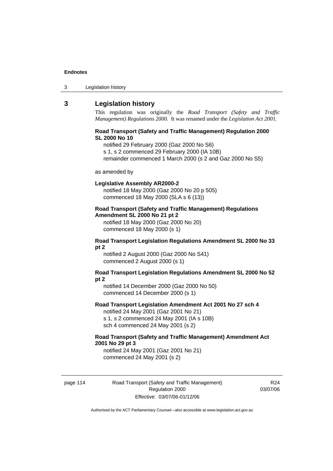| 3 | Legislation history |  |
|---|---------------------|--|
|---|---------------------|--|

### **3 Legislation history**

This regulation was originally the *Road Transport (Safety and Traffic Management) Regulations 2000*. It was renamed under the *Legislation Act 2001*.

#### **Road Transport (Safety and Traffic Management) Regulation 2000 SL 2000 No 10**

notified 29 February 2000 (Gaz 2000 No S6)

s 1, s 2 commenced 29 February 2000 (IA 10B)

remainder commenced 1 March 2000 (s 2 and Gaz 2000 No S5)

#### as amended by

#### **Legislative Assembly AR2000-2**

notified 18 May 2000 (Gaz 2000 No 20 p 505) commenced 18 May 2000 (SLA s 6 (13))

#### **Road Transport (Safety and Traffic Management) Regulations Amendment SL 2000 No 21 pt 2**

notified 18 May 2000 (Gaz 2000 No 20) commenced 18 May 2000 (s 1)

#### **Road Transport Legislation Regulations Amendment SL 2000 No 33 pt 2**

notified 2 August 2000 (Gaz 2000 No S41) commenced 2 August 2000 (s 1)

#### **Road Transport Legislation Regulations Amendment SL 2000 No 52 pt 2**

notified 14 December 2000 (Gaz 2000 No 50) commenced 14 December 2000 (s 1)

#### **Road Transport Legislation Amendment Act 2001 No 27 sch 4**

notified 24 May 2001 (Gaz 2001 No 21) s 1, s 2 commenced 24 May 2001 (IA s 10B) sch 4 commenced 24 May 2001 (s 2)

#### **Road Transport (Safety and Traffic Management) Amendment Act 2001 No 29 pt 3**

notified 24 May 2001 (Gaz 2001 No 21) commenced 24 May 2001 (s 2)

page 114 Road Transport (Safety and Traffic Management) Regulation 2000 Effective: 03/07/06-01/12/06

R24 03/07/06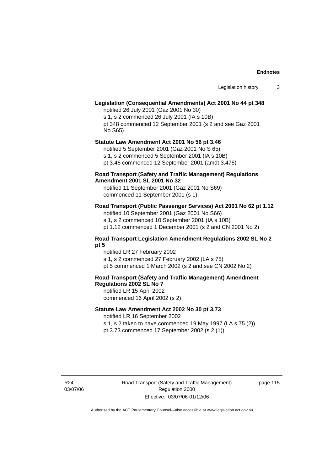# **Legislation (Consequential Amendments) Act 2001 No 44 pt 348**

notified 26 July 2001 (Gaz 2001 No 30) s 1, s 2 commenced 26 July 2001 (IA s 10B) pt 348 commenced 12 September 2001 (s 2 and see Gaz 2001 No S65)

# **Statute Law Amendment Act 2001 No 56 pt 3.46**

notified 5 September 2001 (Gaz 2001 No S 65) s 1, s 2 commenced 5 September 2001 (IA s 10B) pt 3.46 commenced 12 September 2001 (amdt 3.475)

#### **Road Transport (Safety and Traffic Management) Regulations Amendment 2001 SL 2001 No 32**

notified 11 September 2001 (Gaz 2001 No S69) commenced 11 September 2001 (s 1)

#### **Road Transport (Public Passenger Services) Act 2001 No 62 pt 1.12**

notified 10 September 2001 (Gaz 2001 No S66) s 1, s 2 commenced 10 September 2001 (IA s 10B)

pt 1.12 commenced 1 December 2001 (s 2 and CN 2001 No 2)

#### **Road Transport Legislation Amendment Regulations 2002 SL No 2 pt 5**

notified LR 27 February 2002 s 1, s 2 commenced 27 February 2002 (LA s 75) pt 5 commenced 1 March 2002 (s 2 and see CN 2002 No 2)

# **Road Transport (Safety and Traffic Management) Amendment Regulations 2002 SL No 7**

notified LR 15 April 2002 commenced 16 April 2002 (s 2)

#### **Statute Law Amendment Act 2002 No 30 pt 3.73**

notified LR 16 September 2002

s 1, s 2 taken to have commenced 19 May 1997 (LA s 75 (2)) pt 3.73 commenced 17 September 2002 (s 2 (1))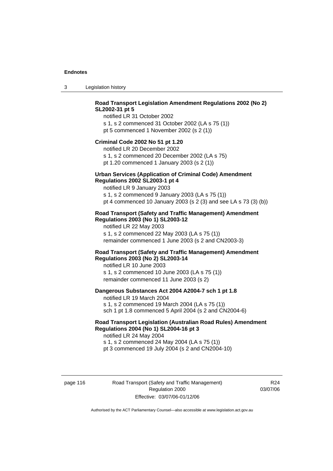3 Legislation history

### **Road Transport Legislation Amendment Regulations 2002 (No 2) SL2002-31 pt 5**

notified LR 31 October 2002 s 1, s 2 commenced 31 October 2002 (LA s 75 (1)) pt 5 commenced 1 November 2002 (s 2 (1))

#### **Criminal Code 2002 No 51 pt 1.20**

notified LR 20 December 2002 s 1, s 2 commenced 20 December 2002 (LA s 75) pt 1.20 commenced 1 January 2003 (s 2 (1))

# **Urban Services (Application of Criminal Code) Amendment**

#### **Regulations 2002 SL2003-1 pt 4**

notified LR 9 January 2003 s 1, s 2 commenced 9 January 2003 (LA s 75 (1)) pt 4 commenced 10 January 2003 (s 2 (3) and see LA s 73 (3) (b))

#### **Road Transport (Safety and Traffic Management) Amendment Regulations 2003 (No 1) SL2003-12**

notified LR 22 May 2003 s 1, s 2 commenced 22 May 2003 (LA s 75 (1)) remainder commenced 1 June 2003 (s 2 and CN2003-3)

#### **Road Transport (Safety and Traffic Management) Amendment Regulations 2003 (No 2) SL2003-14**

notified LR 10 June 2003 s 1, s 2 commenced 10 June 2003 (LA s 75 (1)) remainder commenced 11 June 2003 (s 2)

#### **Dangerous Substances Act 2004 A2004-7 sch 1 pt 1.8**

notified LR 19 March 2004 s 1, s 2 commenced 19 March 2004 (LA s 75 (1)) sch 1 pt 1.8 commenced 5 April 2004 (s 2 and CN2004-6)

#### **Road Transport Legislation (Australian Road Rules) Amendment Regulations 2004 (No 1) SL2004-16 pt 3**

notified LR 24 May 2004 s 1, s 2 commenced 24 May 2004 (LA s 75 (1)) pt 3 commenced 19 July 2004 (s 2 and CN2004-10)

page 116 Road Transport (Safety and Traffic Management) Regulation 2000 Effective: 03/07/06-01/12/06

R24 03/07/06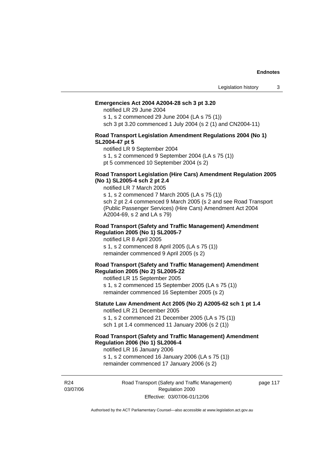#### **Emergencies Act 2004 A2004-28 sch 3 pt 3.20**

notified LR 29 June 2004

s 1, s 2 commenced 29 June 2004 (LA s 75 (1)) sch 3 pt 3.20 commenced 1 July 2004 (s 2 (1) and CN2004-11)

#### **Road Transport Legislation Amendment Regulations 2004 (No 1) SL2004-47 pt 5**

notified LR 9 September 2004

s 1, s 2 commenced 9 September 2004 (LA s 75 (1))

pt 5 commenced 10 September 2004 (s 2)

#### **Road Transport Legislation (Hire Cars) Amendment Regulation 2005 (No 1) SL2005-4 sch 2 pt 2.4**

notified LR 7 March 2005

s 1, s 2 commenced 7 March 2005 (LA s 75 (1)) sch 2 pt 2.4 commenced 9 March 2005 (s 2 and see Road Transport (Public Passenger Services) (Hire Cars) Amendment Act 2004 A2004-69, s 2 and LA s 79)

#### **Road Transport (Safety and Traffic Management) Amendment Regulation 2005 (No 1) SL2005-7**

notified LR 8 April 2005 s 1, s 2 commenced 8 April 2005 (LA s 75 (1)) remainder commenced 9 April 2005 (s 2)

#### **Road Transport (Safety and Traffic Management) Amendment Regulation 2005 (No 2) SL2005-22**

notified LR 15 September 2005 s 1, s 2 commenced 15 September 2005 (LA s 75 (1)) remainder commenced 16 September 2005 (s 2)

#### **Statute Law Amendment Act 2005 (No 2) A2005-62 sch 1 pt 1.4**  notified LR 21 December 2005

s 1, s 2 commenced 21 December 2005 (LA s 75 (1)) sch 1 pt 1.4 commenced 11 January 2006 (s 2 (1))

# **Road Transport (Safety and Traffic Management) Amendment Regulation 2006 (No 1) SL2006-4**

notified LR 16 January 2006 s 1, s 2 commenced 16 January 2006 (LA s 75 (1)) remainder commenced 17 January 2006 (s 2)

R24 03/07/06 page 117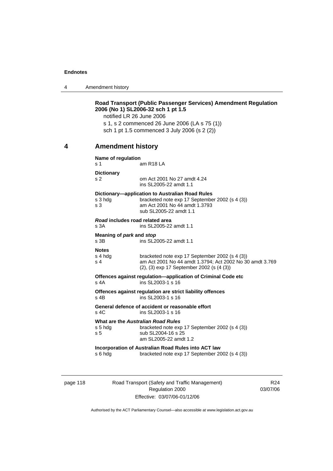4 Amendment history

|   | notified LR 26 June 2006                | <b>Road Transport (Public Passenger Services) Amendment Regulation</b><br>2006 (No 1) SL2006-32 sch 1 pt 1.5<br>s 1, s 2 commenced 26 June 2006 (LA s 75 (1))<br>sch 1 pt 1.5 commenced 3 July 2006 (s 2 (2)) |
|---|-----------------------------------------|---------------------------------------------------------------------------------------------------------------------------------------------------------------------------------------------------------------|
| 4 | <b>Amendment history</b>                |                                                                                                                                                                                                               |
|   | Name of regulation<br>s 1               | am R <sub>18</sub> LA                                                                                                                                                                                         |
|   | <b>Dictionary</b><br>s 2                | om Act 2001 No 27 amdt 4.24<br>ins SL2005-22 amdt 1.1                                                                                                                                                         |
|   | s 3 hdg<br>s <sub>3</sub>               | Dictionary-application to Australian Road Rules<br>bracketed note exp 17 September 2002 (s 4 (3))<br>am Act 2001 No 44 amdt 1.3793<br>sub SL2005-22 amdt 1.1                                                  |
|   | Road includes road related area<br>s 3A | ins SL2005-22 amdt 1.1                                                                                                                                                                                        |
|   | Meaning of park and stop<br>s 3B        | ins SL2005-22 amdt 1.1                                                                                                                                                                                        |
|   | <b>Notes</b><br>s 4 hdg<br>s 4          | bracketed note exp 17 September 2002 (s 4 (3))<br>am Act 2001 No 44 amdt 1.3794; Act 2002 No 30 amdt 3.769<br>(2), (3) exp 17 September 2002 (s (4 (3))                                                       |
|   | $s$ 4A                                  | Offences against regulation-application of Criminal Code etc<br>ins SL2003-1 s 16                                                                                                                             |
|   | s 4B                                    | Offences against regulation are strict liability offences<br>ins SL2003-1 s 16                                                                                                                                |
|   | $s$ 4 $C$                               | General defence of accident or reasonable effort<br>ins SL2003-1 s 16                                                                                                                                         |
|   | s 5 hdg<br>s 5                          | <b>What are the Australian Road Rules</b><br>bracketed note exp 17 September 2002 (s 4 (3))<br>sub SL2004-16 s 25<br>am SL2005-22 amdt 1.2                                                                    |
|   | s 6 hdg                                 | Incorporation of Australian Road Rules into ACT law<br>bracketed note exp 17 September 2002 (s 4 (3))                                                                                                         |

page 118 Road Transport (Safety and Traffic Management) Regulation 2000 Effective: 03/07/06-01/12/06

R24 03/07/06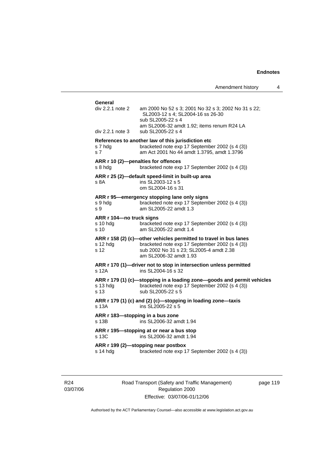| Amendment history |  |
|-------------------|--|
|-------------------|--|

| General                                      |                                                                                                                                                                                          |
|----------------------------------------------|------------------------------------------------------------------------------------------------------------------------------------------------------------------------------------------|
| $div 2.2.1$ note 2                           | am 2000 No 52 s 3; 2001 No 32 s 3; 2002 No 31 s 22;<br>SL2003-12 s 4; SL2004-16 ss 26-30<br>sub SL2005-22 s 4                                                                            |
| div 2.2.1 note 3                             | am SL2006-32 amdt 1.92; items renum R24 LA<br>sub SL2005-22 s 4                                                                                                                          |
| s 7 hda<br>s <sub>7</sub>                    | References to another law of this jurisdiction etc<br>bracketed note exp 17 September 2002 (s 4 (3))<br>am Act 2001 No 44 amdt 1.3795, amdt 1.3796                                       |
| s 8 hda                                      | ARR r 10 (2)-penalties for offences<br>bracketed note exp 17 September 2002 (s 4 (3))                                                                                                    |
| s 8A                                         | ARR r 25 (2)-default speed-limit in built-up area<br>ins SL2003-12 s 5<br>om SL2004-16 s 31                                                                                              |
| s 9 hda<br>s 9                               | ARR r 95—emergency stopping lane only signs<br>bracketed note exp 17 September 2002 (s 4 (3))<br>am SL2005-22 amdt 1.3                                                                   |
| ARR r 104-no truck signs<br>s 10 hda<br>s 10 | bracketed note exp 17 September 2002 (s 4 (3))<br>am SL 2005-22 amdt 1.4                                                                                                                 |
| s 12 hdg<br>s 12                             | ARR r 158 (2) (c)-other vehicles permitted to travel in bus lanes<br>bracketed note exp 17 September 2002 (s 4 (3))<br>sub 2002 No 31 s 23; SL2005-4 amdt 2.38<br>am SL2006-32 amdt 1.93 |
| $s$ 12 $A$                                   | ARR r 170 (1)-driver not to stop in intersection unless permitted<br>ins SL2004-16 s 32                                                                                                  |
| s 13 hdq<br>s 13                             | ARR r 179 (1) (c)-stopping in a loading zone-goods and permit vehicles<br>bracketed note exp 17 September 2002 (s 4 (3))<br>sub SL2005-22 s 5                                            |
| s 13A                                        | ARR r 179 (1) (c) and (2) (c)-stopping in loading zone-taxis<br>ins SL2005-22 s 5                                                                                                        |
| ARR r 183-stopping in a bus zone<br>s 13B    | ins SL2006-32 amdt 1.94                                                                                                                                                                  |
| s 13C                                        | ARR r 195-stopping at or near a bus stop<br>ins SL2006-32 amdt 1.94                                                                                                                      |
| s 14 hdg                                     | ARR r 199 (2)-stopping near postbox<br>bracketed note exp 17 September 2002 (s 4 (3))                                                                                                    |

R24 03/07/06 Road Transport (Safety and Traffic Management) Regulation 2000 Effective: 03/07/06-01/12/06

page 119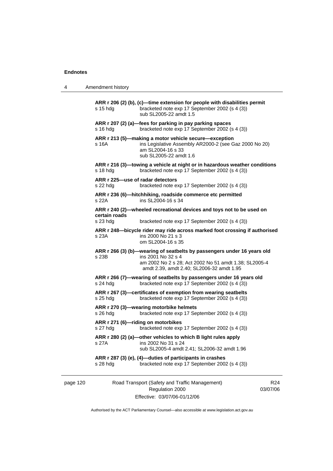|  | Amendment history |
|--|-------------------|
|--|-------------------|

| s 15 hdg                                     | ARR r 206 (2) (b), (c)-time extension for people with disabilities permit<br>bracketed note exp 17 September 2002 (s 4 (3))<br>sub SL2005-22 amdt 1.5                                               |
|----------------------------------------------|-----------------------------------------------------------------------------------------------------------------------------------------------------------------------------------------------------|
| s 16 hda                                     | ARR r 207 (2) (a)-fees for parking in pay parking spaces<br>bracketed note exp 17 September 2002 (s 4 (3))                                                                                          |
| s 16A                                        | ARR r 213 (5)-making a motor vehicle secure-exception<br>ins Legislative Assembly AR2000-2 (see Gaz 2000 No 20)<br>am SL2004-16 s 33<br>sub SL2005-22 amdt 1.6                                      |
| s 18 hdg                                     | ARR r 216 (3)-towing a vehicle at night or in hazardous weather conditions<br>bracketed note exp 17 September 2002 (s 4 (3))                                                                        |
| ARR r 225-use of radar detectors<br>s 22 hdg | bracketed note exp 17 September 2002 (s 4 (3))                                                                                                                                                      |
| s 22A                                        | ARR r 236 (6)-hitchhiking, roadside commerce etc permitted<br>ins SL2004-16 s 34                                                                                                                    |
| certain roads                                | ARR r 240 (2)-wheeled recreational devices and toys not to be used on                                                                                                                               |
| s 23 hdg                                     | bracketed note exp 17 September 2002 (s 4 (3))                                                                                                                                                      |
| s 23A                                        | ARR r 248-bicycle rider may ride across marked foot crossing if authorised<br>ins 2000 No 21 s 3<br>om SL2004-16 s 35                                                                               |
| s 23B                                        | ARR r 266 (3) (b)-wearing of seatbelts by passengers under 16 years old<br>ins 2001 No 32 s 4<br>am 2002 No 2 s 28; Act 2002 No 51 amdt 1.38; SL2005-4<br>amdt 2.39, amdt 2.40; SL2006-32 amdt 1.95 |
| s 24 hdg                                     | ARR r 266 (7)-wearing of seatbelts by passengers under 16 years old<br>bracketed note exp 17 September 2002 (s 4 (3))                                                                               |
| s 25 hdg                                     | ARR r 267 (3)-certificates of exemption from wearing seatbelts<br>bracketed note exp 17 September 2002 (s 4 (3))                                                                                    |
| s 26 hdg                                     | ARR r 270 (3)-wearing motorbike helmets<br>bracketed note exp 17 September 2002 (s 4 (3))                                                                                                           |
| s 27 hdg                                     | ARR r 271 (6)-riding on motorbikes<br>bracketed note exp 17 September 2002 (s 4 (3))                                                                                                                |
| s 27A                                        | ARR r 280 (2) (a)-other vehicles to which B light rules apply<br>ins 2002 No 31 s 24<br>sub SL2005-4 amdt 2.41; SL2006-32 amdt 1.96                                                                 |
| s 28 hdg                                     | ARR r 287 (3) (e), (4)-duties of participants in crashes<br>bracketed note exp 17 September 2002 (s 4 (3))                                                                                          |
|                                              |                                                                                                                                                                                                     |

page 120 Road Transport (Safety and Traffic Management) Regulation 2000 Effective: 03/07/06-01/12/06

R24 03/07/06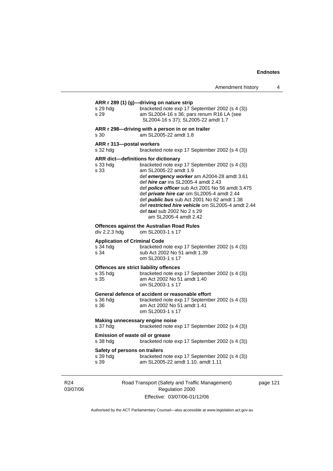# **ARR r 289 (1) (g)—driving on nature strip**  s 29 hdg bracketed note exp 17 September 2002 (s 4 (3)) s 29 am SL2004-16 s 36; pars renum R16 LA (see SL2004-16 s 37); SL2005-22 amdt 1.7 **ARR r 298—driving with a person in or on trailer**  s 30 am SL2005-22 amdt 1.8 **ARR r 313—postal workers**  s 32 hdg bracketed note exp 17 September 2002 (s 4 (3)) **ARR dict—definitions for dictionary**  s 33 hdg bracketed note exp 17 September 2002 (s 4 (3)) s 33 am SL2005-22 amdt 1.9 def *emergency worker* am A2004-28 amdt 3.61 def *hire car* ins SL2005-4 amdt 2.43 def *police officer* sub Act 2001 No 56 amdt 3.475 def *private hire car* om SL2005-4 amdt 2.44 def *public bus* sub Act 2001 No 62 amdt 1.38 def *restricted hire vehicle* om SL2005-4 amdt 2.44 def *taxi* sub 2002 No 2 s 29 am SL2005-4 amdt 2.42 **Offences against the Australian Road Rules**  div 2.2.3 hdg om SL2003-1 s 17 **Application of Criminal Code**  bracketed note exp 17 September 2002 (s 4 (3)) s 34 sub Act 2002 No 51 amdt 1.39 om SL2003-1 s 17 **Offences are strict liability offences**  s 35 hdg bracketed note exp 17 September 2002 (s 4 (3)) s 35 am Act 2002 No 51 amdt 1.40 om SL2003-1 s 17 **General defence of accident or reasonable effort**  s 36 hdg bracketed note exp 17 September 2002 (s 4 (3)) s 36 am Act 2002 No 51 amdt 1.41 om SL2003-1 s 17 **Making unnecessary engine noise**  s 37 hdg bracketed note exp 17 September 2002 (s 4 (3)) **Emission of waste oil or grease**  s 38 hdg bracketed note exp 17 September 2002 (s 4 (3)) **Safety of persons on trailers**  s 39 hdg bracketed note exp 17 September 2002 (s 4 (3)) s 39 am SL2005-22 amdt 1.10, amdt 1.11

R24 03/07/06 Road Transport (Safety and Traffic Management) Regulation 2000 Effective: 03/07/06-01/12/06

page 121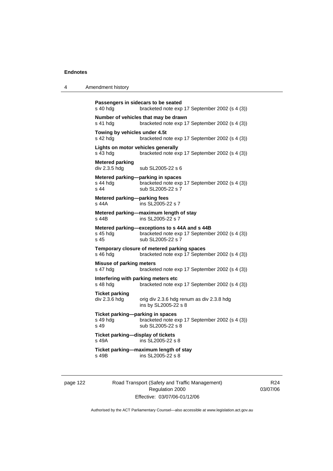```
Passengers in sidecars to be seated 
s 40 hdg bracketed note exp 17 September 2002 (s 4 (3)) 
Number of vehicles that may be drawn 
s 41 hdg bracketed note exp 17 September 2002 (s 4 (3)) 
Towing by vehicles under 4.5t 
s 42 hdg bracketed note exp 17 September 2002 (s 4 (3))
Lights on motor vehicles generally 
s 43 hdg bracketed note exp 17 September 2002 (s 4 (3)) 
Metered parking 
                sub SL2005-22 s 6
Metered parking—parking in spaces 
s 44 hdg bracketed note exp 17 September 2002 (s 4 (3)) 
s 44 sub SL2005-22 s 7
Metered parking—parking fees 
s 44A ins SL2005-22 s 7 
Metered parking—maximum length of stay 
s 44B ins SL2005-22 s 7 
Metered parking—exceptions to s 44A and s 44B 
s 45 hdg bracketed note exp 17 September 2002 (s 4 (3)) 
s 45 sub SL2005-22 s 7
Temporary closure of metered parking spaces 
s 46 hdg bracketed note exp 17 September 2002 (s 4 (3))
Misuse of parking meters 
s 47 hdg bracketed note exp 17 September 2002 (s 4 (3)) 
Interfering with parking meters etc 
                bracketed note exp 17 September 2002 (s 4 (3))
Ticket parking 
div 2.3.6 hdg orig div 2.3.6 hdg renum as div 2.3.8 hdg
                 ins by SL2005-22 s 8 
Ticket parking—parking in spaces 
s 49 hdg bracketed note exp 17 September 2002 (s 4 (3)) 
s 49 sub SL2005-22 s 8
Ticket parking—display of tickets 
s 49A ins SL2005-22 s 8 
Ticket parking—maximum length of stay 
s 49B ins SL2005-22 s 8
```
page 122 Road Transport (Safety and Traffic Management) Regulation 2000 Effective: 03/07/06-01/12/06

R24 03/07/06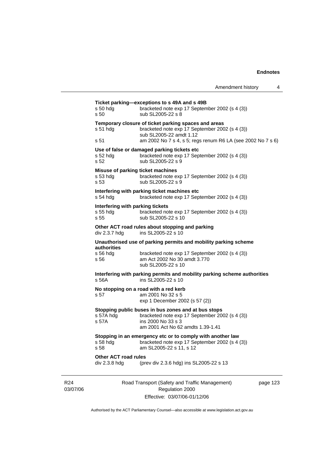| $s50$ hdg                                            | Ticket parking-exceptions to s 49A and s 49B<br>bracketed note exp 17 September 2002 (s 4 (3))                                                                   |          |
|------------------------------------------------------|------------------------------------------------------------------------------------------------------------------------------------------------------------------|----------|
| s 50                                                 | sub SL2005-22 s 8                                                                                                                                                |          |
| s 51 hdg                                             | Temporary closure of ticket parking spaces and areas<br>bracketed note exp 17 September 2002 (s 4 (3))<br>sub SL2005-22 amdt 1.12                                |          |
| s 51                                                 | am 2002 No 7 s 4, s 5; regs renum R6 LA (see 2002 No 7 s 6)                                                                                                      |          |
| $s52$ hdg<br>s 52                                    | Use of false or damaged parking tickets etc<br>bracketed note exp 17 September 2002 (s 4 (3))<br>sub SL2005-22 s 9                                               |          |
| $s53$ hdg<br>s 53                                    | Misuse of parking ticket machines<br>bracketed note exp 17 September 2002 (s 4 (3))<br>sub SL2005-22 s 9                                                         |          |
| $s$ 54 hdg                                           | Interfering with parking ticket machines etc<br>bracketed note exp 17 September 2002 (s 4 (3))                                                                   |          |
| Interfering with parking tickets<br>s 55 hdg<br>s 55 | bracketed note exp 17 September 2002 (s 4 (3))<br>sub SL2005-22 s 10                                                                                             |          |
| div 2.3.7 hdg                                        | Other ACT road rules about stopping and parking<br>ins SL2005-22 s 10                                                                                            |          |
| authorities                                          | Unauthorised use of parking permits and mobility parking scheme                                                                                                  |          |
| $s$ 56 hdg<br>s 56                                   | bracketed note exp 17 September 2002 (s 4 (3))<br>am Act 2002 No 30 amdt 3.770<br>sub SL2005-22 s 10                                                             |          |
| s 56A                                                | Interfering with parking permits and mobility parking scheme authorities<br>ins SL2005-22 s 10                                                                   |          |
| s 57                                                 | No stopping on a road with a red kerb<br>am 2001 No 32 s 5<br>exp 1 December 2002 (s 57 (2))                                                                     |          |
| s 57A hdg<br>s 57A                                   | Stopping public buses in bus zones and at bus stops<br>bracketed note exp 17 September 2002 (s 4 (3))<br>ins 2000 No 33 s 3<br>am 2001 Act No 62 amdts 1.39-1.41 |          |
| s 58 hdg<br>s 58                                     | Stopping in an emergency etc or to comply with another law<br>bracketed note exp 17 September 2002 (s 4 (3))<br>am SL2005-22 s 11, s 12                          |          |
| <b>Other ACT road rules</b><br>div 2.3.8 hdg         | (prev div 2.3.6 hdg) ins SL2005-22 s 13                                                                                                                          |          |
|                                                      | Road Transport (Safety and Traffic Management)                                                                                                                   | page 123 |
|                                                      |                                                                                                                                                                  |          |

R24 03/07/06

Road Transport (Safety and Traffic Management) Regulation 2000 Effective: 03/07/06-01/12/06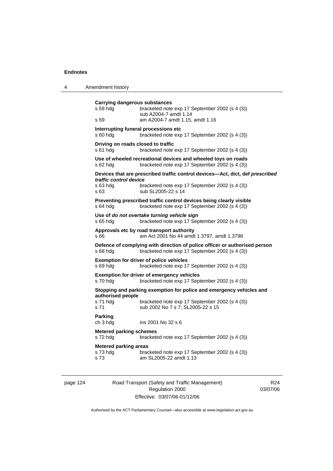| 4 | Amendment history                                                                                                                                                                                    |
|---|------------------------------------------------------------------------------------------------------------------------------------------------------------------------------------------------------|
|   | Carrying dangerous substances<br>s 59 hdg<br>bracketed note exp 17 September 2002 (s 4 (3))<br>sub A2004-7 amdt 1.14<br>s 59<br>am A2004-7 amdt 1.15, amdt 1.16                                      |
|   | Interrupting funeral processions etc<br>bracketed note exp 17 September 2002 (s 4 (3))<br>s 60 hdg                                                                                                   |
|   | Driving on roads closed to traffic<br>s 61 hdg<br>bracketed note exp 17 September 2002 (s 4 (3))                                                                                                     |
|   | Use of wheeled recreational devices and wheeled toys on roads<br>bracketed note exp 17 September 2002 (s 4 (3))<br>s 62 hdg                                                                          |
|   | Devices that are prescribed traffic control devices—Act, dict, def prescribed<br>traffic control device<br>s 63 hdg<br>bracketed note exp 17 September 2002 (s 4 (3))<br>s 63<br>sub SL2005-22 s 14  |
|   | Preventing prescribed traffic control devices being clearly visible<br>bracketed note exp 17 September 2002 (s 4 (3))<br>$s$ 64 hdg                                                                  |
|   | Use of do not overtake turning vehicle sign<br>s 65 hdg<br>bracketed note exp 17 September 2002 (s 4 (3))                                                                                            |
|   | Approvals etc by road transport authority<br>s 66<br>am Act 2001 No 44 amdt 1.3797, amdt 1.3798                                                                                                      |
|   | Defence of complying with direction of police officer or authorised person<br>bracketed note exp 17 September 2002 (s 4 (3))<br>s 68 hdg                                                             |
|   | <b>Exemption for driver of police vehicles</b><br>s 69 hdg<br>bracketed note exp 17 September 2002 (s 4 (3))                                                                                         |
|   | <b>Exemption for driver of emergency vehicles</b><br>s 70 hdg<br>bracketed note exp 17 September 2002 (s 4 (3))                                                                                      |
|   | Stopping and parking exemption for police and emergency vehicles and<br>authorised people<br>s 71 hdg<br>bracketed note exp 17 September 2002 (s 4 (3))<br>s 71<br>sub 2002 No 7 s 7; SL2005-22 s 15 |
|   | <b>Parking</b><br>ch 3 hdg<br>ins 2001 No 32 s 6                                                                                                                                                     |
|   | <b>Metered parking schemes</b><br>s 72 hdg<br>bracketed note exp 17 September 2002 (s 4 (3))                                                                                                         |
|   | <b>Metered parking areas</b><br>s 73 hdg<br>bracketed note exp 17 September 2002 (s 4 (3))<br>am SL 2005-22 amdt 1.13<br>s 73                                                                        |

page 124 Road Transport (Safety and Traffic Management) Regulation 2000 Effective: 03/07/06-01/12/06

R24 03/07/06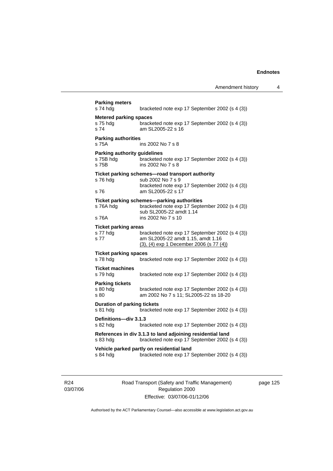| s 74 hda                                                  | bracketed note exp 17 September 2002 (s 4 (3))                                                                                              |
|-----------------------------------------------------------|---------------------------------------------------------------------------------------------------------------------------------------------|
| <b>Metered parking spaces</b><br>s 75 hdg<br>s 74         | bracketed note exp 17 September 2002 (s 4 (3))<br>am SL2005-22 s 16                                                                         |
| <b>Parking authorities</b><br>s 75A                       | ins 2002 No 7 s 8                                                                                                                           |
| <b>Parking authority guidelines</b><br>s 75B hdg<br>s 75B | bracketed note exp 17 September 2002 (s 4 (3))<br>ins 2002 No 7 s 8                                                                         |
| s 76 hdg<br>s 76                                          | Ticket parking schemes-road transport authority<br>sub 2002 No 7 s 9<br>bracketed note exp 17 September 2002 (s 4 (3))<br>am SL2005-22 s 17 |
|                                                           |                                                                                                                                             |
| s 76A hdg                                                 | Ticket parking schemes—parking authorities<br>bracketed note exp 17 September 2002 (s 4 (3))<br>sub SL2005-22 amdt 1.14                     |
| s 76A                                                     | ins 2002 No 7 s 10                                                                                                                          |
| <b>Ticket parking areas</b><br>s 77 hdg<br>s 77           | bracketed note exp 17 September 2002 (s 4 (3))<br>am SL2005-22 amdt 1.15, amdt 1.16<br>(3), (4) exp 1 December 2006 (s 77 (4))              |
| <b>Ticket parking spaces</b><br>s 78 hdg                  | bracketed note exp 17 September 2002 (s 4 (3))                                                                                              |
| <b>Ticket machines</b><br>s 79 hdg                        | bracketed note exp 17 September 2002 (s 4 (3))                                                                                              |
| <b>Parking tickets</b><br>s 80 hdg<br>s 80                | bracketed note exp 17 September 2002 (s 4 (3))<br>am 2002 No 7 s 11; SL2005-22 ss 18-20                                                     |
| <b>Duration of parking tickets</b><br>s 81 hdg            | bracketed note exp 17 September 2002 (s 4 (3))                                                                                              |
| Definitions-div 3.1.3<br>s 82 hdg                         | bracketed note exp 17 September 2002 (s 4 (3))                                                                                              |
|                                                           | References in div 3.1.3 to land adjoining residential land                                                                                  |
| s 83 hda                                                  | bracketed note exp 17 September 2002 (s 4 (3))                                                                                              |

R24 03/07/06 Road Transport (Safety and Traffic Management) Regulation 2000 Effective: 03/07/06-01/12/06

page 125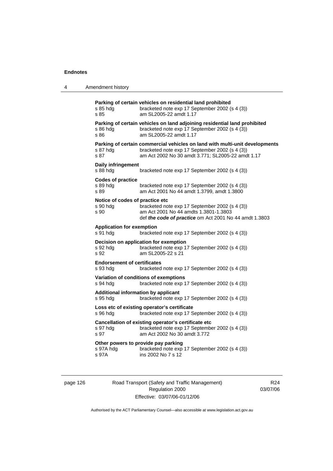| 4 | Amendment history                                                                                                                                                                                        |
|---|----------------------------------------------------------------------------------------------------------------------------------------------------------------------------------------------------------|
|   | Parking of certain vehicles on residential land prohibited<br>bracketed note exp 17 September 2002 (s 4 (3))<br>s 85 hdg<br>s 85<br>am SL2005-22 amdt 1.17                                               |
|   | Parking of certain vehicles on land adjoining residential land prohibited<br>bracketed note exp 17 September 2002 (s 4 (3))<br>s 86 hdg<br>s 86<br>am SL2005-22 amdt 1.17                                |
|   | Parking of certain commercial vehicles on land with multi-unit developments<br>bracketed note exp 17 September 2002 (s 4 (3))<br>s 87 hdg<br>s 87<br>am Act 2002 No 30 amdt 3.771; SL2005-22 amdt 1.17   |
|   | Daily infringement<br>s 88 hdg<br>bracketed note exp 17 September 2002 (s 4 (3))                                                                                                                         |
|   | <b>Codes of practice</b><br>s 89 hdg<br>bracketed note exp 17 September 2002 (s 4 (3))<br>am Act 2001 No 44 amdt 1.3799, amdt 1.3800<br>s 89                                                             |
|   | Notice of codes of practice etc<br>bracketed note exp 17 September 2002 (s 4 (3))<br>s 90 hda<br>am Act 2001 No 44 amdts 1.3801-1.3803<br>s 90<br>def the code of practice om Act 2001 No 44 amdt 1.3803 |
|   | <b>Application for exemption</b><br>s 91 hdg<br>bracketed note exp 17 September 2002 (s 4 (3))                                                                                                           |
|   | Decision on application for exemption<br>bracketed note exp 17 September 2002 (s 4 (3))<br>s 92 hda<br>s 92<br>am SL2005-22 s 21                                                                         |
|   | <b>Endorsement of certificates</b><br>s 93 hdg<br>bracketed note exp 17 September 2002 (s 4 (3))                                                                                                         |
|   | Variation of conditions of exemptions<br>s 94 hdg<br>bracketed note exp 17 September 2002 (s 4 (3))                                                                                                      |
|   | Additional information by applicant<br>s 95 hdg<br>bracketed note exp 17 September 2002 (s 4 (3))                                                                                                        |
|   | Loss etc of existing operator's certificate<br>s 96 hda<br>bracketed note exp 17 September 2002 (s 4 (3))                                                                                                |
|   | Cancellation of existing operator's certificate etc<br>bracketed note exp 17 September 2002 (s 4 (3))<br>s 97 hdg<br>s 97<br>am Act 2002 No 30 amdt 3.772                                                |
|   | Other powers to provide pay parking<br>bracketed note exp 17 September 2002 (s 4 (3))<br>s 97A hdg<br>s 97A<br>ins 2002 No 7 s 12                                                                        |
|   |                                                                                                                                                                                                          |

page 126 Road Transport (Safety and Traffic Management) Regulation 2000 Effective: 03/07/06-01/12/06

R24 03/07/06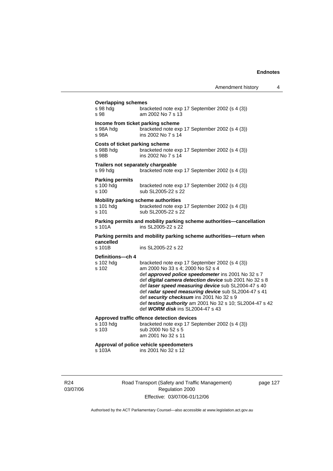| <b>Overlapping schemes</b><br>s 98 hdg<br>s 98                   | bracketed note exp 17 September 2002 (s 4 (3))<br>am 2002 No 7 s 13                                                                                                                                                                                                                                                                                                                                                                                           |
|------------------------------------------------------------------|---------------------------------------------------------------------------------------------------------------------------------------------------------------------------------------------------------------------------------------------------------------------------------------------------------------------------------------------------------------------------------------------------------------------------------------------------------------|
| Income from ticket parking scheme<br>s 98A hdg<br>s 98A          | bracketed note exp 17 September 2002 (s 4 (3))<br>ins 2002 No 7 s 14                                                                                                                                                                                                                                                                                                                                                                                          |
| <b>Costs of ticket parking scheme</b><br>s 98B hdg<br>s 98B      | bracketed note exp 17 September 2002 (s 4 (3))<br>ins 2002 No 7 s 14                                                                                                                                                                                                                                                                                                                                                                                          |
| Trailers not separately chargeable<br>s 99 hdg                   | bracketed note exp 17 September 2002 (s 4 (3))                                                                                                                                                                                                                                                                                                                                                                                                                |
| <b>Parking permits</b><br>s 100 hdg<br>s 100                     | bracketed note exp 17 September 2002 (s 4 (3))<br>sub SL2005-22 s 22                                                                                                                                                                                                                                                                                                                                                                                          |
| <b>Mobility parking scheme authorities</b><br>s 101 hdg<br>s 101 | bracketed note exp 17 September 2002 (s 4 (3))<br>sub SL2005-22 s 22                                                                                                                                                                                                                                                                                                                                                                                          |
| s 101A                                                           | Parking permits and mobility parking scheme authorities-cancellation<br>ins SL2005-22 s 22                                                                                                                                                                                                                                                                                                                                                                    |
|                                                                  | Parking permits and mobility parking scheme authorities-return when                                                                                                                                                                                                                                                                                                                                                                                           |
| cancelled<br>s 101B                                              | ins SL2005-22 s 22                                                                                                                                                                                                                                                                                                                                                                                                                                            |
| Definitions-ch 4<br>s 102 hdg<br>s 102                           | bracketed note exp 17 September 2002 (s 4 (3))<br>am 2000 No 33 s 4; 2000 No 52 s 4<br>def approved police speedometer ins 2001 No 32 s 7<br>def digital camera detection device sub 2001 No 32 s 8<br>def laser speed measuring device sub SL2004-47 s 40<br>def radar speed measuring device sub SL2004-47 s 41<br>def security checksum ins 2001 No 32 s 9<br>def testing authority am 2001 No 32 s 10; SL2004-47 s 42<br>def WORM disk ins SL2004-47 s 43 |
| s 103 hdg<br>s 103                                               | Approved traffic offence detection devices<br>bracketed note exp 17 September 2002 (s 4 (3))<br>sub 2000 No 52 s 5<br>am 2001 No 32 s 11                                                                                                                                                                                                                                                                                                                      |
| s 103A                                                           | Approval of police vehicle speedometers<br>ins 2001 No 32 s 12                                                                                                                                                                                                                                                                                                                                                                                                |

R24 03/07/06 Road Transport (Safety and Traffic Management) Regulation 2000 Effective: 03/07/06-01/12/06

page 127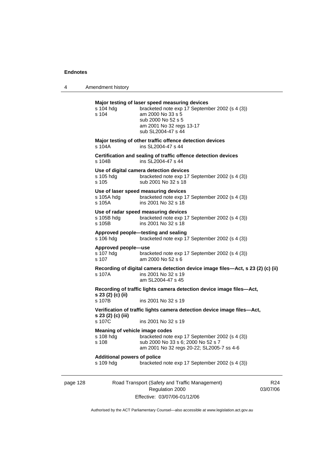4 Amendment history

|          | s 104 hdg<br>s 104                                   | Major testing of laser speed measuring devices<br>bracketed note exp 17 September 2002 (s 4 (3))<br>am 2000 No 33 s 5<br>sub 2000 No 52 s 5<br>am 2001 No 32 regs 13-17<br>sub SL2004-47 s 44 |                             |
|----------|------------------------------------------------------|-----------------------------------------------------------------------------------------------------------------------------------------------------------------------------------------------|-----------------------------|
|          | s 104A                                               | Major testing of other traffic offence detection devices<br>ins SL2004-47 s 44                                                                                                                |                             |
|          | s 104B                                               | Certification and sealing of traffic offence detection devices<br>ins SL2004-47 s 44                                                                                                          |                             |
|          | s 105 hdg<br>s 105                                   | Use of digital camera detection devices<br>bracketed note exp 17 September 2002 (s 4 (3))<br>sub 2001 No 32 s 18                                                                              |                             |
|          | s 105A hdg<br>s 105A                                 | Use of laser speed measuring devices<br>bracketed note exp 17 September 2002 (s 4 (3))<br>ins 2001 No 32 s 18                                                                                 |                             |
|          | s 105B hdg<br>s 105B                                 | Use of radar speed measuring devices<br>bracketed note exp 17 September 2002 (s 4 (3))<br>ins 2001 No 32 s 18                                                                                 |                             |
|          | s 106 hdg                                            | Approved people-testing and sealing<br>bracketed note exp 17 September 2002 (s 4 (3))                                                                                                         |                             |
|          | Approved people-use<br>s 107 hdg<br>s 107            | bracketed note exp 17 September 2002 (s 4 (3))<br>am 2000 No 52 s 6                                                                                                                           |                             |
|          | s 107A                                               | Recording of digital camera detection device image files—Act, s 23 (2) (c) (ii)<br>ins 2001 No 32 s 19<br>am SL2004-47 s 45                                                                   |                             |
|          | s 23 (2) (c) (ii)<br>s 107B                          | Recording of traffic lights camera detection device image files-Act,<br>ins 2001 No 32 s 19                                                                                                   |                             |
|          | s 23 (2) (c) (iii)<br>s 107C                         | Verification of traffic lights camera detection device image files-Act,<br>ins 2001 No 32 s 19                                                                                                |                             |
|          | Meaning of vehicle image codes<br>s 108 hdg<br>s 108 | bracketed note exp 17 September 2002 (s 4 (3))<br>sub 2000 No 33 s 6; 2000 No 52 s 7<br>am 2001 No 32 regs 20-22; SL2005-7 ss 4-6                                                             |                             |
|          | <b>Additional powers of police</b><br>s 109 hdg      | bracketed note exp 17 September 2002 (s 4 (3))                                                                                                                                                |                             |
| page 128 |                                                      | Road Transport (Safety and Traffic Management)<br>Regulation 2000                                                                                                                             | R <sub>24</sub><br>03/07/06 |

Effective: 03/07/06-01/12/06

 $4$ 03/07/06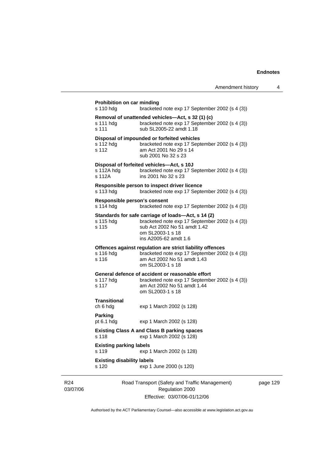|                                            |                                                                                                                                                                                   | Amendment history | 4        |
|--------------------------------------------|-----------------------------------------------------------------------------------------------------------------------------------------------------------------------------------|-------------------|----------|
| Prohibition on car minding<br>s 110 hdg    | bracketed note exp 17 September 2002 (s 4 (3))                                                                                                                                    |                   |          |
| s 111 hdg<br>s 111                         | Removal of unattended vehicles—Act, s 32 (1) (c)<br>bracketed note exp 17 September 2002 (s 4 (3))<br>sub SL2005-22 amdt 1.18                                                     |                   |          |
| s 112 hdg<br>s 112                         | Disposal of impounded or forfeited vehicles<br>bracketed note exp 17 September 2002 (s 4 (3))<br>am Act 2001 No 29 s 14<br>sub 2001 No 32 s 23                                    |                   |          |
| s 112A hdg<br>s 112A                       | Disposal of forfeited vehicles-Act, s 10J<br>bracketed note exp 17 September 2002 (s 4 (3))<br>ins 2001 No 32 s 23                                                                |                   |          |
| s 113 hdg                                  | Responsible person to inspect driver licence<br>bracketed note exp 17 September 2002 (s 4 (3))                                                                                    |                   |          |
| Responsible person's consent<br>s 114 hdg  | bracketed note exp 17 September 2002 (s 4 (3))                                                                                                                                    |                   |          |
| s 115 hdg<br>s 115                         | Standards for safe carriage of loads-Act, s 14 (2)<br>bracketed note exp 17 September 2002 (s 4 (3))<br>sub Act 2002 No 51 amdt 1.42<br>om SL2003-1 s 18<br>ins A2005-62 amdt 1.6 |                   |          |
| s 116 hdg<br>s 116                         | Offences against regulation are strict liability offences<br>bracketed note exp 17 September 2002 (s 4 (3))<br>am Act 2002 No 51 amdt 1.43<br>om SL2003-1 s 18                    |                   |          |
| s 117 hdg<br>s 117                         | General defence of accident or reasonable effort<br>bracketed note exp 17 September 2002 (s 4 (3))<br>am Act 2002 No 51 amdt 1.44<br>om SL2003-1 s 18                             |                   |          |
| Transitional<br>ch 6 hdg                   | exp 1 March 2002 (s 128)                                                                                                                                                          |                   |          |
| <b>Parking</b><br>pt $6.1$ hdg             | exp 1 March 2002 (s 128)                                                                                                                                                          |                   |          |
| s 118                                      | <b>Existing Class A and Class B parking spaces</b><br>exp 1 March 2002 (s 128)                                                                                                    |                   |          |
| <b>Existing parking labels</b><br>s 119    | exp 1 March 2002 (s 128)                                                                                                                                                          |                   |          |
| <b>Existing disability labels</b><br>s 120 | exp 1 June 2000 (s 120)                                                                                                                                                           |                   |          |
|                                            | Road Transport (Safety and Traffic Management)<br>Regulation 2000                                                                                                                 |                   | page 129 |

Authorised by the ACT Parliamentary Counsel—also accessible at www.legislation.act.gov.au

Effective: 03/07/06-01/12/06

R24 03/07/06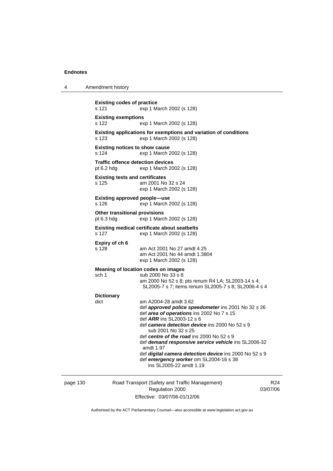4 Amendment history

| <b>Existing codes of practice</b><br>s 121               | exp 1 March 2002 (s 128)                                                                                                                                                                                                                                                       |
|----------------------------------------------------------|--------------------------------------------------------------------------------------------------------------------------------------------------------------------------------------------------------------------------------------------------------------------------------|
| <b>Existing exemptions</b><br>s 122                      | exp 1 March 2002 (s 128)                                                                                                                                                                                                                                                       |
| s 123                                                    | Existing applications for exemptions and variation of conditions<br>exp 1 March 2002 (s 128)                                                                                                                                                                                   |
| <b>Existing notices to show cause</b><br>s 124           | exp 1 March 2002 (s 128)                                                                                                                                                                                                                                                       |
| <b>Traffic offence detection devices</b><br>pt $6.2$ hdg | exp 1 March 2002 (s 128)                                                                                                                                                                                                                                                       |
| <b>Existing tests and certificates</b><br>s 125          | am 2001 No 32 s 24<br>exp 1 March 2002 (s 128)                                                                                                                                                                                                                                 |
| <b>Existing approved people-use</b><br>s 126             | exp 1 March 2002 (s 128)                                                                                                                                                                                                                                                       |
| Other transitional provisions<br>pt $6.3$ hdg            | exp 1 March 2002 (s 128)                                                                                                                                                                                                                                                       |
| s 127                                                    | <b>Existing medical certificate about seatbelts</b><br>exp 1 March 2002 (s 128)                                                                                                                                                                                                |
| Expiry of ch 6<br>s 128                                  | am Act 2001 No 27 amdt 4.25<br>am Act 2001 No 44 amdt 1.3804<br>exp 1 March 2002 (s 128)                                                                                                                                                                                       |
|                                                          | Meaning of location codes on images                                                                                                                                                                                                                                            |
| sch 1                                                    | sub 2000 No 33 s 8<br>am 2000 No 52 s 8; pts renum R4 LA; SL2003-14 s 4;<br>SL2005-7 s 7; items renum SL2005-7 s 8; SL2006-4 s 4                                                                                                                                               |
| <b>Dictionary</b>                                        |                                                                                                                                                                                                                                                                                |
| dict                                                     | am A2004-28 amdt 3.62<br>def approved police speedometer ins 2001 No 32 s 26<br>def area of operations ins 2002 No 7 s 15<br>def $ARR$ ins SL2003-12 s 6<br>def camera detection device ins 2000 No 52 s 9<br>sub 2001 No 32 s 25<br>def centre of the road ins 2000 No 52 s 9 |
|                                                          | def demand responsive service vehicle ins SL2006-32<br>amdt 1.97<br>def <i>digital camera detection device</i> ins 2000 No 52 s 9<br>def emergency worker om SL2004-16 s 38<br>ins SL2005-22 amdt 1.19                                                                         |

page 130 Road Transport (Safety and Traffic Management) Regulation 2000 Effective: 03/07/06-01/12/06

R24 03/07/06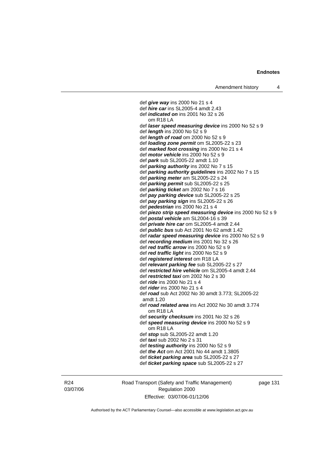def *give way* ins 2000 No 21 s 4 def *hire car* ins SL2005-4 amdt 2.43 def *indicated on* ins 2001 No 32 s 26 om R18 LA def *laser speed measuring device* ins 2000 No 52 s 9 def *length* ins 2000 No 52 s 9 def *length of road* om 2000 No 52 s 9 def *loading zone permit* om SL2005-22 s 23 def *marked foot crossing* ins 2000 No 21 s 4 def *motor vehicle* ins 2000 No 52 s 9 def *park* sub SL2005-22 amdt 1.10 def *parking authority* ins 2002 No 7 s 15 def *parking authority guidelines* ins 2002 No 7 s 15 def *parking meter* am SL2005-22 s 24 def *parking permit* sub SL2005-22 s 25 def *parking ticket* am 2002 No 7 s 16 def *pay parking device* sub SL2005-22 s 25 def *pay parking sign* ins SL2005-22 s 26 def *pedestrian* ins 2000 No 21 s 4 def *piezo strip speed measuring device* ins 2000 No 52 s 9 def *postal vehicle* am SL2004-16 s 39 def *private hire car* om SL2005-4 amdt 2.44 def *public bus* sub Act 2001 No 62 amdt 1.42 def *radar speed measuring device* ins 2000 No 52 s 9 def *recording medium* ins 2001 No 32 s 26 def *red traffic arrow* ins 2000 No 52 s 9 def *red traffic light* ins 2000 No 52 s 9 def *registered interest* om R18 LA def *relevant parking fee* sub SL2005-22 s 27 def *restricted hire vehicle* om SL2005-4 amdt 2.44 def *restricted taxi* om 2002 No 2 s 30 def *ride* ins 2000 No 21 s 4 def *rider* ins 2000 No 21 s 4 def *road* sub Act 2002 No 30 amdt 3.773; SL2005-22 amdt 1.20 def *road related area* ins Act 2002 No 30 amdt 3.774 om R18 LA def *security checksum* ins 2001 No 32 s 26 def *speed measuring device* ins 2000 No 52 s 9 om R18 LA def *stop* sub SL2005-22 amdt 1.20 def *taxi* sub 2002 No 2 s 31 def *testing authority* ins 2000 No 52 s 9 def *the Act* om Act 2001 No 44 amdt 1.3805 def *ticket parking area* sub SL2005-22 s 27 def *ticket parking space* sub SL2005-22 s 27

R24 03/07/06 Road Transport (Safety and Traffic Management) Regulation 2000 Effective: 03/07/06-01/12/06

page 131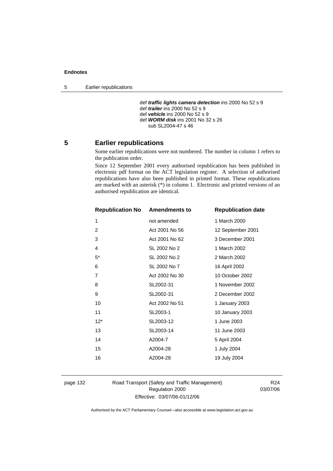5 Earlier republications

 def *traffic lights camera detection* ins 2000 No 52 s 9 def *trailer* ins 2000 No 52 s 9 def *vehicle* ins 2000 No 52 s 9 def *WORM disk* ins 2001 No 32 s 26 sub SL2004-47 s 46

# **5 Earlier republications**

Some earlier republications were not numbered. The number in column 1 refers to the publication order.

Since 12 September 2001 every authorised republication has been published in electronic pdf format on the ACT legislation register. A selection of authorised republications have also been published in printed format. These republications are marked with an asterisk (\*) in column 1. Electronic and printed versions of an authorised republication are identical.

| <b>Republication No Amendments to</b> |                | <b>Republication date</b> |
|---------------------------------------|----------------|---------------------------|
| 1                                     | not amended    | 1 March 2000              |
| $\overline{2}$                        | Act 2001 No 56 | 12 September 2001         |
| 3                                     | Act 2001 No 62 | 3 December 2001           |
| 4                                     | SL 2002 No 2   | 1 March 2002              |
| $5^*$                                 | SL 2002 No 2   | 2 March 2002              |
| 6                                     | SL 2002 No 7   | 16 April 2002             |
| 7                                     | Act 2002 No 30 | 10 October 2002           |
| 8                                     | SL2002-31      | 1 November 2002           |
| 9                                     | SL2002-31      | 2 December 2002           |
| 10                                    | Act 2002 No 51 | 1 January 2003            |
| 11                                    | SL2003-1       | 10 January 2003           |
| $12*$                                 | SL2003-12      | 1 June 2003               |
| 13                                    | SL2003-14      | 11 June 2003              |
| 14                                    | A2004-7        | 5 April 2004              |
| 15                                    | A2004-28       | 1 July 2004               |
| 16                                    | A2004-28       | 19 July 2004              |
|                                       |                |                           |

page 132 Road Transport (Safety and Traffic Management) Regulation 2000 Effective: 03/07/06-01/12/06

R24 03/07/06